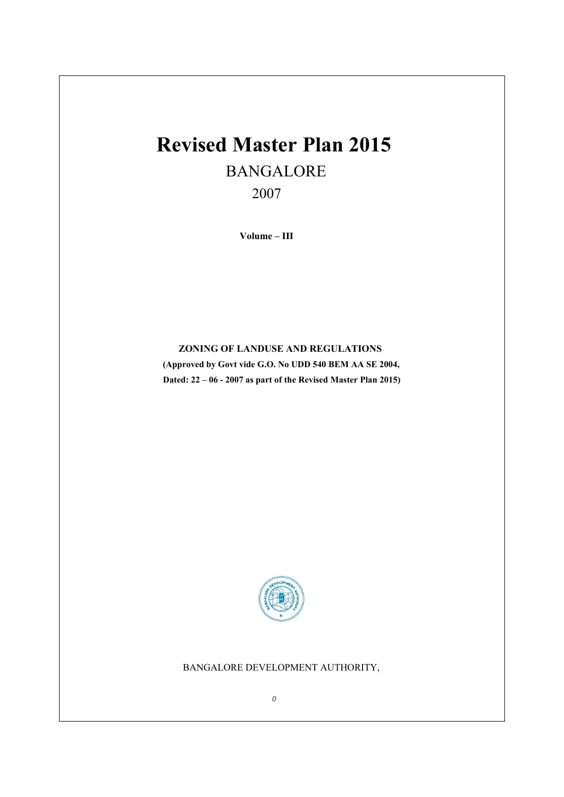# **Revised Master Plan 2015** BANGALORE

2007

 **Volume – III** 

# **ZONING OF LANDUSE AND REGULATIONS**

**(Approved by Govt vide G.O. No UDD 540 BEM AA SE 2004, Dated: 22 – 06 - 2007 as part of the Revised Master Plan 2015)** 



# BANGALORE DEVELOPMENT AUTHORITY,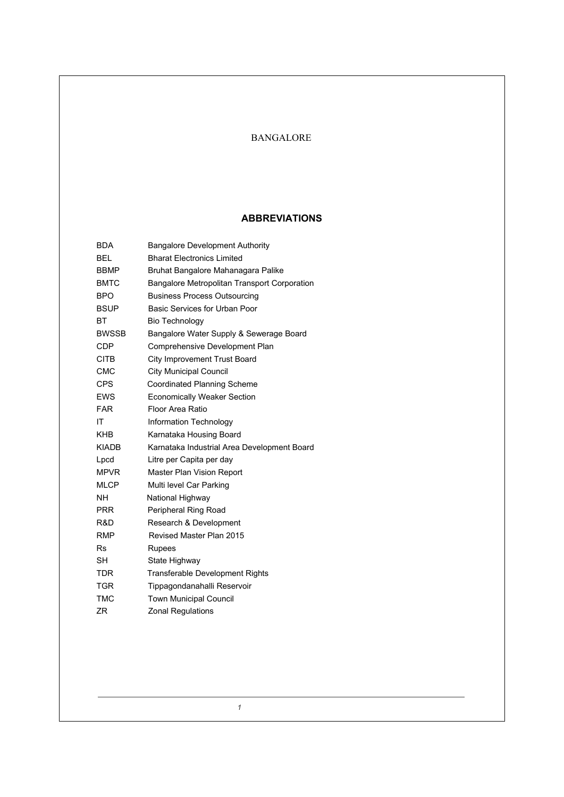# BANGALORE

# **ABBREVIATIONS**

| <b>BDA</b>   | <b>Bangalore Development Authority</b>       |  |
|--------------|----------------------------------------------|--|
| <b>BEL</b>   | <b>Bharat Electronics Limited</b>            |  |
| <b>BBMP</b>  | Bruhat Bangalore Mahanagara Palike           |  |
| <b>BMTC</b>  | Bangalore Metropolitan Transport Corporation |  |
| <b>BPO</b>   | <b>Business Process Outsourcing</b>          |  |
| <b>BSUP</b>  | <b>Basic Services for Urban Poor</b>         |  |
| BT           | <b>Bio Technology</b>                        |  |
| <b>BWSSB</b> | Bangalore Water Supply & Sewerage Board      |  |
| <b>CDP</b>   | Comprehensive Development Plan               |  |
| <b>CITB</b>  | City Improvement Trust Board                 |  |
| CMC          | <b>City Municipal Council</b>                |  |
| <b>CPS</b>   | <b>Coordinated Planning Scheme</b>           |  |
| <b>EWS</b>   | <b>Economically Weaker Section</b>           |  |
| <b>FAR</b>   | <b>Floor Area Ratio</b>                      |  |
| ΙT           | Information Technology                       |  |
| <b>KHB</b>   | Karnataka Housing Board                      |  |
| <b>KIADB</b> | Karnataka Industrial Area Development Board  |  |
| Lpcd         | Litre per Capita per day                     |  |
| <b>MPVR</b>  | Master Plan Vision Report                    |  |
| <b>MLCP</b>  | Multi level Car Parking                      |  |
| <b>NH</b>    | National Highway                             |  |
| <b>PRR</b>   | Peripheral Ring Road                         |  |
| R&D          | Research & Development                       |  |
| <b>RMP</b>   | Revised Master Plan 2015                     |  |
| <b>Rs</b>    | <b>Rupees</b>                                |  |
| <b>SH</b>    | State Highway                                |  |
| TDR          | <b>Transferable Development Rights</b>       |  |
| <b>TGR</b>   | Tippagondanahalli Reservoir                  |  |
| <b>TMC</b>   | <b>Town Municipal Council</b>                |  |
| ZR           | Zonal Regulations                            |  |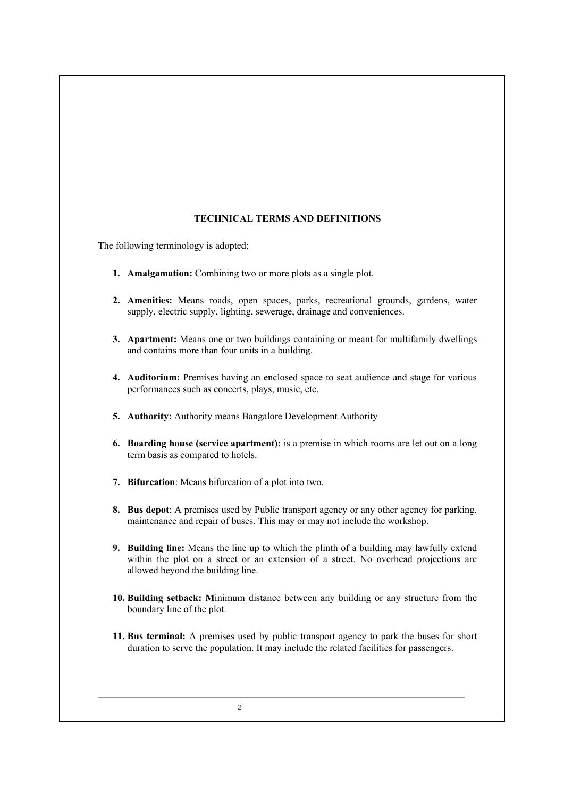# **TECHNICAL TERMS AND DEFINITIONS**

The following terminology is adopted:

- **1. Amalgamation:** Combining two or more plots as a single plot.
- **2. Amenities:** Means roads, open spaces, parks, recreational grounds, gardens, water supply, electric supply, lighting, sewerage, drainage and conveniences.
- **3. Apartment:** Means one or two buildings containing or meant for multifamily dwellings and contains more than four units in a building.
- **4. Auditorium:** Premises having an enclosed space to seat audience and stage for various performances such as concerts, plays, music, etc.
- **5. Authority:** Authority means Bangalore Development Authority
- **6. Boarding house (service apartment):** is a premise in which rooms are let out on a long term basis as compared to hotels.
- **7. Bifurcation**: Means bifurcation of a plot into two.
- **8. Bus depot**: A premises used by Public transport agency or any other agency for parking, maintenance and repair of buses. This may or may not include the workshop.
- **9. Building line:** Means the line up to which the plinth of a building may lawfully extend within the plot on a street or an extension of a street. No overhead projections are allowed beyond the building line.
- **10. Building setback: M**inimum distance between any building or any structure from the boundary line of the plot.
- **11. Bus terminal:** A premises used by public transport agency to park the buses for short duration to serve the population. It may include the related facilities for passengers.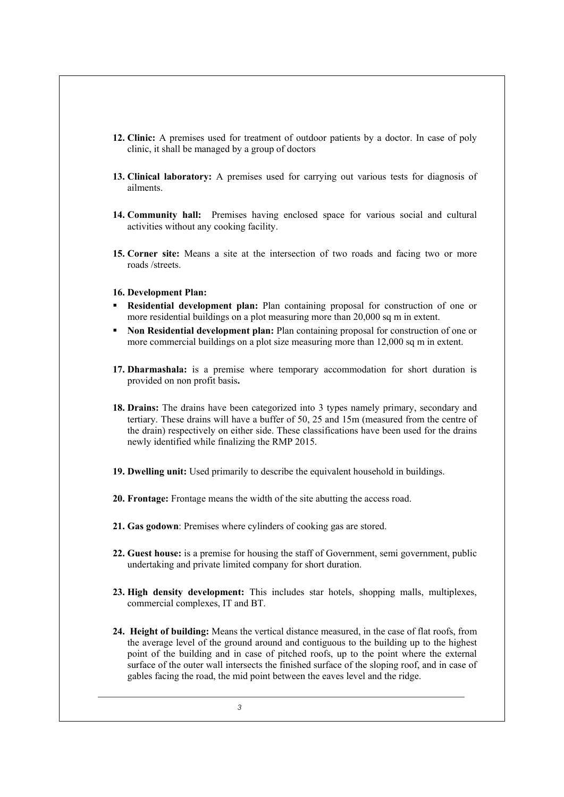- **12. Clinic:** A premises used for treatment of outdoor patients by a doctor. In case of poly clinic, it shall be managed by a group of doctors
- **13. Clinical laboratory:** A premises used for carrying out various tests for diagnosis of ailments.
- **14. Community hall:** Premises having enclosed space for various social and cultural activities without any cooking facility.
- **15. Corner site:** Means a site at the intersection of two roads and facing two or more roads /streets.

#### **16. Development Plan:**

- **Residential development plan:** Plan containing proposal for construction of one or more residential buildings on a plot measuring more than 20,000 sq m in extent.
- **Non Residential development plan:** Plan containing proposal for construction of one or more commercial buildings on a plot size measuring more than 12,000 sq m in extent.
- **17. Dharmashala:** is a premise where temporary accommodation for short duration is provided on non profit basis**.**
- **18. Drains:** The drains have been categorized into 3 types namely primary, secondary and tertiary. These drains will have a buffer of 50, 25 and 15m (measured from the centre of the drain) respectively on either side. These classifications have been used for the drains newly identified while finalizing the RMP 2015.
- **19. Dwelling unit:** Used primarily to describe the equivalent household in buildings.
- **20. Frontage:** Frontage means the width of the site abutting the access road.
- **21. Gas godown**: Premises where cylinders of cooking gas are stored.
- **22. Guest house:** is a premise for housing the staff of Government, semi government, public undertaking and private limited company for short duration.
- **23. High density development:** This includes star hotels, shopping malls, multiplexes, commercial complexes, IT and BT.
- **24. Height of building:** Means the vertical distance measured, in the case of flat roofs, from the average level of the ground around and contiguous to the building up to the highest point of the building and in case of pitched roofs, up to the point where the external surface of the outer wall intersects the finished surface of the sloping roof, and in case of gables facing the road, the mid point between the eaves level and the ridge.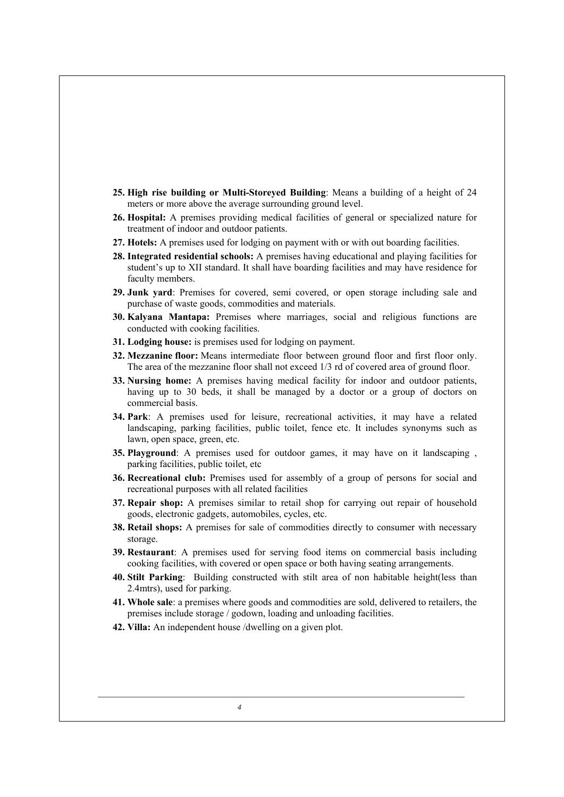- **25. High rise building or Multi-Storeyed Building**: Means a building of a height of 24 meters or more above the average surrounding ground level.
- **26. Hospital:** A premises providing medical facilities of general or specialized nature for treatment of indoor and outdoor patients.
- **27. Hotels:** A premises used for lodging on payment with or with out boarding facilities.
- **28. Integrated residential schools:** A premises having educational and playing facilities for student's up to XII standard. It shall have boarding facilities and may have residence for faculty members.
- **29. Junk yard**: Premises for covered, semi covered, or open storage including sale and purchase of waste goods, commodities and materials.
- **30. Kalyana Mantapa:** Premises where marriages, social and religious functions are conducted with cooking facilities.
- **31. Lodging house:** is premises used for lodging on payment.
- **32. Mezzanine floor:** Means intermediate floor between ground floor and first floor only. The area of the mezzanine floor shall not exceed 1/3 rd of covered area of ground floor.
- **33. Nursing home:** A premises having medical facility for indoor and outdoor patients, having up to 30 beds, it shall be managed by a doctor or a group of doctors on commercial basis.
- **34. Park**: A premises used for leisure, recreational activities, it may have a related landscaping, parking facilities, public toilet, fence etc. It includes synonyms such as lawn, open space, green, etc.
- **35. Playground**: A premises used for outdoor games, it may have on it landscaping , parking facilities, public toilet, etc
- **36. Recreational club:** Premises used for assembly of a group of persons for social and recreational purposes with all related facilities
- **37. Repair shop:** A premises similar to retail shop for carrying out repair of household goods, electronic gadgets, automobiles, cycles, etc.
- **38. Retail shops:** A premises for sale of commodities directly to consumer with necessary storage.
- **39. Restaurant**: A premises used for serving food items on commercial basis including cooking facilities, with covered or open space or both having seating arrangements.
- **40. Stilt Parking**: Building constructed with stilt area of non habitable height(less than 2.4mtrs), used for parking.
- **41. Whole sale**: a premises where goods and commodities are sold, delivered to retailers, the premises include storage / godown, loading and unloading facilities.
- **42. Villa:** An independent house /dwelling on a given plot.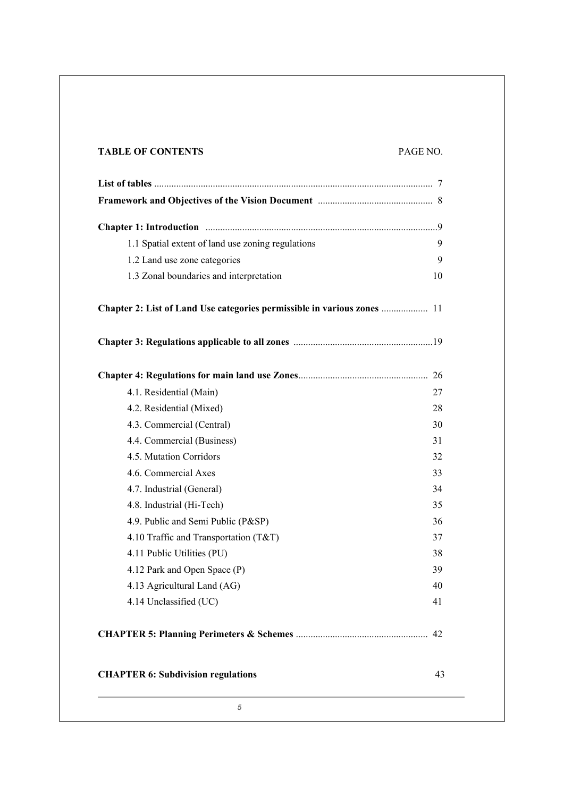# **TABLE OF CONTENTS** PAGE NO.

| 1.1 Spatial extent of land use zoning regulations                       | 9        |
|-------------------------------------------------------------------------|----------|
| 1.2 Land use zone categories                                            | 9        |
| 1.3 Zonal boundaries and interpretation                                 | 10       |
| Chapter 2: List of Land Use categories permissible in various zones  11 |          |
|                                                                         |          |
|                                                                         |          |
| 4.1. Residential (Main)                                                 | 27       |
| 4.2. Residential (Mixed)                                                | 28       |
| 4.3. Commercial (Central)                                               | 30       |
| 4.4. Commercial (Business)                                              | 31       |
| 4.5. Mutation Corridors                                                 | 32       |
| 4.6. Commercial Axes                                                    | 33       |
| 4.7. Industrial (General)                                               | 34       |
| 4.8. Industrial (Hi-Tech)                                               | 35       |
| 4.9. Public and Semi Public (P&SP)                                      | 36       |
| 4.10 Traffic and Transportation (T&T)                                   | 37       |
| 4.11 Public Utilities (PU)                                              | 38       |
| 4.12 Park and Open Space (P)                                            | 39       |
| 4.13 Agricultural Land (AG)                                             | 40       |
| 4.14 Unclassified (UC)                                                  | 41       |
|                                                                         |          |
| <b>CHAPTER 6: Subdivision regulations</b>                               |          |
| 5                                                                       | 42<br>43 |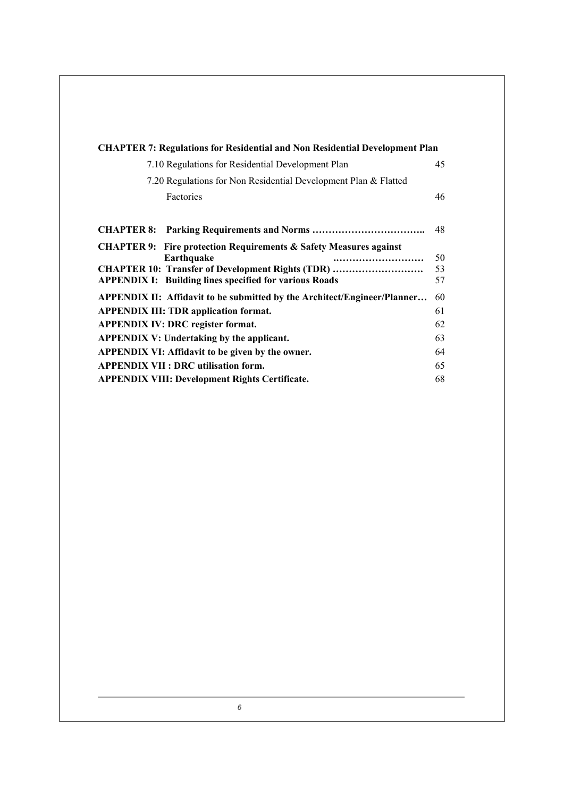| <b>CHAPTER 7: Regulations for Residential and Non Residential Development Plan</b>                                                                                                                                      |                |
|-------------------------------------------------------------------------------------------------------------------------------------------------------------------------------------------------------------------------|----------------|
| 7.10 Regulations for Residential Development Plan                                                                                                                                                                       | 45             |
| 7.20 Regulations for Non Residential Development Plan & Flatted                                                                                                                                                         |                |
| Factories                                                                                                                                                                                                               | 46             |
| <b>CHAPTER 8: Parking Requirements and Norms </b>                                                                                                                                                                       | 48             |
| <b>CHAPTER 9:</b> Fire protection Requirements & Safety Measures against<br>Earthquake<br><br><b>CHAPTER 10: Transfer of Development Rights (TDR) </b><br><b>APPENDIX I: Building lines specified for various Roads</b> | 50<br>53<br>57 |
| <b>APPENDIX II: Affidavit to be submitted by the Architect/Engineer/Planner</b>                                                                                                                                         | 60             |
| <b>APPENDIX III: TDR application format.</b>                                                                                                                                                                            | 61             |
| <b>APPENDIX IV: DRC register format.</b>                                                                                                                                                                                | 62             |
| <b>APPENDIX V: Undertaking by the applicant.</b>                                                                                                                                                                        | 63             |
| <b>APPENDIX VI: Affidavit to be given by the owner.</b>                                                                                                                                                                 | 64             |
| <b>APPENDIX VII: DRC utilisation form.</b>                                                                                                                                                                              | 65             |
| <b>APPENDIX VIII: Development Rights Certificate.</b>                                                                                                                                                                   | 68             |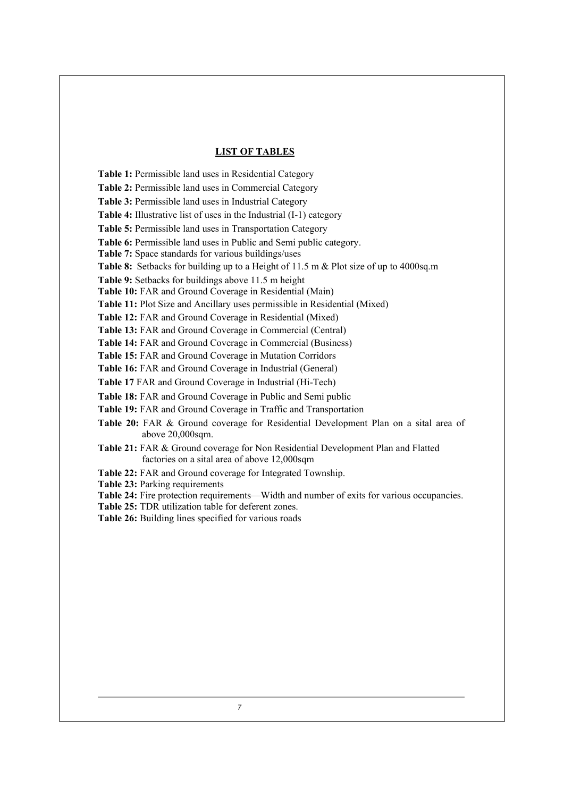#### **LIST OF TABLES**

**Table 1:** Permissible land uses in Residential Category

**Table 2:** Permissible land uses in Commercial Category

**Table 3:** Permissible land uses in Industrial Category

**Table 4:** Illustrative list of uses in the Industrial (I-1) category

**Table 5:** Permissible land uses in Transportation Category

**Table 6:** Permissible land uses in Public and Semi public category.

**Table 7:** Space standards for various buildings/uses

**Table 8:** Setbacks for building up to a Height of 11.5 m & Plot size of up to 4000sq.m

**Table 9:** Setbacks for buildings above 11.5 m height

**Table 10:** FAR and Ground Coverage in Residential (Main)

**Table 11:** Plot Size and Ancillary uses permissible in Residential (Mixed)

**Table 12:** FAR and Ground Coverage in Residential (Mixed)

**Table 13:** FAR and Ground Coverage in Commercial (Central)

**Table 14:** FAR and Ground Coverage in Commercial (Business)

**Table 15:** FAR and Ground Coverage in Mutation Corridors

**Table 16:** FAR and Ground Coverage in Industrial (General)

**Table 17** FAR and Ground Coverage in Industrial (Hi-Tech)

**Table 18:** FAR and Ground Coverage in Public and Semi public

**Table 19:** FAR and Ground Coverage in Traffic and Transportation

**Table 20:** FAR & Ground coverage for Residential Development Plan on a sital area of above 20,000sqm.

**Table 21:** FAR & Ground coverage for Non Residential Development Plan and Flatted factories on a sital area of above 12,000sqm

**Table 22:** FAR and Ground coverage for Integrated Township.

**Table 23:** Parking requirements

**Table 24:** Fire protection requirements—Width and number of exits for various occupancies.

**Table 25:** TDR utilization table for deferent zones.

**Table 26:** Building lines specified for various roads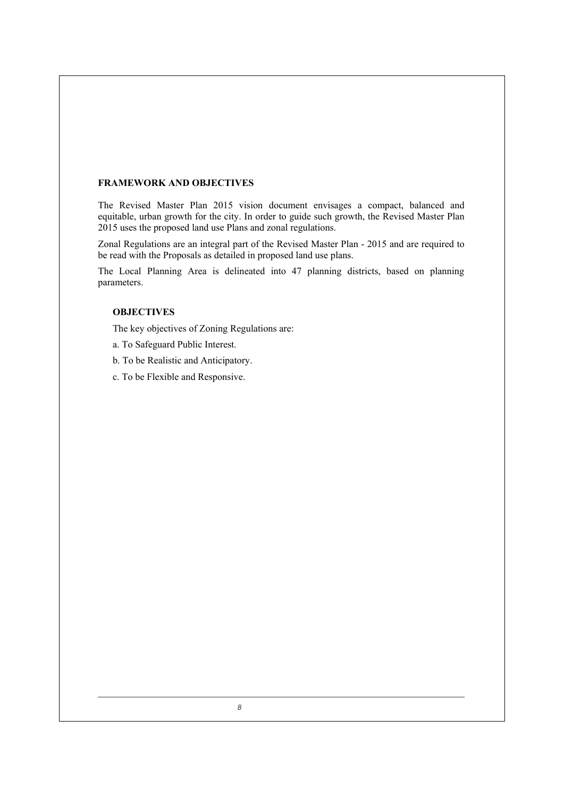# **FRAMEWORK AND OBJECTIVES**

The Revised Master Plan 2015 vision document envisages a compact, balanced and equitable, urban growth for the city. In order to guide such growth, the Revised Master Plan 2015 uses the proposed land use Plans and zonal regulations.

Zonal Regulations are an integral part of the Revised Master Plan - 2015 and are required to be read with the Proposals as detailed in proposed land use plans.

 The Local Planning Area is delineated into 47 planning districts, based on planning parameters.

# **OBJECTIVES**

The key objectives of Zoning Regulations are:

- a. To Safeguard Public Interest.
- b. To be Realistic and Anticipatory.
- c. To be Flexible and Responsive.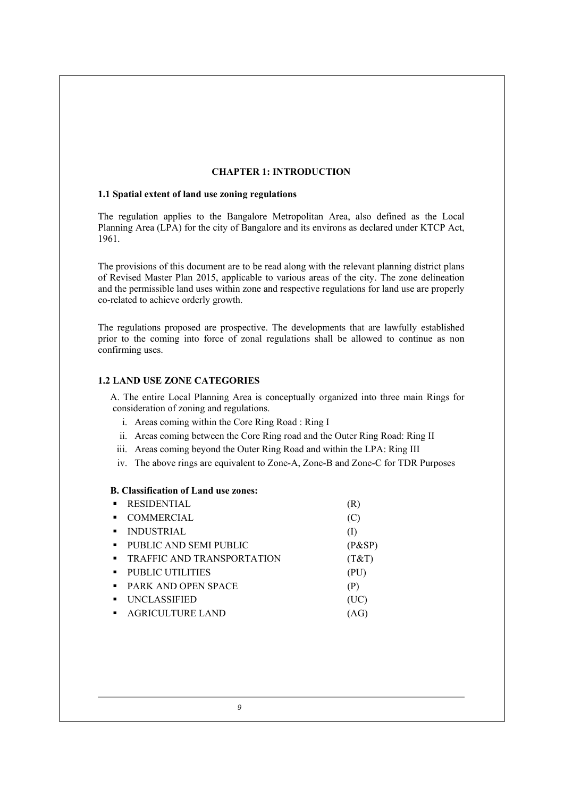# **CHAPTER 1: INTRODUCTION**

#### **1.1 Spatial extent of land use zoning regulations**

The regulation applies to the Bangalore Metropolitan Area, also defined as the Local Planning Area (LPA) for the city of Bangalore and its environs as declared under KTCP Act, 1961.

The provisions of this document are to be read along with the relevant planning district plans of Revised Master Plan 2015, applicable to various areas of the city. The zone delineation and the permissible land uses within zone and respective regulations for land use are properly co-related to achieve orderly growth.

The regulations proposed are prospective. The developments that are lawfully established prior to the coming into force of zonal regulations shall be allowed to continue as non confirming uses.

# **1.2 LAND USE ZONE CATEGORIES**

 A. The entire Local Planning Area is conceptually organized into three main Rings for consideration of zoning and regulations.

- i. Areas coming within the Core Ring Road : Ring I
- ii. Areas coming between the Core Ring road and the Outer Ring Road: Ring II
- iii. Areas coming beyond the Outer Ring Road and within the LPA: Ring III
- iv. The above rings are equivalent to Zone-A, Zone-B and Zone-C for TDR Purposes

#### **B. Classification of Land use zones:**

| $\blacksquare$ | <b>RESIDENTIAL</b>         | (R)    |
|----------------|----------------------------|--------|
| $\blacksquare$ | <b>COMMERCIAL</b>          | (C)    |
| $\blacksquare$ | <b>INDUSTRIAL</b>          | (1)    |
| $\blacksquare$ | PUBLIC AND SEMI PUBLIC     | (P&SP) |
| $\blacksquare$ | TRAFFIC AND TRANSPORTATION | (T&T)  |
| $\blacksquare$ | PUBLIC UTILITIES           | (PU)   |
| $\blacksquare$ | <b>PARK AND OPEN SPACE</b> | (P)    |
| $\blacksquare$ | <b>UNCLASSIFIED</b>        | (UC)   |
| $\blacksquare$ | <b>AGRICULTURE LAND</b>    |        |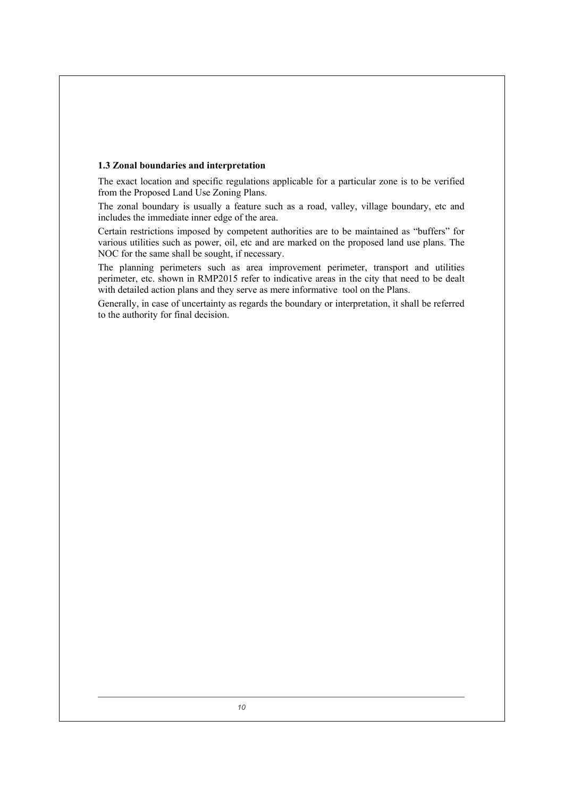#### **1.3 Zonal boundaries and interpretation**

The exact location and specific regulations applicable for a particular zone is to be verified from the Proposed Land Use Zoning Plans.

The zonal boundary is usually a feature such as a road, valley, village boundary, etc and includes the immediate inner edge of the area.

Certain restrictions imposed by competent authorities are to be maintained as "buffers" for various utilities such as power, oil, etc and are marked on the proposed land use plans. The NOC for the same shall be sought, if necessary.

The planning perimeters such as area improvement perimeter, transport and utilities perimeter, etc. shown in RMP2015 refer to indicative areas in the city that need to be dealt with detailed action plans and they serve as mere informative tool on the Plans.

Generally, in case of uncertainty as regards the boundary or interpretation, it shall be referred to the authority for final decision.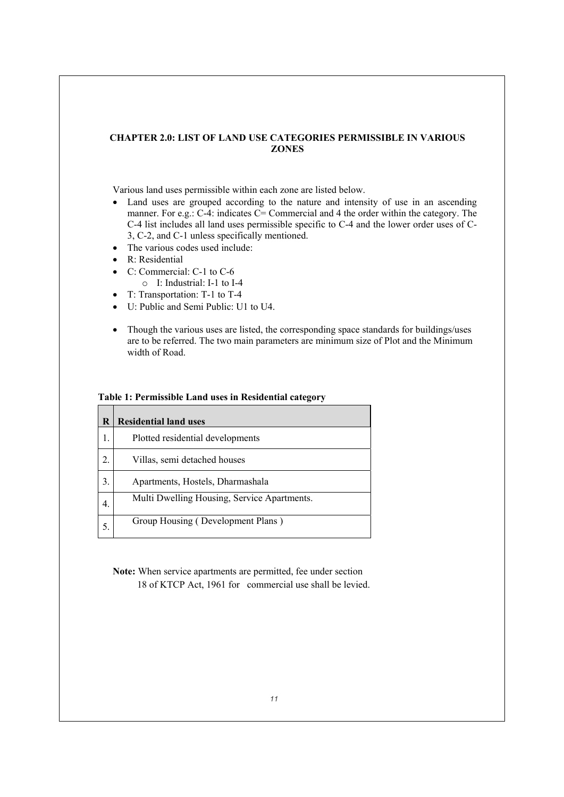# **CHAPTER 2.0: LIST OF LAND USE CATEGORIES PERMISSIBLE IN VARIOUS ZONES**

Various land uses permissible within each zone are listed below.

- Land uses are grouped according to the nature and intensity of use in an ascending manner. For e.g.: C-4: indicates C= Commercial and 4 the order within the category. The C-4 list includes all land uses permissible specific to C-4 and the lower order uses of C-3, C-2, and C-1 unless specifically mentioned.
- $\bullet$  The various codes used include:
- $\bullet$  R: Residential
- $\bullet$  C: Commercial: C-1 to C-6
	- o I: Industrial: I-1 to I-4
- $\bullet$  T: Transportation: T-1 to T-4
- U: Public and Semi Public: U1 to U4.
- Though the various uses are listed, the corresponding space standards for buildings/uses are to be referred. The two main parameters are minimum size of Plot and the Minimum width of Road.

# **Table 1: Permissible Land uses in Residential category**

| R                | <b>Residential land uses</b>                |  |
|------------------|---------------------------------------------|--|
| 1.               | Plotted residential developments            |  |
| $\overline{2}$ . | Villas, semi detached houses                |  |
| 3 <sub>1</sub>   | Apartments, Hostels, Dharmashala            |  |
| $\overline{4}$ . | Multi Dwelling Housing, Service Apartments. |  |
|                  | Group Housing (Development Plans)           |  |

**Note:** When service apartments are permitted, fee under section 18 of KTCP Act, 1961 for commercial use shall be levied.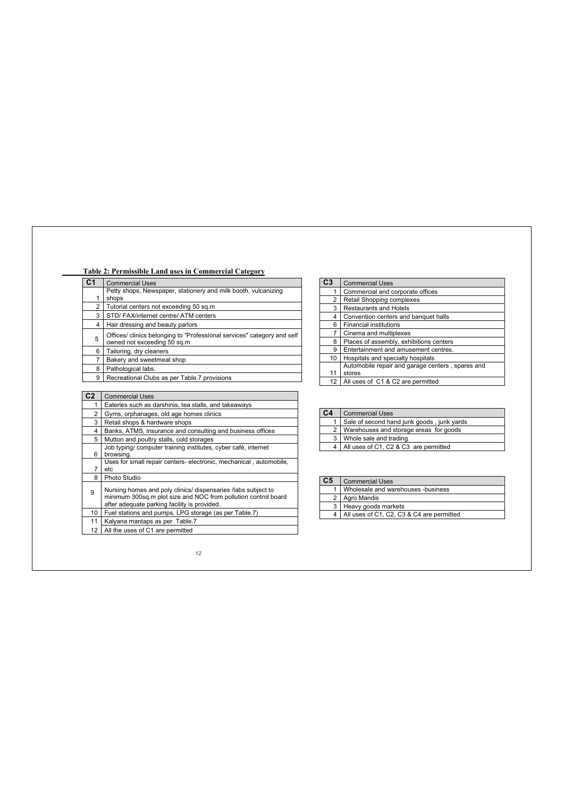| C <sub>1</sub>  | <b>Commercial Uses</b>                                                                                                                                                          |  |
|-----------------|---------------------------------------------------------------------------------------------------------------------------------------------------------------------------------|--|
|                 | Petty shops, Newspaper, stationery and milk booth, vulcanizing                                                                                                                  |  |
| 1.              | shops                                                                                                                                                                           |  |
| $\overline{2}$  | Tutorial centers not exceeding 50 sq.m                                                                                                                                          |  |
| 3               | STD/FAX/internet centre/ATM centers                                                                                                                                             |  |
| 4               | Hair dressing and beauty parlors                                                                                                                                                |  |
| 5               | Offices/ clinics belonging to "Professional services" category and self<br>owned not exceeding 50 sq.m                                                                          |  |
| 6               | Tailoring, dry cleaners                                                                                                                                                         |  |
| $\overline{7}$  | Bakery and sweetmeat shop                                                                                                                                                       |  |
| 8               | Pathological labs.                                                                                                                                                              |  |
| 9               | Recreational Clubs as per Table.7 provisions                                                                                                                                    |  |
|                 |                                                                                                                                                                                 |  |
| C2              | <b>Commercial Uses</b>                                                                                                                                                          |  |
| 1.              | Eateries such as darshinis, tea stalls, and takeaways                                                                                                                           |  |
| $\overline{2}$  | Gyms, orphanages, old age homes clinics                                                                                                                                         |  |
| 3               | Retail shops & hardware shops                                                                                                                                                   |  |
| 4               | Banks, ATMS, insurance and consulting and business offices                                                                                                                      |  |
| 5               | Mutton and poultry stalls, cold storages                                                                                                                                        |  |
| 6               | Job typing/ computer training institutes, cyber café, internet<br>browsing.                                                                                                     |  |
|                 | Uses for small repair centers- electronic, mechanical, automobile,                                                                                                              |  |
| $\overline{7}$  | etc                                                                                                                                                                             |  |
| 8               | Photo Studio                                                                                                                                                                    |  |
| 9               | Nursing homes and poly clinics/ dispensaries /labs subject to<br>minimum 300sq.m plot size and NOC from pollution control board<br>after adequate parking facility is provided. |  |
|                 |                                                                                                                                                                                 |  |
| 10 <sup>1</sup> | Fuel stations and pumps, LPG storage (as per Table.7)                                                                                                                           |  |
| 11              | Kalyana mantaps as per Table.7                                                                                                                                                  |  |

| C3 | <b>Commercial Uses</b>                           |  |
|----|--------------------------------------------------|--|
|    | Commercial and corporate offices                 |  |
| 2  | Retail Shopping complexes                        |  |
| 3  | <b>Restaurants and Hotels</b>                    |  |
| 4  | Convention centers and banquet halls             |  |
| 6  | <b>Financial institutions</b>                    |  |
| 7  | Cinema and multiplexes                           |  |
| 8  | Places of assembly, exhibitions centers          |  |
| 9  | Entertainment and amusement centres.             |  |
| 10 | Hospitals and specialty hospitals                |  |
|    | Automobile repair and garage centers, spares and |  |
| 11 | stores                                           |  |
| 12 | All uses of C1 & C2 are permitted                |  |

| C4             | <b>Commercial Uses</b>                     |  |  |
|----------------|--------------------------------------------|--|--|
|                | Sale of second hand junk goods, junk yards |  |  |
| 2 <sup>1</sup> | Warehouses and storage areas for goods     |  |  |
| 3              | Whole sale and trading                     |  |  |
| 4              | All uses of C1, C2 & C3 are permitted      |  |  |

| C5 | <b>Commercial Uses</b>                    |  |
|----|-------------------------------------------|--|
|    | Wholesale and warehouses -business        |  |
| 2  | Agro Mandis                               |  |
| 3  | Heavy goods markets                       |  |
|    | All uses of C1, C2, C3 & C4 are permitted |  |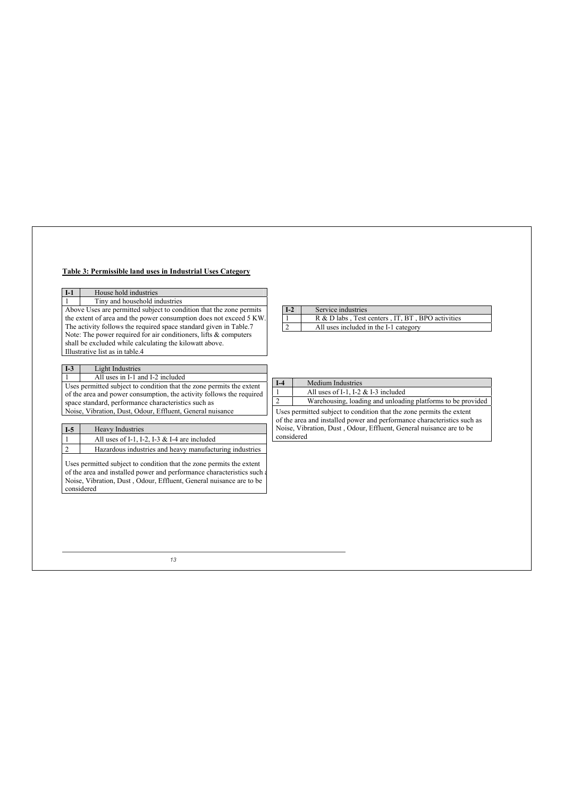# **Table 3: Permissible land uses in Industrial Uses Category**

| House hold industries<br>$I-1$                                                                           |                                                                               |
|----------------------------------------------------------------------------------------------------------|-------------------------------------------------------------------------------|
| Tiny and household industries                                                                            |                                                                               |
| Above Uses are permitted subject to condition that the zone permits                                      | Service industries<br>$I-2$                                                   |
| the extent of area and the power consumption does not exceed 5 KW.                                       | R & D labs, Test centers, IT, BT, BPO activities                              |
| The activity follows the required space standard given in Table.7                                        | $\overline{2}$<br>All uses included in the I-1 category                       |
| Note: The power required for air conditioners, lifts & computers                                         |                                                                               |
| shall be excluded while calculating the kilowatt above.                                                  |                                                                               |
| Illustrative list as in table.4                                                                          |                                                                               |
|                                                                                                          |                                                                               |
| Light Industries<br>$I-3$                                                                                |                                                                               |
| All uses in I-1 and I-2 included<br>Uses permitted subject to condition that the zone permits the extent | $I-4$<br><b>Medium Industries</b>                                             |
| of the area and power consumption, the activity follows the required                                     | All uses of I-1, I-2 $&$ I-3 included                                         |
| space standard, performance characteristics such as                                                      | $\overline{2}$<br>Warehousing, loading and unloading platforms to be provided |
| Noise, Vibration, Dust, Odour, Effluent, General nuisance                                                | Uses permitted subject to condition that the zone permits the extent          |
|                                                                                                          | of the area and installed power and performance characteristics such as       |
| $I-5$<br><b>Heavy Industries</b>                                                                         | Noise, Vibration, Dust, Odour, Effluent, General nuisance are to be           |
| All uses of I-1, I-2, I-3 $&$ I-4 are included                                                           | considered                                                                    |
| $\overline{2}$<br>Hazardous industries and heavy manufacturing industries                                |                                                                               |
|                                                                                                          |                                                                               |
| Uses permitted subject to condition that the zone permits the extent                                     |                                                                               |
| of the area and installed power and performance characteristics such a                                   |                                                                               |
| Noise, Vibration, Dust, Odour, Effluent, General nuisance are to be                                      |                                                                               |
| considered                                                                                               |                                                                               |
|                                                                                                          |                                                                               |
|                                                                                                          |                                                                               |
|                                                                                                          |                                                                               |
|                                                                                                          |                                                                               |
|                                                                                                          |                                                                               |
|                                                                                                          |                                                                               |
|                                                                                                          |                                                                               |
|                                                                                                          |                                                                               |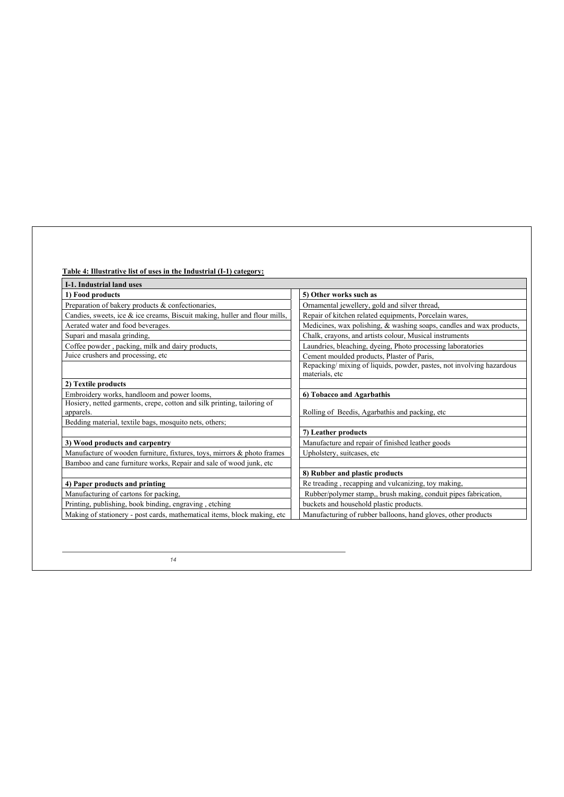| <b>I-1. Industrial land uses</b>                                                     |                                                                                        |
|--------------------------------------------------------------------------------------|----------------------------------------------------------------------------------------|
| 1) Food products                                                                     | 5) Other works such as                                                                 |
| Preparation of bakery products & confectionaries,                                    | Ornamental jewellery, gold and silver thread,                                          |
| Candies, sweets, ice & ice creams, Biscuit making, huller and flour mills,           | Repair of kitchen related equipments, Porcelain wares,                                 |
| Aerated water and food beverages.                                                    | Medicines, wax polishing, & washing soaps, candles and wax products,                   |
| Supari and masala grinding,                                                          | Chalk, crayons, and artists colour, Musical instruments                                |
| Coffee powder, packing, milk and dairy products,                                     | Laundries, bleaching, dyeing, Photo processing laboratories                            |
| Juice crushers and processing, etc.                                                  | Cement moulded products, Plaster of Paris,                                             |
|                                                                                      | Repacking/mixing of liquids, powder, pastes, not involving hazardous<br>materials, etc |
| 2) Textile products                                                                  |                                                                                        |
| Embroidery works, handloom and power looms,                                          | 6) Tobacco and Agarbathis                                                              |
| Hosiery, netted garments, crepe, cotton and silk printing, tailoring of<br>apparels. | Rolling of Beedis, Agarbathis and packing, etc                                         |
| Bedding material, textile bags, mosquito nets, others;                               |                                                                                        |
|                                                                                      | 7) Leather products                                                                    |
| 3) Wood products and carpentry                                                       | Manufacture and repair of finished leather goods                                       |
| Manufacture of wooden furniture, fixtures, toys, mirrors & photo frames              | Upholstery, suitcases, etc                                                             |
| Bamboo and cane furniture works, Repair and sale of wood junk, etc                   |                                                                                        |
|                                                                                      | 8) Rubber and plastic products                                                         |
| 4) Paper products and printing                                                       | Re treading, recapping and vulcanizing, toy making,                                    |
| Manufacturing of cartons for packing,                                                | Rubber/polymer stamp,, brush making, conduit pipes fabrication,                        |
| Printing, publishing, book binding, engraving, etching                               | buckets and household plastic products.                                                |
| Making of stationery - post cards, mathematical items, block making, etc.            | Manufacturing of rubber balloons, hand gloves, other products                          |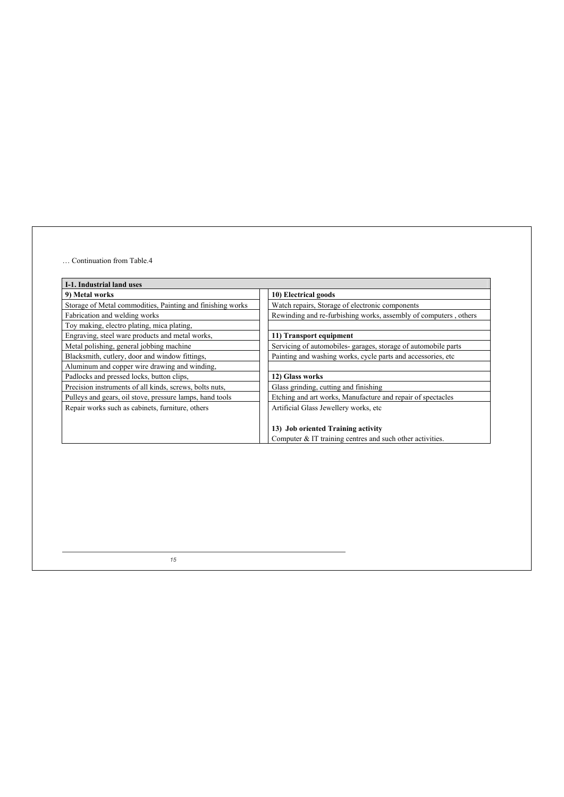#### … Continuation from Table.4

| I-1. Industrial land uses                                  |                                                                  |
|------------------------------------------------------------|------------------------------------------------------------------|
| 9) Metal works                                             | 10) Electrical goods                                             |
| Storage of Metal commodities, Painting and finishing works | Watch repairs, Storage of electronic components                  |
| Fabrication and welding works                              | Rewinding and re-furbishing works, assembly of computers, others |
| Toy making, electro plating, mica plating,                 |                                                                  |
| Engraving, steel ware products and metal works,            | 11) Transport equipment                                          |
| Metal polishing, general jobbing machine                   | Servicing of automobiles-garages, storage of automobile parts    |
| Blacksmith, cutlery, door and window fittings,             | Painting and washing works, cycle parts and accessories, etc.    |
| Aluminum and copper wire drawing and winding,              |                                                                  |
| Padlocks and pressed locks, button clips,                  | 12) Glass works                                                  |
| Precision instruments of all kinds, screws, bolts nuts,    | Glass grinding, cutting and finishing                            |
| Pulleys and gears, oil stove, pressure lamps, hand tools   | Etching and art works, Manufacture and repair of spectacles      |
| Repair works such as cabinets, furniture, others           | Artificial Glass Jewellery works, etc                            |
|                                                            |                                                                  |
|                                                            | 13) Job oriented Training activity                               |
|                                                            | Computer $&IT$ training centres and such other activities.       |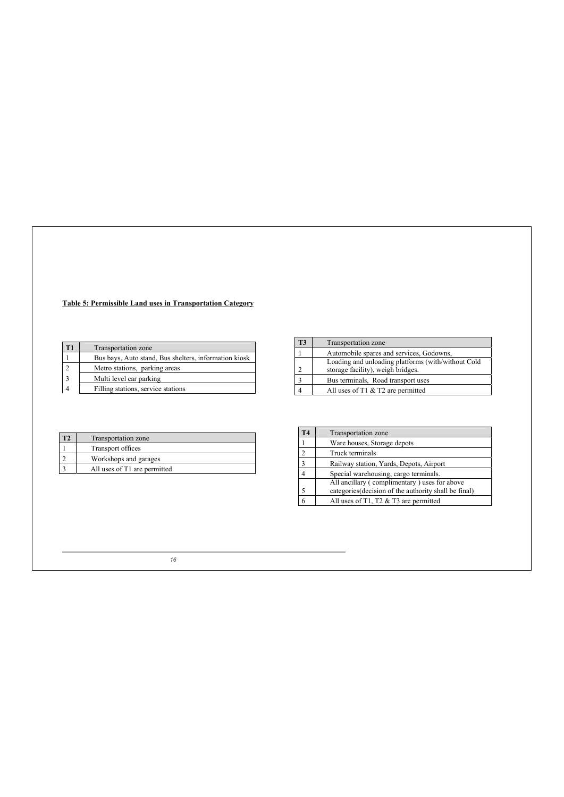# **Table 5: Permissible Land uses in Transportation Category**

|  | T1<br>Transportation zone |                                                       |
|--|---------------------------|-------------------------------------------------------|
|  |                           | Bus bays, Auto stand, Bus shelters, information kiosk |
|  |                           | Metro stations, parking areas                         |
|  | $\overline{\mathbf{3}}$   | Multi level car parking                               |
|  |                           | Filling stations, service stations                    |

| Transportation zone                                |  |
|----------------------------------------------------|--|
| Automobile spares and services, Godowns,           |  |
| Loading and unloading platforms (with/without Cold |  |
| storage facility), weigh bridges.                  |  |
| Bus terminals, Road transport uses                 |  |
| All uses of $T1 \& T2$ are permitted               |  |
|                                                    |  |

| Transportation zone          |  |
|------------------------------|--|
| Transport offices            |  |
| Workshops and garages        |  |
| All uses of T1 are permitted |  |

| T4             | <b>Transportation</b> zone                            |  |  |  |
|----------------|-------------------------------------------------------|--|--|--|
|                | Ware houses, Storage depots                           |  |  |  |
| $\mathfrak{D}$ | Truck terminals                                       |  |  |  |
| 3              | Railway station, Yards, Depots, Airport               |  |  |  |
|                | Special warehousing, cargo terminals.                 |  |  |  |
|                | All ancillary (complimentary) uses for above          |  |  |  |
| 5              | categories (decision of the authority shall be final) |  |  |  |
|                | All uses of T1, T2 $&$ T3 are permitted               |  |  |  |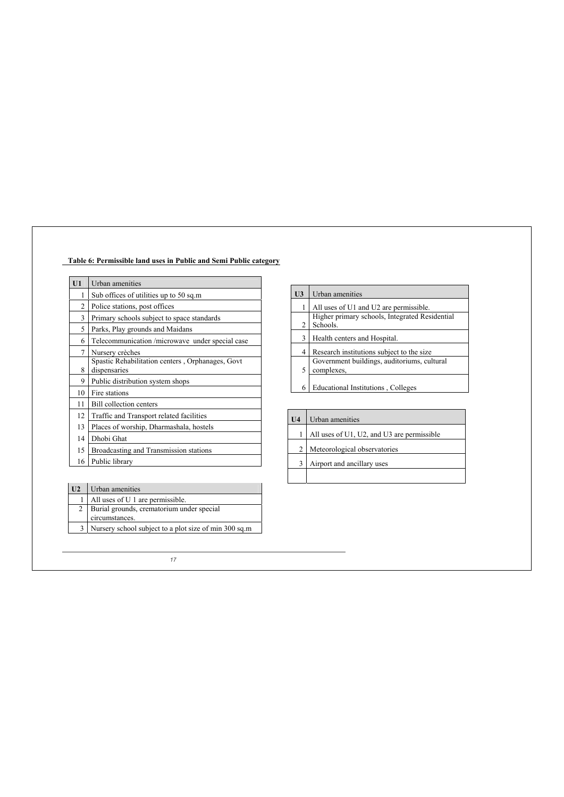# **Table 6: Permissible land uses in Public and Semi Public category**

| U1 | Urban amenities                                                  |  |  |
|----|------------------------------------------------------------------|--|--|
| 1  | Sub offices of utilities up to 50 sq.m                           |  |  |
| 2  | Police stations, post offices                                    |  |  |
| 3  | Primary schools subject to space standards                       |  |  |
| 5  | Parks, Play grounds and Maidans                                  |  |  |
| 6  | Telecommunication /microwave under special case                  |  |  |
| 7  | Nursery crèches                                                  |  |  |
| 8  | Spastic Rehabilitation centers, Orphanages, Govt<br>dispensaries |  |  |
| 9  | Public distribution system shops                                 |  |  |
| 10 | Fire stations                                                    |  |  |
| 11 | <b>Bill collection centers</b>                                   |  |  |
| 12 | Traffic and Transport related facilities                         |  |  |
| 13 | Places of worship, Dharmashala, hostels                          |  |  |
| 14 | Dhobi Ghat                                                       |  |  |
| 15 | Broadcasting and Transmission stations                           |  |  |
| 16 | Public library                                                   |  |  |

| U <sub>3</sub> | Urban amenities                                            |
|----------------|------------------------------------------------------------|
|                | All uses of U1 and U2 are permissible.                     |
| 2              | Higher primary schools, Integrated Residential<br>Schools. |
| 3              | Health centers and Hospital.                               |
| 4              | Research institutions subject to the size.                 |
| 5              | Government buildings, auditoriums, cultural<br>complexes.  |
| 6              | Educational Institutions, Colleges                         |

 $\overline{\mathbf{r}}$ 

| U4 | Urban amenities                            |  |  |  |
|----|--------------------------------------------|--|--|--|
|    | All uses of U1, U2, and U3 are permissible |  |  |  |
| 2  | Meteorological observatories               |  |  |  |
| 3  | Airport and ancillary uses                 |  |  |  |
|    |                                            |  |  |  |

 $\mathbf{r}$ 

| All uses of U 1 are permissible.<br>1                       |  |
|-------------------------------------------------------------|--|
|                                                             |  |
| Burial grounds, crematorium under special<br>circumstances. |  |
| Nursery school subject to a plot size of min 300 sq.m       |  |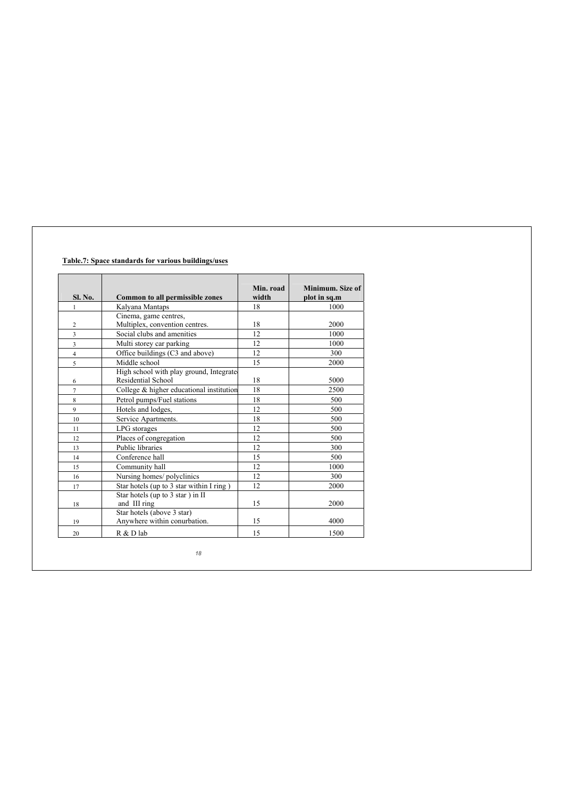# **Table.7: Space standards for various buildings/uses**

| <b>Sl. No.</b>          | <b>Common to all permissible zones</b>                         | Min. road<br>width | Minimum. Size of<br>plot in sq.m |
|-------------------------|----------------------------------------------------------------|--------------------|----------------------------------|
| 1                       | Kalyana Mantaps                                                | 18                 | 1000                             |
|                         | Cinema, game centres,                                          |                    |                                  |
| $\overline{2}$          | Multiplex, convention centres.                                 | 18                 | 2000                             |
| $\overline{\mathbf{3}}$ | Social clubs and amenities                                     | 12                 | 1000                             |
| 3                       | Multi storey car parking                                       | 12                 | 1000                             |
| $\overline{4}$          | Office buildings (C3 and above)                                | 12                 | 300                              |
| 5                       | Middle school                                                  | 15                 | 2000                             |
| 6                       | High school with play ground, Integrated<br>Residential School | 18                 | 5000                             |
| 7                       | College & higher educational institution                       | 18                 | 2500                             |
| 8                       | Petrol pumps/Fuel stations                                     | 18                 | 500                              |
| $\mathbf{Q}$            | Hotels and lodges,                                             | 12                 | 500                              |
| 10                      | Service Apartments.                                            | 18                 | 500                              |
| 11                      | LPG storages                                                   | 12                 | 500                              |
| 12                      | Places of congregation                                         | 12                 | 500                              |
| 13                      | Public libraries                                               | 12                 | 300                              |
| 14                      | Conference hall                                                | 15                 | 500                              |
| 15                      | Community hall                                                 | 12                 | 1000                             |
| 16                      | Nursing homes/ polyclinics                                     | 12                 | 300                              |
| 17                      | Star hotels (up to 3 star within I ring)                       | 12                 | 2000                             |
| 18                      | Star hotels (up to 3 star ) in II<br>and III ring              | 15                 | 2000                             |
| 19                      | Star hotels (above 3 star)<br>Anywhere within conurbation.     | 15                 | 4000                             |
| 20                      | R & D lab                                                      | 15                 | 1500                             |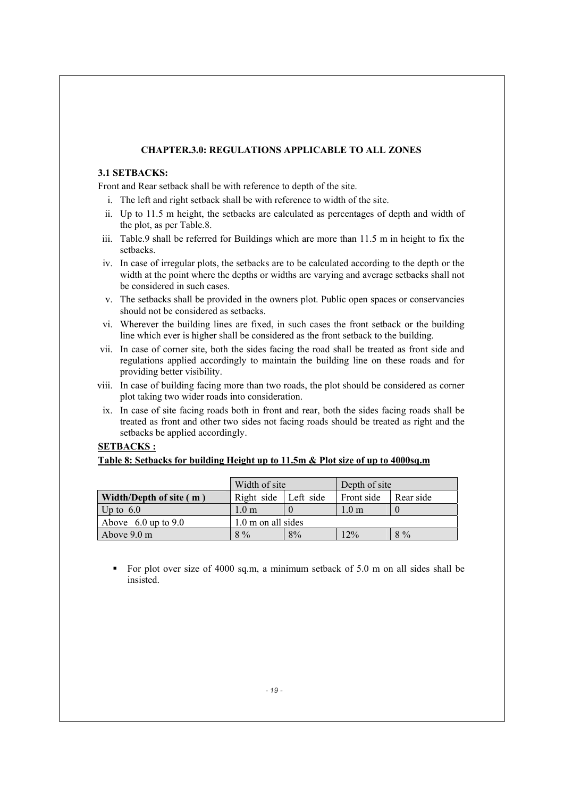# **CHAPTER.3.0: REGULATIONS APPLICABLE TO ALL ZONES**

# **3.1 SETBACKS:**

Front and Rear setback shall be with reference to depth of the site.

- i. The left and right setback shall be with reference to width of the site.
- ii. Up to 11.5 m height, the setbacks are calculated as percentages of depth and width of the plot, as per Table.8.
- iii. Table.9 shall be referred for Buildings which are more than 11.5 m in height to fix the setbacks.
- iv. In case of irregular plots, the setbacks are to be calculated according to the depth or the width at the point where the depths or widths are varying and average setbacks shall not be considered in such cases.
- v. The setbacks shall be provided in the owners plot. Public open spaces or conservancies should not be considered as setbacks.
- vi. Wherever the building lines are fixed, in such cases the front setback or the building line which ever is higher shall be considered as the front setback to the building.
- vii. In case of corner site, both the sides facing the road shall be treated as front side and regulations applied accordingly to maintain the building line on these roads and for providing better visibility.
- viii. In case of building facing more than two roads, the plot should be considered as corner plot taking two wider roads into consideration.
- ix. In case of site facing roads both in front and rear, both the sides facing roads shall be treated as front and other two sides not facing roads should be treated as right and the setbacks be applied accordingly.

# **SETBACKS :**

# **Table 8: Setbacks for building Height up to 11.5m & Plot size of up to 4000sq.m**

|                                | Width of site      |           | Depth of site   |           |
|--------------------------------|--------------------|-----------|-----------------|-----------|
| Width/Depth of site (m)        | Right side         | Left side | Front side      | Rear side |
| Up to $6.0$                    | $1.0 \text{ m}$    |           | $1.0 \text{ m}$ |           |
| Above $6.0 \text{ up to } 9.0$ | 1.0 m on all sides |           |                 |           |
| Above $9.0 \text{ m}$          | $8\%$              | 8%        | 2%              | $8\%$     |

 For plot over size of 4000 sq.m, a minimum setback of 5.0 m on all sides shall be insisted.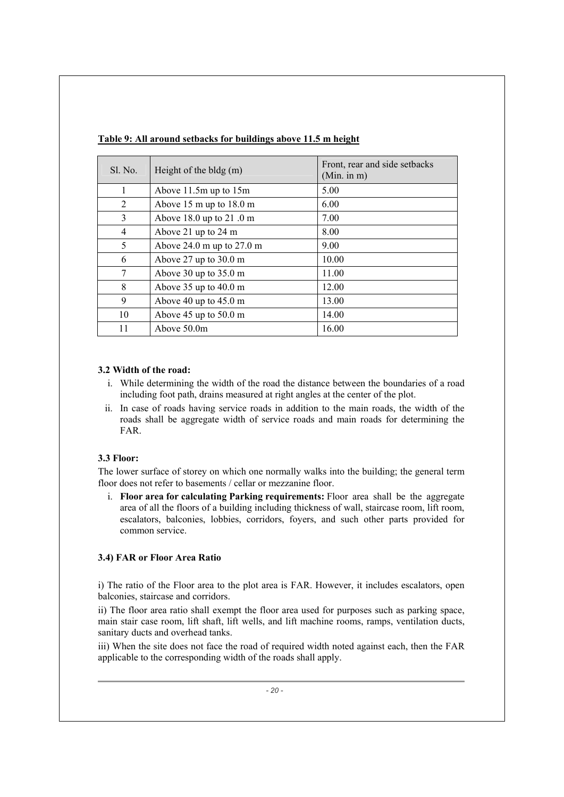| Sl. No. | Height of the bldg $(m)$                    | Front, rear and side setbacks<br>(Min. in m) |
|---------|---------------------------------------------|----------------------------------------------|
|         | Above $11.5m$ up to $15m$                   | 5.00                                         |
| 2       | Above $15 \text{ m}$ up to $18.0 \text{ m}$ | 6.00                                         |
| 3       | Above $18.0$ up to $21.0$ m                 | 7.00                                         |
| 4       | Above 21 up to 24 m                         | 8.00                                         |
| 5       | Above $24.0$ m up to $27.0$ m               | 9.00                                         |
| 6       | Above $27$ up to $30.0$ m                   | 10.00                                        |
| 7       | Above 30 up to $35.0 \text{ m}$             | 11.00                                        |
| 8       | Above $35$ up to $40.0$ m                   | 12.00                                        |
| 9       | Above 40 up to $45.0 \text{ m}$             | 13.00                                        |
| 10      | Above $45 \text{ up to } 50.0 \text{ m}$    | 14.00                                        |
| 11      | Above 50.0m                                 | 16.00                                        |

**Table 9: All around setbacks for buildings above 11.5 m height** 

# **3.2 Width of the road:**

- i. While determining the width of the road the distance between the boundaries of a road including foot path, drains measured at right angles at the center of the plot.
- ii. In case of roads having service roads in addition to the main roads, the width of the roads shall be aggregate width of service roads and main roads for determining the FAR.

# **3.3 Floor:**

The lower surface of storey on which one normally walks into the building; the general term floor does not refer to basements / cellar or mezzanine floor.

i. **Floor area for calculating Parking requirements:** Floor area shall be the aggregate area of all the floors of a building including thickness of wall, staircase room, lift room, escalators, balconies, lobbies, corridors, foyers, and such other parts provided for common service.

# **3.4) FAR or Floor Area Ratio**

i) The ratio of the Floor area to the plot area is FAR. However, it includes escalators, open balconies, staircase and corridors.

ii) The floor area ratio shall exempt the floor area used for purposes such as parking space, main stair case room, lift shaft, lift wells, and lift machine rooms, ramps, ventilation ducts, sanitary ducts and overhead tanks.

iii) When the site does not face the road of required width noted against each, then the FAR applicable to the corresponding width of the roads shall apply.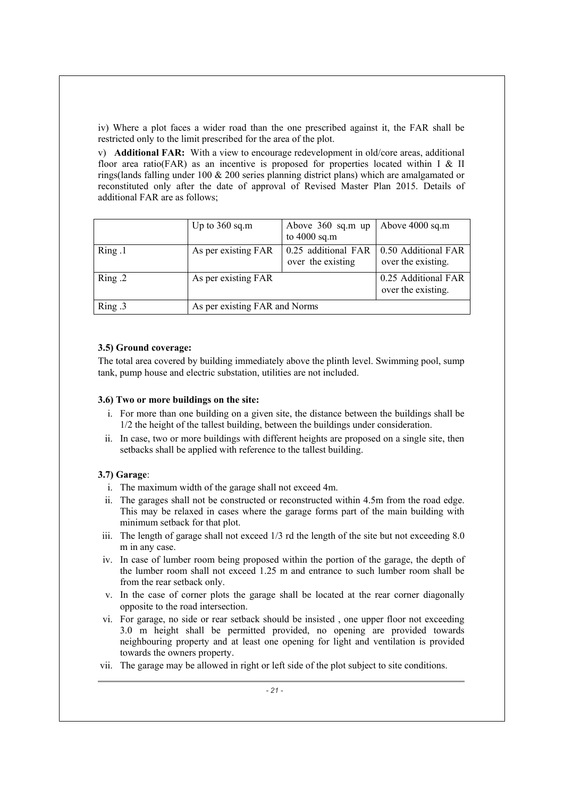iv) Where a plot faces a wider road than the one prescribed against it, the FAR shall be restricted only to the limit prescribed for the area of the plot.

v) **Additional FAR:** With a view to encourage redevelopment in old/core areas, additional floor area ratio(FAR) as an incentive is proposed for properties located within I & II rings(lands falling under 100 & 200 series planning district plans) which are amalgamated or reconstituted only after the date of approval of Revised Master Plan 2015. Details of additional FAR are as follows;

|        | Up to $360$ sq.m              | Above $360$ sq.m up<br>to $4000$ sq.m    | Above $4000$ sq.m                         |
|--------|-------------------------------|------------------------------------------|-------------------------------------------|
| Ring.1 | As per existing FAR           | 0.25 additional FAR<br>over the existing | 0.50 Additional FAR<br>over the existing. |
| Ring.2 | As per existing FAR           |                                          | 0.25 Additional FAR<br>over the existing. |
| Ring.3 | As per existing FAR and Norms |                                          |                                           |

# **3.5) Ground coverage:**

The total area covered by building immediately above the plinth level. Swimming pool, sump tank, pump house and electric substation, utilities are not included.

# **3.6) Two or more buildings on the site:**

- i. For more than one building on a given site, the distance between the buildings shall be 1/2 the height of the tallest building, between the buildings under consideration.
- ii. In case, two or more buildings with different heights are proposed on a single site, then setbacks shall be applied with reference to the tallest building.

# **3.7) Garage**:

- i. The maximum width of the garage shall not exceed 4m.
- ii. The garages shall not be constructed or reconstructed within 4.5m from the road edge. This may be relaxed in cases where the garage forms part of the main building with minimum setback for that plot.
- iii. The length of garage shall not exceed 1/3 rd the length of the site but not exceeding 8.0 m in any case.
- iv. In case of lumber room being proposed within the portion of the garage, the depth of the lumber room shall not exceed 1.25 m and entrance to such lumber room shall be from the rear setback only.
- v. In the case of corner plots the garage shall be located at the rear corner diagonally opposite to the road intersection.
- vi. For garage, no side or rear setback should be insisted , one upper floor not exceeding 3.0 m height shall be permitted provided, no opening are provided towards neighbouring property and at least one opening for light and ventilation is provided towards the owners property.
- vii. The garage may be allowed in right or left side of the plot subject to site conditions.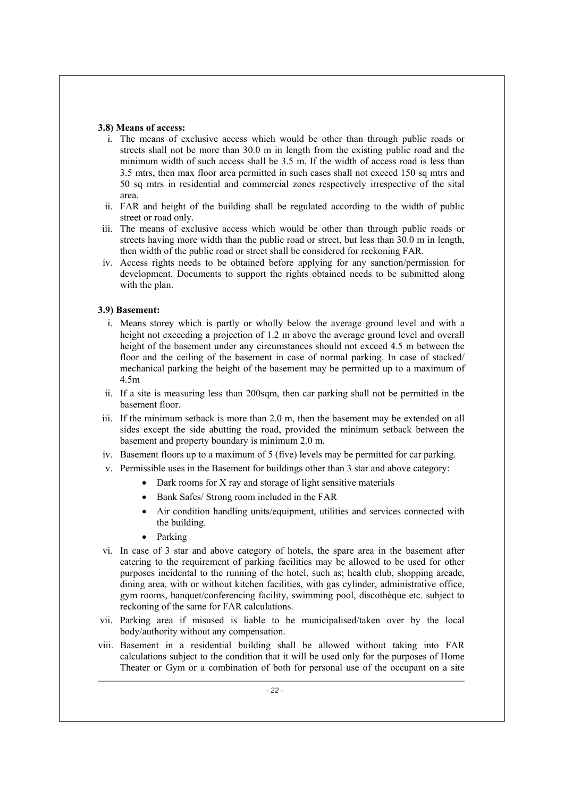#### **3.8) Means of access:**

- i. The means of exclusive access which would be other than through public roads or streets shall not be more than 30.0 m in length from the existing public road and the minimum width of such access shall be 3.5 m. If the width of access road is less than 3.5 mtrs, then max floor area permitted in such cases shall not exceed 150 sq mtrs and 50 sq mtrs in residential and commercial zones respectively irrespective of the sital area.
- ii. FAR and height of the building shall be regulated according to the width of public street or road only.
- iii. The means of exclusive access which would be other than through public roads or streets having more width than the public road or street, but less than 30.0 m in length, then width of the public road or street shall be considered for reckoning FAR.
- iv. Access rights needs to be obtained before applying for any sanction/permission for development. Documents to support the rights obtained needs to be submitted along with the plan.

# **3.9) Basement:**

- i. Means storey which is partly or wholly below the average ground level and with a height not exceeding a projection of 1.2 m above the average ground level and overall height of the basement under any circumstances should not exceed 4.5 m between the floor and the ceiling of the basement in case of normal parking. In case of stacked/ mechanical parking the height of the basement may be permitted up to a maximum of 4.5m
- ii. If a site is measuring less than 200sqm, then car parking shall not be permitted in the basement floor.
- iii. If the minimum setback is more than 2.0 m, then the basement may be extended on all sides except the side abutting the road, provided the minimum setback between the basement and property boundary is minimum 2.0 m.
- iv. Basement floors up to a maximum of 5 (five) levels may be permitted for car parking.
- v. Permissible uses in the Basement for buildings other than 3 star and above category:
	- $\bullet$  Dark rooms for X ray and storage of light sensitive materials
	- Bank Safes/ Strong room included in the FAR
	- Air condition handling units/equipment, utilities and services connected with the building.
	- $\bullet$  Parking
- vi. In case of 3 star and above category of hotels, the spare area in the basement after catering to the requirement of parking facilities may be allowed to be used for other purposes incidental to the running of the hotel, such as; health club, shopping arcade, dining area, with or without kitchen facilities, with gas cylinder, administrative office, gym rooms, banquet/conferencing facility, swimming pool, discothèque etc. subject to reckoning of the same for FAR calculations.
- vii. Parking area if misused is liable to be municipalised/taken over by the local body/authority without any compensation.
- viii. Basement in a residential building shall be allowed without taking into FAR calculations subject to the condition that it will be used only for the purposes of Home Theater or Gym or a combination of both for personal use of the occupant on a site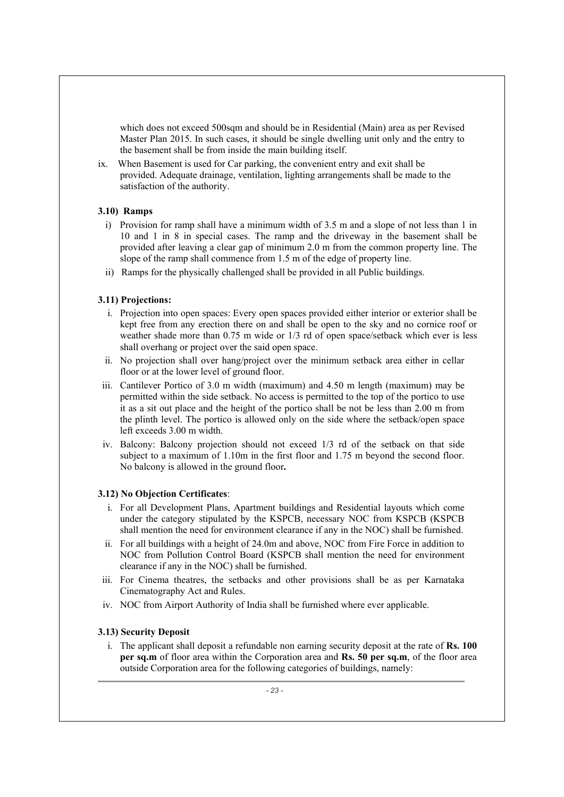which does not exceed 500sqm and should be in Residential (Main) area as per Revised Master Plan 2015. In such cases, it should be single dwelling unit only and the entry to the basement shall be from inside the main building itself.

ix. When Basement is used for Car parking, the convenient entry and exit shall be provided. Adequate drainage, ventilation, lighting arrangements shall be made to the satisfaction of the authority.

# **3.10) Ramps**

- i) Provision for ramp shall have a minimum width of 3.5 m and a slope of not less than 1 in 10 and 1 in 8 in special cases. The ramp and the driveway in the basement shall be provided after leaving a clear gap of minimum 2.0 m from the common property line. The slope of the ramp shall commence from 1.5 m of the edge of property line.
- ii) Ramps for the physically challenged shall be provided in all Public buildings.

#### **3.11) Projections:**

- i. Projection into open spaces: Every open spaces provided either interior or exterior shall be kept free from any erection there on and shall be open to the sky and no cornice roof or weather shade more than 0.75 m wide or 1/3 rd of open space/setback which ever is less shall overhang or project over the said open space.
- ii. No projection shall over hang/project over the minimum setback area either in cellar floor or at the lower level of ground floor.
- iii. Cantilever Portico of 3.0 m width (maximum) and 4.50 m length (maximum) may be permitted within the side setback. No access is permitted to the top of the portico to use it as a sit out place and the height of the portico shall be not be less than 2.00 m from the plinth level. The portico is allowed only on the side where the setback/open space left exceeds 3.00 m width.
- iv. Balcony: Balcony projection should not exceed 1/3 rd of the setback on that side subject to a maximum of 1.10m in the first floor and 1.75 m beyond the second floor. No balcony is allowed in the ground floor**.**

#### **3.12) No Objection Certificates**:

- i. For all Development Plans, Apartment buildings and Residential layouts which come under the category stipulated by the KSPCB, necessary NOC from KSPCB (KSPCB shall mention the need for environment clearance if any in the NOC) shall be furnished.
- ii. For all buildings with a height of 24.0m and above, NOC from Fire Force in addition to NOC from Pollution Control Board (KSPCB shall mention the need for environment clearance if any in the NOC) shall be furnished.
- iii. For Cinema theatres, the setbacks and other provisions shall be as per Karnataka Cinematography Act and Rules.
- iv. NOC from Airport Authority of India shall be furnished where ever applicable.

# **3.13) Security Deposit**

i. The applicant shall deposit a refundable non earning security deposit at the rate of **Rs. 100 per sq.m** of floor area within the Corporation area and **Rs. 50 per sq.m**, of the floor area outside Corporation area for the following categories of buildings, namely: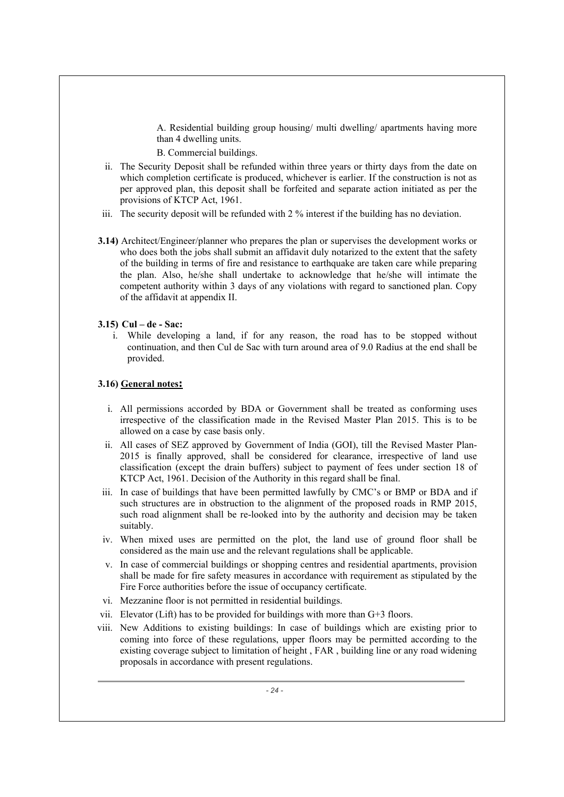A. Residential building group housing/ multi dwelling/ apartments having more than 4 dwelling units.

B. Commercial buildings.

- ii. The Security Deposit shall be refunded within three years or thirty days from the date on which completion certificate is produced, whichever is earlier. If the construction is not as per approved plan, this deposit shall be forfeited and separate action initiated as per the provisions of KTCP Act, 1961.
- iii. The security deposit will be refunded with 2 % interest if the building has no deviation.
- **3.14)** Architect/Engineer/planner who prepares the plan or supervises the development works or who does both the jobs shall submit an affidavit duly notarized to the extent that the safety of the building in terms of fire and resistance to earthquake are taken care while preparing the plan. Also, he/she shall undertake to acknowledge that he/she will intimate the competent authority within 3 days of any violations with regard to sanctioned plan. Copy of the affidavit at appendix II.

# **3.15) Cul – de - Sac:**

i. While developing a land, if for any reason, the road has to be stopped without continuation, and then Cul de Sac with turn around area of 9.0 Radius at the end shall be provided.

# **3.16) General notes:**

- i. All permissions accorded by BDA or Government shall be treated as conforming uses irrespective of the classification made in the Revised Master Plan 2015. This is to be allowed on a case by case basis only.
- ii. All cases of SEZ approved by Government of India (GOI), till the Revised Master Plan-2015 is finally approved, shall be considered for clearance, irrespective of land use classification (except the drain buffers) subject to payment of fees under section 18 of KTCP Act, 1961. Decision of the Authority in this regard shall be final.
- iii. In case of buildings that have been permitted lawfully by CMC's or BMP or BDA and if such structures are in obstruction to the alignment of the proposed roads in RMP 2015, such road alignment shall be re-looked into by the authority and decision may be taken suitably.
- iv. When mixed uses are permitted on the plot, the land use of ground floor shall be considered as the main use and the relevant regulations shall be applicable.
- v. In case of commercial buildings or shopping centres and residential apartments, provision shall be made for fire safety measures in accordance with requirement as stipulated by the Fire Force authorities before the issue of occupancy certificate.
- vi. Mezzanine floor is not permitted in residential buildings.
- vii. Elevator (Lift) has to be provided for buildings with more than G+3 floors.
- viii. New Additions to existing buildings: In case of buildings which are existing prior to coming into force of these regulations, upper floors may be permitted according to the existing coverage subject to limitation of height , FAR , building line or any road widening proposals in accordance with present regulations.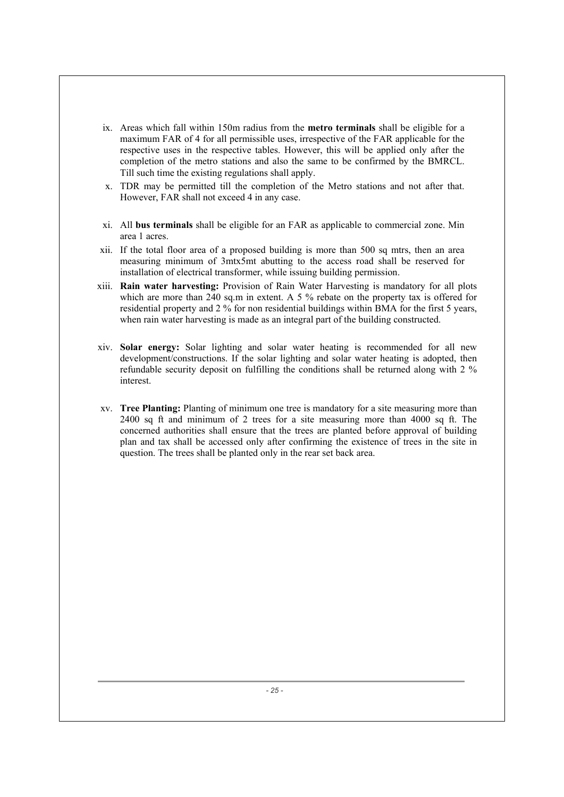- ix. Areas which fall within 150m radius from the **metro terminals** shall be eligible for a maximum FAR of 4 for all permissible uses, irrespective of the FAR applicable for the respective uses in the respective tables. However, this will be applied only after the completion of the metro stations and also the same to be confirmed by the BMRCL. Till such time the existing regulations shall apply.
- x. TDR may be permitted till the completion of the Metro stations and not after that. However, FAR shall not exceed 4 in any case.
- xi. All **bus terminals** shall be eligible for an FAR as applicable to commercial zone. Min area 1 acres.
- xii. If the total floor area of a proposed building is more than 500 sq mtrs, then an area measuring minimum of 3mtx5mt abutting to the access road shall be reserved for installation of electrical transformer, while issuing building permission.
- xiii. **Rain water harvesting:** Provision of Rain Water Harvesting is mandatory for all plots which are more than 240 sq.m in extent. A 5  $\%$  rebate on the property tax is offered for residential property and 2 % for non residential buildings within BMA for the first 5 years, when rain water harvesting is made as an integral part of the building constructed.
- xiv. **Solar energy:** Solar lighting and solar water heating is recommended for all new development/constructions. If the solar lighting and solar water heating is adopted, then refundable security deposit on fulfilling the conditions shall be returned along with 2 % interest.
- xv. **Tree Planting:** Planting of minimum one tree is mandatory for a site measuring more than 2400 sq ft and minimum of 2 trees for a site measuring more than 4000 sq ft. The concerned authorities shall ensure that the trees are planted before approval of building plan and tax shall be accessed only after confirming the existence of trees in the site in question. The trees shall be planted only in the rear set back area.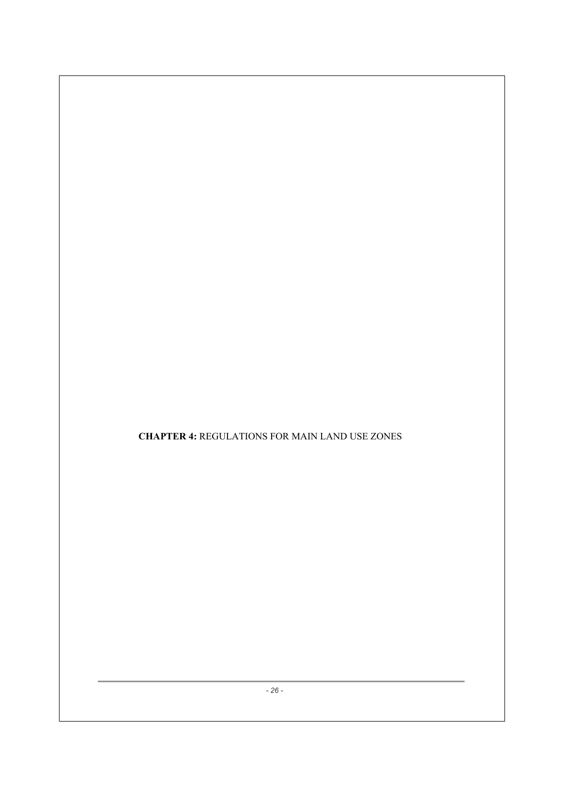**CHAPTER 4:** REGULATIONS FOR MAIN LAND USE ZONES

*- 26 -*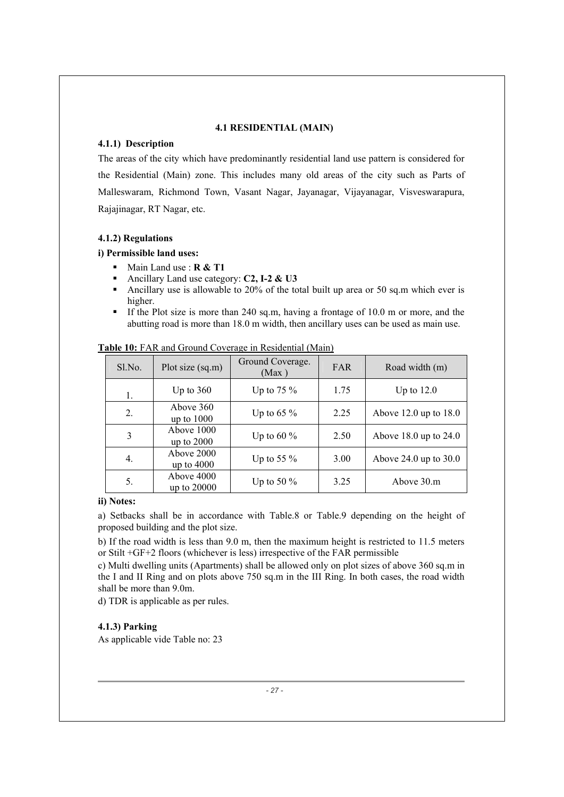# **4.1 RESIDENTIAL (MAIN)**

# **4.1.1) Description**

The areas of the city which have predominantly residential land use pattern is considered for the Residential (Main) zone. This includes many old areas of the city such as Parts of Malleswaram, Richmond Town, Vasant Nagar, Jayanagar, Vijayanagar, Visveswarapura, Rajajinagar, RT Nagar, etc.

# **4.1.2) Regulations**

# **i) Permissible land uses:**

- Main Land use : **R & T1**
- Ancillary Land use category: **C2, I-2 & U3**
- Ancillary use is allowable to 20% of the total built up area or 50 sq.m which ever is higher.
- If the Plot size is more than 240 sq.m, having a frontage of 10.0 m or more, and the abutting road is more than 18.0 m width, then ancillary uses can be used as main use.

| Sl.No. | Plot size (sq.m)           | Ground Coverage.<br>(Max) | <b>FAR</b> | Road width (m)            |
|--------|----------------------------|---------------------------|------------|---------------------------|
| 1.     | Up to $360$                | Up to 75 $\%$             | 1.75       | Up to $12.0$              |
| 2.     | Above 360<br>up to $1000$  | Up to 65 $\%$             | 2.25       | Above $12.0$ up to $18.0$ |
| 3      | Above 1000<br>up to $2000$ | Up to 60 $\%$             | 2.50       | Above $18.0$ up to $24.0$ |
| 4.     | Above 2000<br>up to $4000$ | Up to 55 $\%$             | 3.00       | Above $24.0$ up to $30.0$ |
| 5.     | Above 4000<br>up to 20000  | Up to 50 $\%$             | 3.25       | Above 30.m                |

# **Table 10:** FAR and Ground Coverage in Residential (Main)

#### **ii) Notes:**

a) Setbacks shall be in accordance with Table.8 or Table.9 depending on the height of proposed building and the plot size.

b) If the road width is less than 9.0 m, then the maximum height is restricted to 11.5 meters or Stilt +GF+2 floors (whichever is less) irrespective of the FAR permissible

c) Multi dwelling units (Apartments) shall be allowed only on plot sizes of above 360 sq.m in the I and II Ring and on plots above 750 sq.m in the III Ring. In both cases, the road width shall be more than 9.0m.

d) TDR is applicable as per rules.

# **4.1.3) Parking**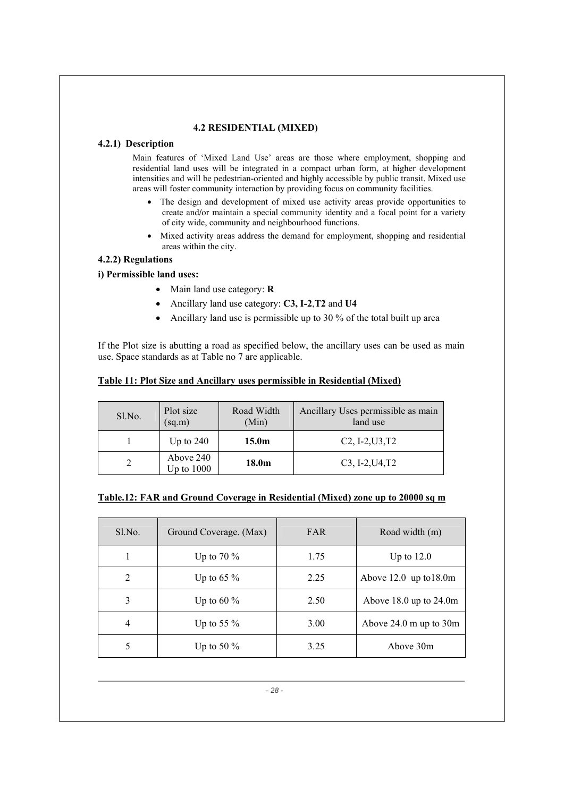# **4.2 RESIDENTIAL (MIXED)**

# **4.2.1) Description**

Main features of 'Mixed Land Use' areas are those where employment, shopping and residential land uses will be integrated in a compact urban form, at higher development intensities and will be pedestrian-oriented and highly accessible by public transit. Mixed use areas will foster community interaction by providing focus on community facilities.

- The design and development of mixed use activity areas provide opportunities to create and**/**or maintain a special community identity and a focal point for a variety of city wide, community and neighbourhood functions.
- Mixed activity areas address the demand for employment, shopping and residential areas within the city.

# **4.2.2) Regulations**

# **i) Permissible land uses:**

- Main land use category: **R**
- Ancillary land use category: **C3, I-2, T2** and **U4**
- Ancillary land use is permissible up to 30 % of the total built up area

If the Plot size is abutting a road as specified below, the ancillary uses can be used as main use. Space standards as at Table no 7 are applicable.

# **Table 11: Plot Size and Ancillary uses permissible in Residential (Mixed)**

| Sl.No. | Plot size<br>(sq.m)         | Road Width<br>(Min) | Ancillary Uses permissible as main<br>land use |
|--------|-----------------------------|---------------------|------------------------------------------------|
|        | Up to $240$                 | 15.0 <sub>m</sub>   | $C2, I-2, U3, T2$                              |
|        | Above 240<br>$Up$ to $1000$ | 18.0 <sub>m</sub>   | $C3, I-2, U4, T2$                              |

# **Table.12: FAR and Ground Coverage in Residential (Mixed) zone up to 20000 sq m**

| Sl.No. | Ground Coverage. (Max) | <b>FAR</b> | Road width (m)                              |
|--------|------------------------|------------|---------------------------------------------|
|        | Up to 70 $\%$          | 1.75       | Up to $12.0$                                |
| 2      | Up to 65 $\%$          | 2.25       | Above $12.0 \text{ up to } 18.0 \text{m}$   |
| 3      | Up to 60 $\%$          | 2.50       | Above $18.0$ up to $24.0$ m                 |
| 4      | Up to 55 $\%$          | 3.00       | Above $24.0 \text{ m}$ up to $30 \text{ m}$ |
| 5      | Up to 50 $\%$          | 3.25       | Above 30m                                   |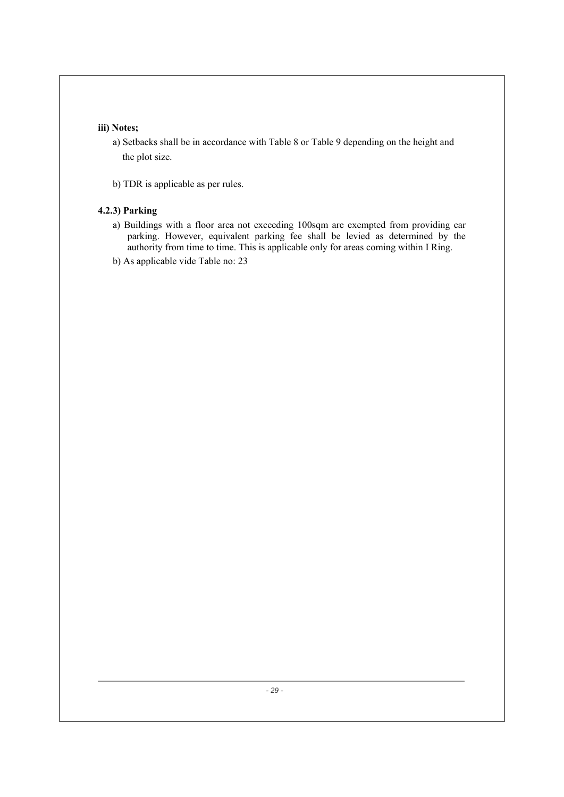# **iii) Notes;**

- a) Setbacks shall be in accordance with Table 8 or Table 9 depending on the height and the plot size.
- b) TDR is applicable as per rules.

# **4.2.3) Parking**

- a) Buildings with a floor area not exceeding 100sqm are exempted from providing car parking. However, equivalent parking fee shall be levied as determined by the authority from time to time. This is applicable only for areas coming within I Ring.
- b) As applicable vide Table no: 23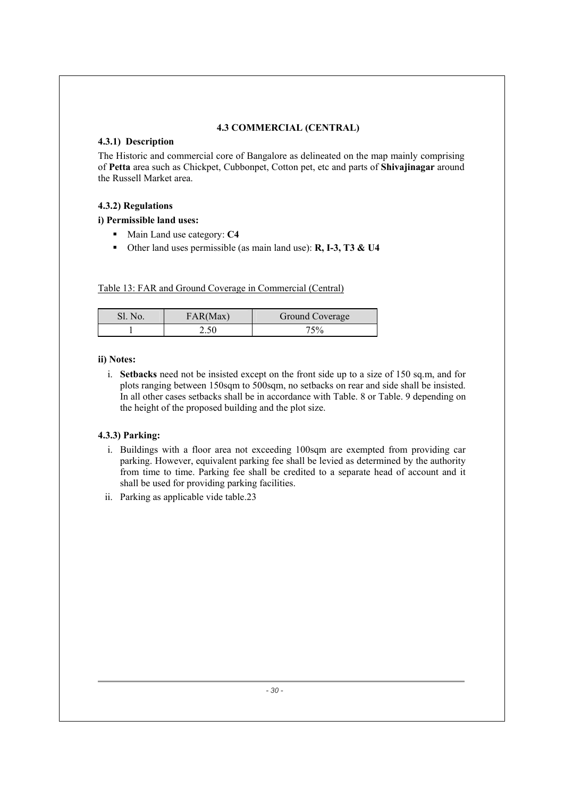# **4.3 COMMERCIAL (CENTRAL)**

# **4.3.1) Description**

The Historic and commercial core of Bangalore as delineated on the map mainly comprising of **Petta** area such as Chickpet, Cubbonpet, Cotton pet, etc and parts of **Shivajinagar** around the Russell Market area.

# **4.3.2) Regulations**

**i) Permissible land uses:** 

- Main Land use category: **C4**
- Other land uses permissible (as main land use): **R, I-3, T3 & U4**

Table 13: FAR and Ground Coverage in Commercial (Central)

| Sl. No. | FAR(Max) | Ground Coverage |
|---------|----------|-----------------|
|         | 2.50     | "ና%             |

# **ii) Notes:**

i. **Setbacks** need not be insisted except on the front side up to a size of 150 sq.m, and for plots ranging between 150sqm to 500sqm, no setbacks on rear and side shall be insisted. In all other cases setbacks shall be in accordance with Table. 8 or Table. 9 depending on the height of the proposed building and the plot size.

# **4.3.3) Parking:**

- i. Buildings with a floor area not exceeding 100sqm are exempted from providing car parking. However, equivalent parking fee shall be levied as determined by the authority from time to time. Parking fee shall be credited to a separate head of account and it shall be used for providing parking facilities.
- ii. Parking as applicable vide table.23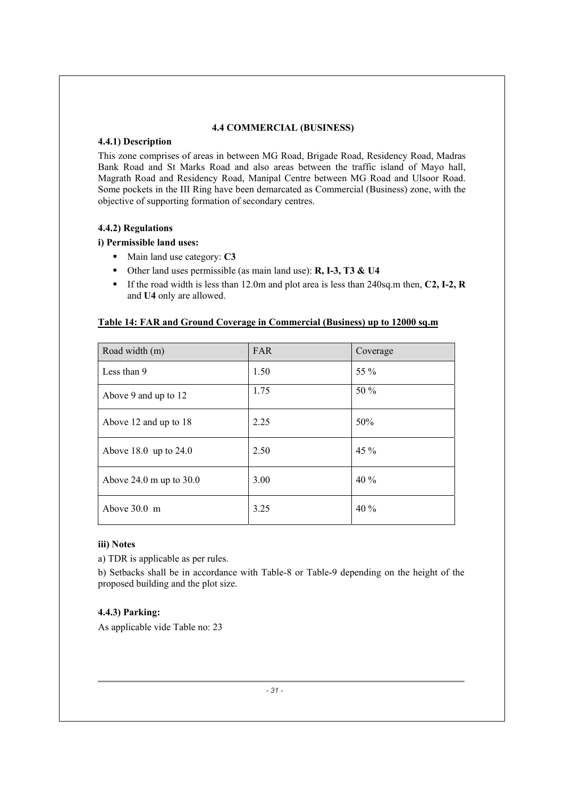# **4.4 COMMERCIAL (BUSINESS)**

# **4.4.1) Description**

This zone comprises of areas in between MG Road, Brigade Road, Residency Road, Madras Bank Road and St Marks Road and also areas between the traffic island of Mayo hall, Magrath Road and Residency Road, Manipal Centre between MG Road and Ulsoor Road. Some pockets in the III Ring have been demarcated as Commercial (Business) zone, with the objective of supporting formation of secondary centres.

# **4.4.2) Regulations**

# **i) Permissible land uses:**

- Main land use category: **C3**
- Other land uses permissible (as main land use): **R, I-3, T3 & U4**
- If the road width is less than 12.0m and plot area is less than 240sq.m then, **C2, I-2, R** and **U4** only are allowed.

# **Table 14: FAR and Ground Coverage in Commercial (Business) up to 12000 sq.m**

| Road width (m)                                | <b>FAR</b> | Coverage |
|-----------------------------------------------|------------|----------|
| Less than 9                                   | 1.50       | 55 %     |
| Above 9 and up to 12                          | 1.75       | 50 %     |
| Above 12 and up to 18                         | 2.25       | 50%      |
| Above 18.0 up to $24.0$                       | 2.50       | 45 %     |
| Above $24.0 \text{ m}$ up to $30.0 \text{ m}$ | 3.00       | 40%      |
| Above 30.0 m                                  | 3.25       | 40 %     |

# **iii) Notes**

a) TDR is applicable as per rules.

b) Setbacks shall be in accordance with Table-8 or Table-9 depending on the height of the proposed building and the plot size.

# **4.4.3) Parking:**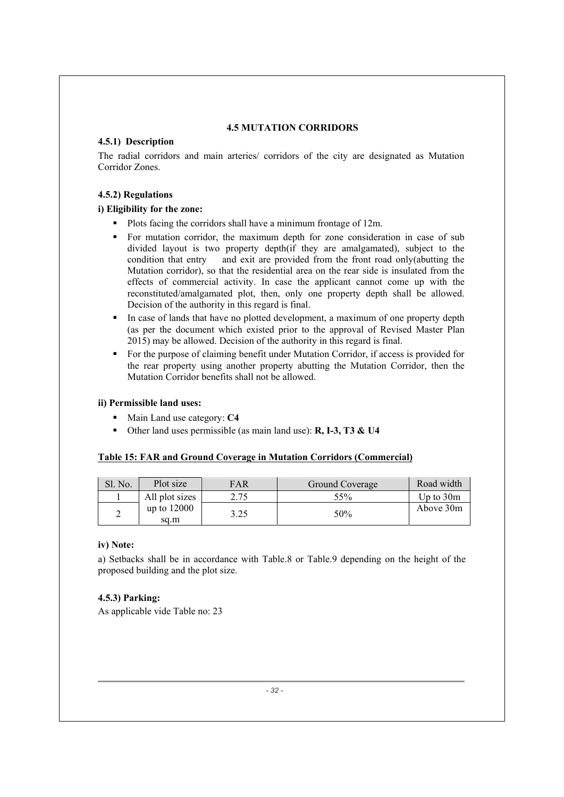# **4.5 MUTATION CORRIDORS**

# **4.5.1) Description**

The radial corridors and main arteries/ corridors of the city are designated as Mutation Corridor Zones.

# **4.5.2) Regulations**

# **i) Eligibility for the zone:**

- Plots facing the corridors shall have a minimum frontage of 12m.
- For mutation corridor, the maximum depth for zone consideration in case of sub divided layout is two property depth(if they are amalgamated), subject to the condition that entry and exit are provided from the front road only(abutting the Mutation corridor), so that the residential area on the rear side is insulated from the effects of commercial activity. In case the applicant cannot come up with the reconstituted/amalgamated plot, then, only one property depth shall be allowed. Decision of the authority in this regard is final.
- In case of lands that have no plotted development, a maximum of one property depth (as per the document which existed prior to the approval of Revised Master Plan 2015) may be allowed. Decision of the authority in this regard is final.
- For the purpose of claiming benefit under Mutation Corridor, if access is provided for the rear property using another property abutting the Mutation Corridor, then the Mutation Corridor benefits shall not be allowed.

# **ii) Permissible land uses:**

- Main Land use category: **C4**
- Other land uses permissible (as main land use): **R, I-3, T3 & U4**

#### **Table 15: FAR and Ground Coverage in Mutation Corridors (Commercial)**

| Sl. No. | Plot size             | FAR  | Ground Coverage | Road width  |
|---------|-----------------------|------|-----------------|-------------|
|         | All plot sizes        | 2.75 | 55%             | Up to $30m$ |
|         | up to $12000$<br>sa.m | 3.25 | 50%             | Above 30m   |

# **iv) Note:**

a) Setbacks shall be in accordance with Table.8 or Table.9 depending on the height of the proposed building and the plot size.

# **4.5.3) Parking:**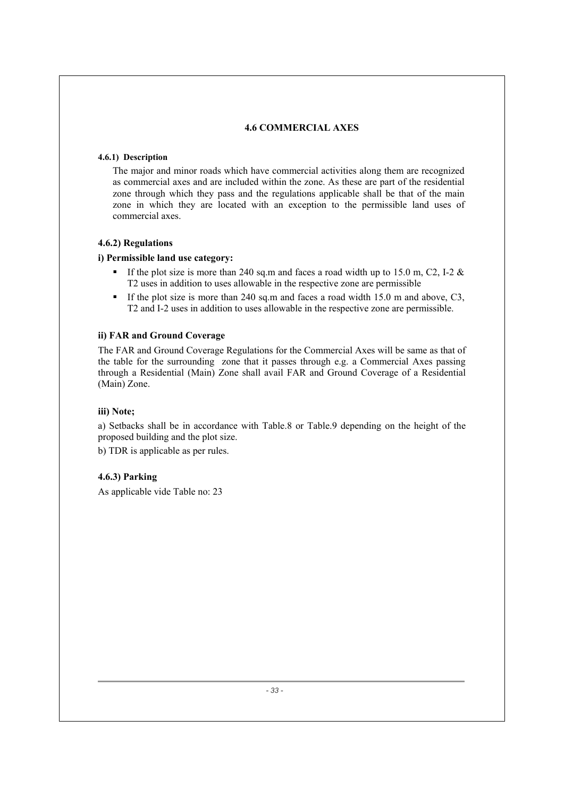# **4.6 COMMERCIAL AXES**

# **4.6.1) Description**

The major and minor roads which have commercial activities along them are recognized as commercial axes and are included within the zone. As these are part of the residential zone through which they pass and the regulations applicable shall be that of the main zone in which they are located with an exception to the permissible land uses of commercial axes.

# **4.6.2) Regulations**

# **i) Permissible land use category:**

- If the plot size is more than 240 sq.m and faces a road width up to 15.0 m, C2, I-2  $\&$ T2 uses in addition to uses allowable in the respective zone are permissible
- If the plot size is more than 240 sq.m and faces a road width 15.0 m and above,  $C3$ , T2 and I-2 uses in addition to uses allowable in the respective zone are permissible.

# **ii) FAR and Ground Coverage**

The FAR and Ground Coverage Regulations for the Commercial Axes will be same as that of the table for the surrounding zone that it passes through e.g. a Commercial Axes passing through a Residential (Main) Zone shall avail FAR and Ground Coverage of a Residential (Main) Zone.

# **iii) Note;**

a) Setbacks shall be in accordance with Table.8 or Table.9 depending on the height of the proposed building and the plot size.

b) TDR is applicable as per rules.

# **4.6.3) Parking**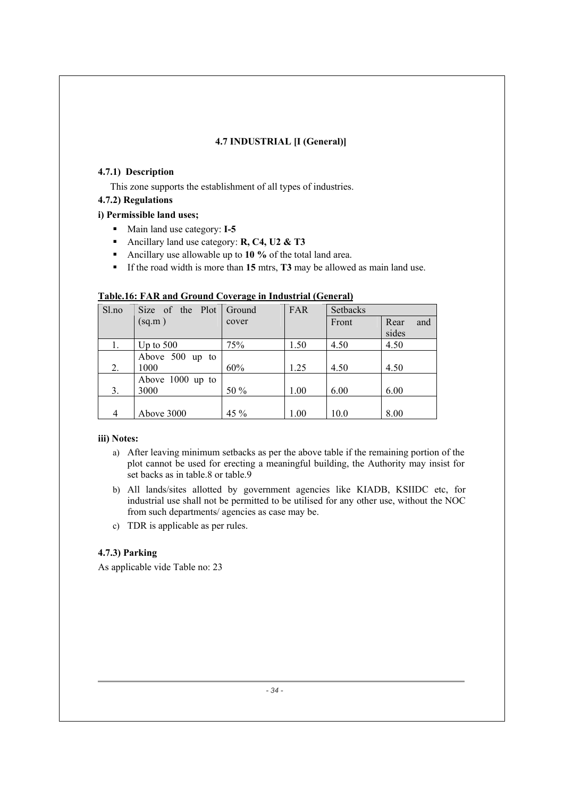# **4.7 INDUSTRIAL [I (General)]**

# **4.7.1) Description**

This zone supports the establishment of all types of industries.

# **4.7.2) Regulations**

# **i) Permissible land uses;**

- Main land use category: **I-5**
- Ancillary land use category: **R, C4, U2 & T3**
- Ancillary use allowable up to **10 %** of the total land area.
- If the road width is more than 15 mtrs, **T3** may be allowed as main land use.

| Table.16: FAR and Ground Coverage in Industrial (General) |  |
|-----------------------------------------------------------|--|
|                                                           |  |

| Sl.no | Size of the Plot   | Ground | <b>FAR</b> | Setbacks |             |
|-------|--------------------|--------|------------|----------|-------------|
|       | (sq.m)             | cover  |            | Front    | Rear<br>and |
|       |                    |        |            |          | sides       |
| 1.    | Up to $500$        | 75%    | 1.50       | 4.50     | 4.50        |
|       | Above 500<br>up to |        |            |          |             |
| 2.    | 1000               | 60%    | 1.25       | 4.50     | 4.50        |
|       | Above $1000$ up to |        |            |          |             |
| 3.    | 3000               | 50 %   | 1.00       | 6.00     | 6.00        |
|       |                    |        |            |          |             |
| 4     | Above 3000         | 45 %   | 1.00       | 10.0     | 8.00        |

# **iii) Notes:**

- a) After leaving minimum setbacks as per the above table if the remaining portion of the plot cannot be used for erecting a meaningful building, the Authority may insist for set backs as in table.8 or table.9
- b) All lands/sites allotted by government agencies like KIADB, KSIIDC etc, for industrial use shall not be permitted to be utilised for any other use, without the NOC from such departments/ agencies as case may be.
- c) TDR is applicable as per rules.

# **4.7.3) Parking**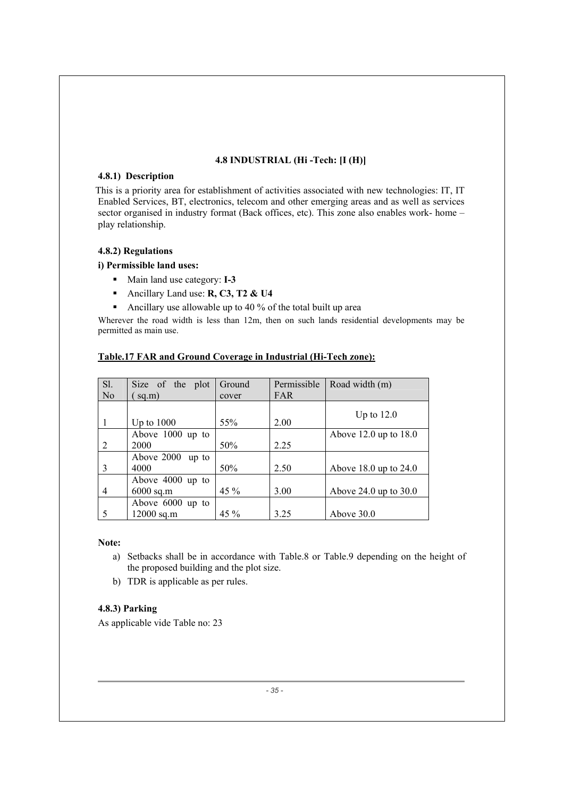# **4.8 INDUSTRIAL (Hi -Tech: [I (H)]**

# **4.8.1) Description**

 This is a priority area for establishment of activities associated with new technologies: IT, IT Enabled Services, BT, electronics, telecom and other emerging areas and as well as services sector organised in industry format (Back offices, etc). This zone also enables work- home – play relationship.

# **4.8.2) Regulations**

# **i) Permissible land uses:**

- Main land use category: **I-3**
- Ancillary Land use: **R, C3, T2 & U4**
- Ancillary use allowable up to 40 % of the total built up area

Wherever the road width is less than 12m, then on such lands residential developments may be permitted as main use.

| Sl.            | Size of the plot                | Ground  | Permissible | Road width (m)            |
|----------------|---------------------------------|---------|-------------|---------------------------|
| N <sub>o</sub> | sq.m)                           | cover   | <b>FAR</b>  |                           |
|                | Up to $1000$                    | 55%     | 2.00        | Up to $12.0$              |
| 2              | Above 1000 up to<br>2000        | 50%     | 2.25        | Above $12.0$ up to $18.0$ |
| 3              | Above 2000 up to<br>4000        | 50%     | 2.50        | Above $18.0$ up to $24.0$ |
| 4              | Above 4000 up to<br>$6000$ sq.m | $45 \%$ | 3.00        | Above 24.0 up to $30.0$   |
| 5              | Above 6000 up to<br>12000 sq.m  | 45 %    | 3.25        | Above 30.0                |

# **Table.17 FAR and Ground Coverage in Industrial (Hi-Tech zone):**

# **Note:**

- a) Setbacks shall be in accordance with Table.8 or Table.9 depending on the height of the proposed building and the plot size.
- b) TDR is applicable as per rules.

# **4.8.3) Parking**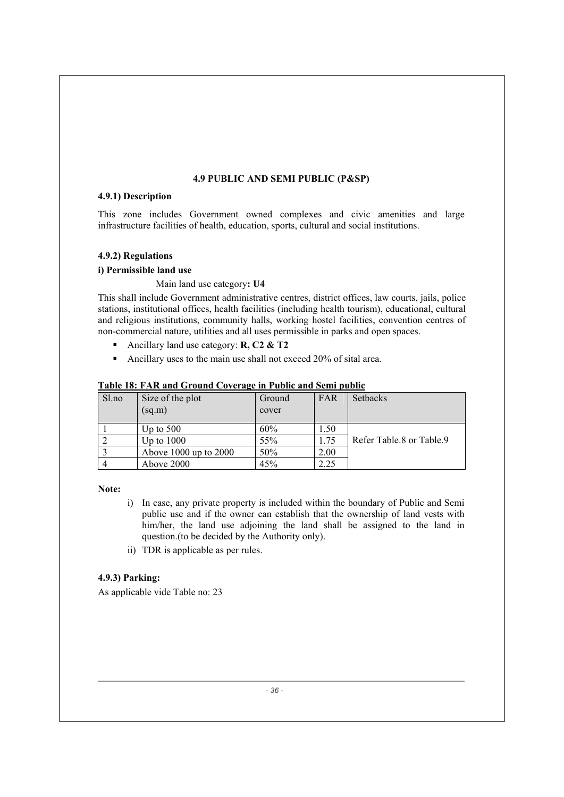#### **4.9 PUBLIC AND SEMI PUBLIC (P&SP)**

#### **4.9.1) Description**

This zone includes Government owned complexes and civic amenities and large infrastructure facilities of health, education, sports, cultural and social institutions.

# **4.9.2) Regulations**

# **i) Permissible land use**

# Main land use category**: U4**

This shall include Government administrative centres, district offices, law courts, jails, police stations, institutional offices, health facilities (including health tourism), educational, cultural and religious institutions, community halls, working hostel facilities, convention centres of non-commercial nature, utilities and all uses permissible in parks and open spaces.

- Ancillary land use category: **R, C2 & T2**
- Ancillary uses to the main use shall not exceed 20% of sital area.

| Sl.no | Size of the plot<br>(sq.m) | Ground<br>cover | FAR  | Setbacks                 |
|-------|----------------------------|-----------------|------|--------------------------|
|       | Up to $500$                | 60%             | 1.50 |                          |
|       | Up to $1000$               | 55%             | 1.75 | Refer Table 8 or Table 9 |
|       | Above $1000$ up to $2000$  | 50%             | 2.00 |                          |
|       | Above 2000                 | 45%             | 2.25 |                          |

#### **Table 18: FAR and Ground Coverage in Public and Semi public**

**Note:** 

- i) In case, any private property is included within the boundary of Public and Semi public use and if the owner can establish that the ownership of land vests with him/her, the land use adjoining the land shall be assigned to the land in question.(to be decided by the Authority only).
- ii) TDR is applicable as per rules.

# **4.9.3) Parking:**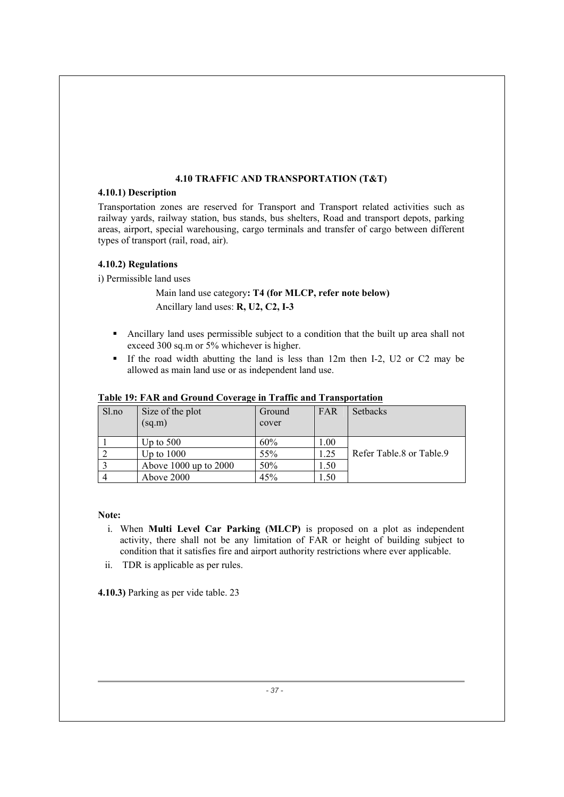# **4.10 TRAFFIC AND TRANSPORTATION (T&T)**

# **4.10.1) Description**

Transportation zones are reserved for Transport and Transport related activities such as railway yards, railway station, bus stands, bus shelters, Road and transport depots, parking areas, airport, special warehousing, cargo terminals and transfer of cargo between different types of transport (rail, road, air).

# **4.10.2) Regulations**

i) Permissible land uses

 Main land use category**: T4 (for MLCP, refer note below)**  Ancillary land uses: **R, U2, C2, I-3** 

- Ancillary land uses permissible subject to a condition that the built up area shall not exceed 300 sq.m or 5% whichever is higher.
- If the road width abutting the land is less than  $12m$  then I-2, U2 or C2 may be allowed as main land use or as independent land use.

| Sl.no | Size of the plot<br>(sq.m) | Ground<br>cover | FAR  | <b>Setbacks</b>          |
|-------|----------------------------|-----------------|------|--------------------------|
|       | Up to $500$                | 60%             | 1.00 |                          |
|       | Up to $1000$               | 55%             | l.25 | Refer Table.8 or Table.9 |
|       | Above $1000$ up to $2000$  | 50%             | 1.50 |                          |
|       | Above 2000                 | 45%             | 1.50 |                          |

# **Table 19: FAR and Ground Coverage in Traffic and Transportation**

**Note:** 

- i. When **Multi Level Car Parking (MLCP)** is proposed on a plot as independent activity, there shall not be any limitation of FAR or height of building subject to condition that it satisfies fire and airport authority restrictions where ever applicable.
- ii. TDR is applicable as per rules.

**4.10.3)** Parking as per vide table. 23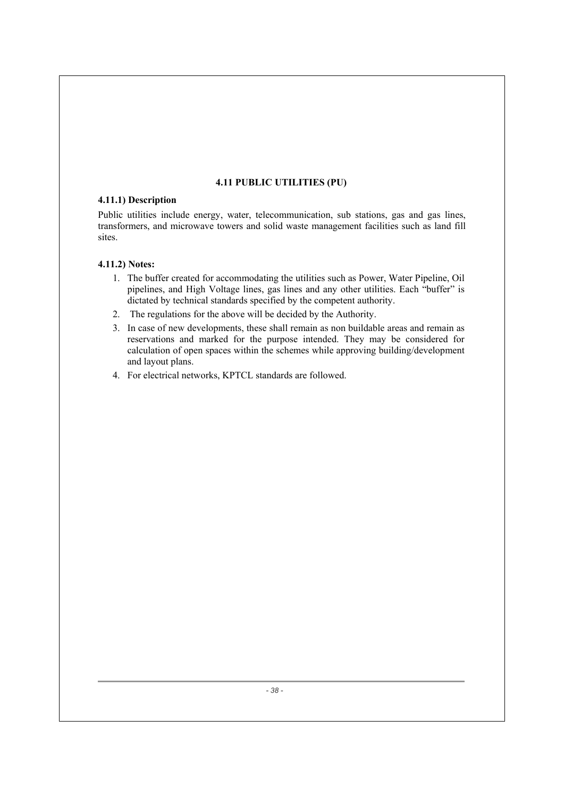# **4.11 PUBLIC UTILITIES (PU)**

# **4.11.1) Description**

Public utilities include energy, water, telecommunication, sub stations, gas and gas lines, transformers, and microwave towers and solid waste management facilities such as land fill sites.

# **4.11.2) Notes:**

- 1. The buffer created for accommodating the utilities such as Power, Water Pipeline, Oil pipelines, and High Voltage lines, gas lines and any other utilities. Each "buffer" is dictated by technical standards specified by the competent authority.
- 2. The regulations for the above will be decided by the Authority.
- 3. In case of new developments, these shall remain as non buildable areas and remain as reservations and marked for the purpose intended. They may be considered for calculation of open spaces within the schemes while approving building/development and layout plans.
- 4. For electrical networks, KPTCL standards are followed.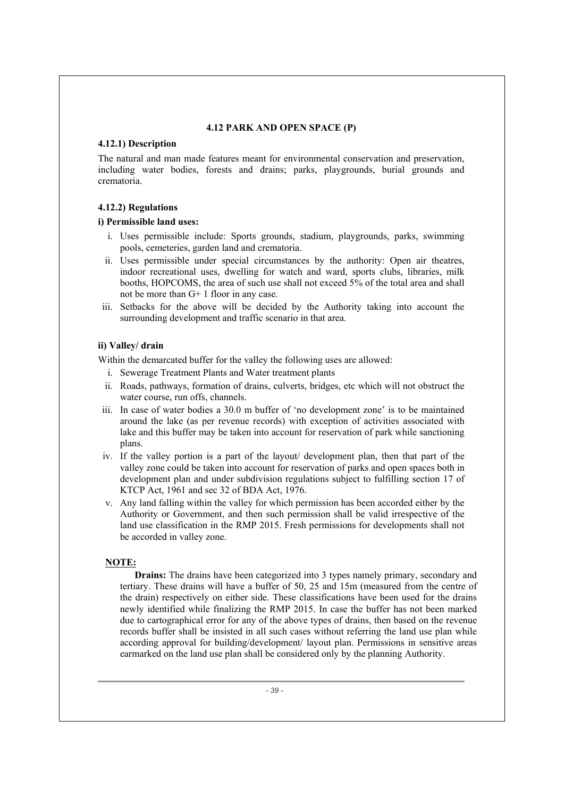# **4.12 PARK AND OPEN SPACE (P)**

# **4.12.1) Description**

The natural and man made features meant for environmental conservation and preservation, including water bodies, forests and drains; parks, playgrounds, burial grounds and crematoria.

# **4.12.2) Regulations**

# **i) Permissible land uses:**

- i. Uses permissible include: Sports grounds, stadium, playgrounds, parks, swimming pools, cemeteries, garden land and crematoria.
- ii. Uses permissible under special circumstances by the authority: Open air theatres, indoor recreational uses, dwelling for watch and ward, sports clubs, libraries, milk booths, HOPCOMS, the area of such use shall not exceed 5% of the total area and shall not be more than G+ 1 floor in any case.
- iii. Setbacks for the above will be decided by the Authority taking into account the surrounding development and traffic scenario in that area.

# **ii) Valley/ drain**

Within the demarcated buffer for the valley the following uses are allowed:

- i. Sewerage Treatment Plants and Water treatment plants
- ii. Roads, pathways, formation of drains, culverts, bridges, etc which will not obstruct the water course, run offs, channels.
- iii. In case of water bodies a 30.0 m buffer of 'no development zone' is to be maintained around the lake (as per revenue records) with exception of activities associated with lake and this buffer may be taken into account for reservation of park while sanctioning plans.
- iv. If the valley portion is a part of the layout/ development plan, then that part of the valley zone could be taken into account for reservation of parks and open spaces both in development plan and under subdivision regulations subject to fulfilling section 17 of KTCP Act, 1961 and sec 32 of BDA Act, 1976.
- v. Any land falling within the valley for which permission has been accorded either by the Authority or Government, and then such permission shall be valid irrespective of the land use classification in the RMP 2015. Fresh permissions for developments shall not be accorded in valley zone.

# **NOTE:**

**Drains:** The drains have been categorized into 3 types namely primary, secondary and tertiary. These drains will have a buffer of 50, 25 and 15m (measured from the centre of the drain) respectively on either side. These classifications have been used for the drains newly identified while finalizing the RMP 2015. In case the buffer has not been marked due to cartographical error for any of the above types of drains, then based on the revenue records buffer shall be insisted in all such cases without referring the land use plan while according approval for building/development/ layout plan. Permissions in sensitive areas earmarked on the land use plan shall be considered only by the planning Authority.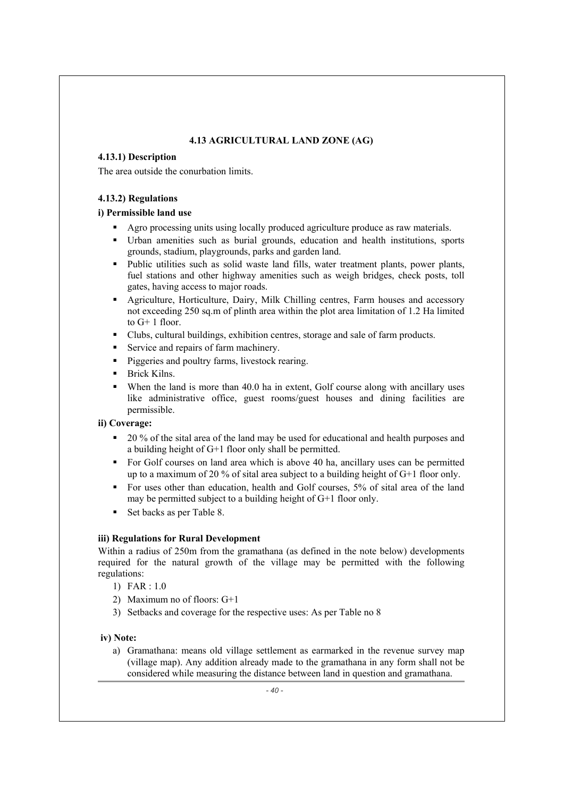# **4.13 AGRICULTURAL LAND ZONE (AG)**

# **4.13.1) Description**

The area outside the conurbation limits.

# **4.13.2) Regulations**

# **i) Permissible land use**

- Agro processing units using locally produced agriculture produce as raw materials.
- Urban amenities such as burial grounds, education and health institutions, sports grounds, stadium, playgrounds, parks and garden land.
- Public utilities such as solid waste land fills, water treatment plants, power plants, fuel stations and other highway amenities such as weigh bridges, check posts, toll gates, having access to major roads.
- Agriculture, Horticulture, Dairy, Milk Chilling centres, Farm houses and accessory not exceeding 250 sq.m of plinth area within the plot area limitation of 1.2 Ha limited to G+ 1 floor.
- Clubs, cultural buildings, exhibition centres, storage and sale of farm products.
- Service and repairs of farm machinery.
- **Piggeries and poultry farms, livestock rearing.**
- **Brick Kilns.**
- When the land is more than 40.0 ha in extent, Golf course along with ancillary uses like administrative office, guest rooms/guest houses and dining facilities are permissible.

# **ii) Coverage:**

- 20 % of the sital area of the land may be used for educational and health purposes and a building height of G+1 floor only shall be permitted.
- For Golf courses on land area which is above 40 ha, ancillary uses can be permitted up to a maximum of 20 % of sital area subject to a building height of G+1 floor only.
- For uses other than education, health and Golf courses, 5% of sital area of the land may be permitted subject to a building height of G+1 floor only.
- Set backs as per Table 8.

# **iii) Regulations for Rural Development**

Within a radius of 250m from the gramathana (as defined in the note below) developments required for the natural growth of the village may be permitted with the following regulations:

- 1) FAR : 1.0
- 2) Maximum no of floors: G+1
- 3) Setbacks and coverage for the respective uses: As per Table no 8

# **iv) Note:**

a) Gramathana: means old village settlement as earmarked in the revenue survey map (village map). Any addition already made to the gramathana in any form shall not be considered while measuring the distance between land in question and gramathana.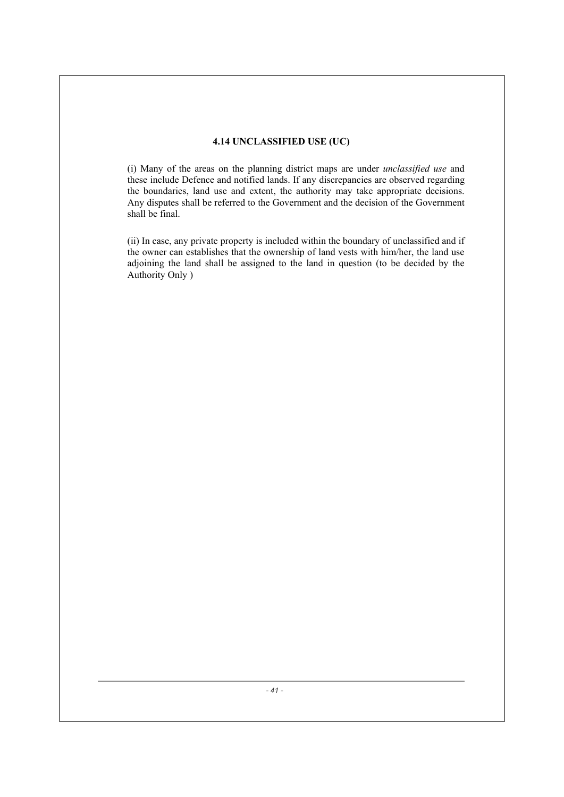# **4.14 UNCLASSIFIED USE (UC)**

(i) Many of the areas on the planning district maps are under *unclassified use* and these include Defence and notified lands. If any discrepancies are observed regarding the boundaries, land use and extent, the authority may take appropriate decisions. Any disputes shall be referred to the Government and the decision of the Government shall be final.

(ii) In case, any private property is included within the boundary of unclassified and if the owner can establishes that the ownership of land vests with him/her, the land use adjoining the land shall be assigned to the land in question (to be decided by the Authority Only )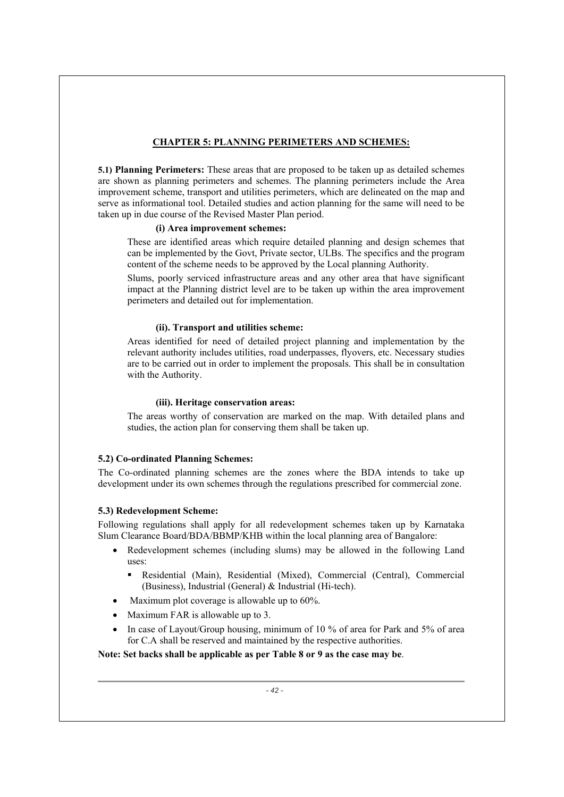# **CHAPTER 5: PLANNING PERIMETERS AND SCHEMES:**

**5.1) Planning Perimeters:** These areas that are proposed to be taken up as detailed schemes are shown as planning perimeters and schemes. The planning perimeters include the Area improvement scheme, transport and utilities perimeters, which are delineated on the map and serve as informational tool. Detailed studies and action planning for the same will need to be taken up in due course of the Revised Master Plan period.

#### **(i) Area improvement schemes:**

These are identified areas which require detailed planning and design schemes that can be implemented by the Govt, Private sector, ULBs. The specifics and the program content of the scheme needs to be approved by the Local planning Authority.

Slums, poorly serviced infrastructure areas and any other area that have significant impact at the Planning district level are to be taken up within the area improvement perimeters and detailed out for implementation.

# **(ii). Transport and utilities scheme:**

Areas identified for need of detailed project planning and implementation by the relevant authority includes utilities, road underpasses, flyovers, etc. Necessary studies are to be carried out in order to implement the proposals. This shall be in consultation with the Authority.

#### **(iii). Heritage conservation areas:**

The areas worthy of conservation are marked on the map. With detailed plans and studies, the action plan for conserving them shall be taken up.

# **5.2) Co-ordinated Planning Schemes:**

The Co-ordinated planning schemes are the zones where the BDA intends to take up development under its own schemes through the regulations prescribed for commercial zone.

# **5.3) Redevelopment Scheme:**

Following regulations shall apply for all redevelopment schemes taken up by Karnataka Slum Clearance Board/BDA/BBMP/KHB within the local planning area of Bangalore:

- Redevelopment schemes (including slums) may be allowed in the following Land uses:
	- Residential (Main), Residential (Mixed), Commercial (Central), Commercial (Business), Industrial (General) & Industrial (Hi-tech).
- Maximum plot coverage is allowable up to  $60\%$ .
- Maximum FAR is allowable up to 3.
- In case of Layout/Group housing, minimum of 10 % of area for Park and 5% of area for C.A shall be reserved and maintained by the respective authorities.

**Note: Set backs shall be applicable as per Table 8 or 9 as the case may be**.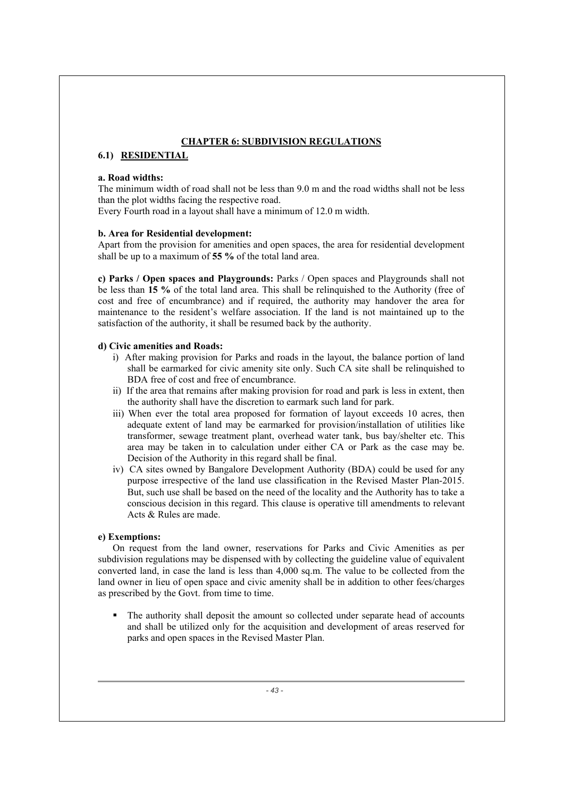# **CHAPTER 6: SUBDIVISION REGULATIONS**

# **6.1) RESIDENTIAL**

#### **a. Road widths:**

The minimum width of road shall not be less than 9.0 m and the road widths shall not be less than the plot widths facing the respective road.

Every Fourth road in a layout shall have a minimum of 12.0 m width.

# **b. Area for Residential development:**

Apart from the provision for amenities and open spaces, the area for residential development shall be up to a maximum of **55 %** of the total land area.

**c) Parks / Open spaces and Playgrounds:** Parks / Open spaces and Playgrounds shall not be less than **15 %** of the total land area. This shall be relinquished to the Authority (free of cost and free of encumbrance) and if required, the authority may handover the area for maintenance to the resident's welfare association. If the land is not maintained up to the satisfaction of the authority, it shall be resumed back by the authority.

# **d) Civic amenities and Roads:**

- i) After making provision for Parks and roads in the layout, the balance portion of land shall be earmarked for civic amenity site only. Such CA site shall be relinquished to BDA free of cost and free of encumbrance.
- ii) If the area that remains after making provision for road and park is less in extent, then the authority shall have the discretion to earmark such land for park.
- iii) When ever the total area proposed for formation of layout exceeds 10 acres, then adequate extent of land may be earmarked for provision/installation of utilities like transformer, sewage treatment plant, overhead water tank, bus bay/shelter etc. This area may be taken in to calculation under either CA or Park as the case may be. Decision of the Authority in this regard shall be final.
- iv) CA sites owned by Bangalore Development Authority (BDA) could be used for any purpose irrespective of the land use classification in the Revised Master Plan-2015. But, such use shall be based on the need of the locality and the Authority has to take a conscious decision in this regard. This clause is operative till amendments to relevant Acts & Rules are made.

#### **e) Exemptions:**

On request from the land owner, reservations for Parks and Civic Amenities as per subdivision regulations may be dispensed with by collecting the guideline value of equivalent converted land, in case the land is less than 4,000 sq.m. The value to be collected from the land owner in lieu of open space and civic amenity shall be in addition to other fees/charges as prescribed by the Govt. from time to time.

 The authority shall deposit the amount so collected under separate head of accounts and shall be utilized only for the acquisition and development of areas reserved for parks and open spaces in the Revised Master Plan.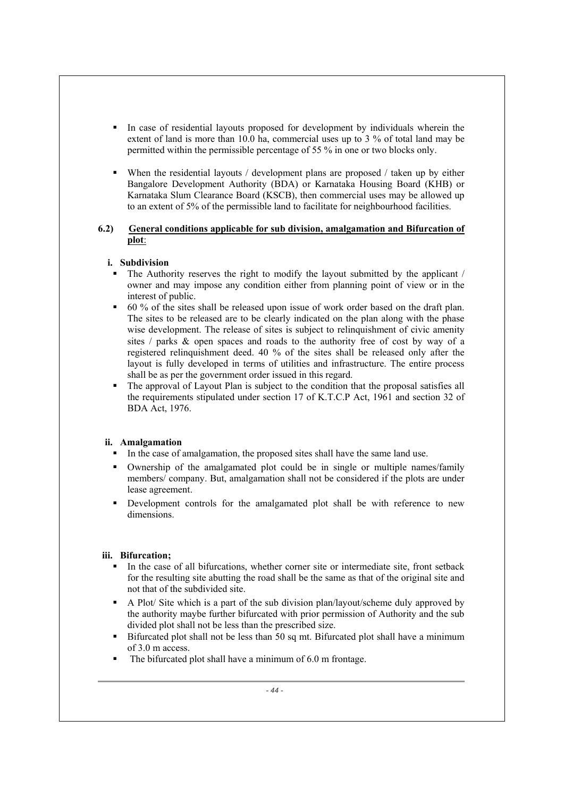- In case of residential layouts proposed for development by individuals wherein the extent of land is more than 10.0 ha, commercial uses up to 3 % of total land may be permitted within the permissible percentage of 55 % in one or two blocks only.
- When the residential layouts / development plans are proposed / taken up by either Bangalore Development Authority (BDA) or Karnataka Housing Board (KHB) or Karnataka Slum Clearance Board (KSCB), then commercial uses may be allowed up to an extent of 5% of the permissible land to facilitate for neighbourhood facilities.

# **6.2) General conditions applicable for sub division, amalgamation and Bifurcation of plot**:

# **i. Subdivision**

- The Authority reserves the right to modify the layout submitted by the applicant / owner and may impose any condition either from planning point of view or in the interest of public.
- 60 % of the sites shall be released upon issue of work order based on the draft plan. The sites to be released are to be clearly indicated on the plan along with the phase wise development. The release of sites is subject to relinquishment of civic amenity sites / parks & open spaces and roads to the authority free of cost by way of a registered relinquishment deed. 40 % of the sites shall be released only after the layout is fully developed in terms of utilities and infrastructure. The entire process shall be as per the government order issued in this regard.
- The approval of Layout Plan is subject to the condition that the proposal satisfies all the requirements stipulated under section 17 of K.T.C.P Act, 1961 and section 32 of BDA Act, 1976.

# **ii. Amalgamation**

- In the case of amalgamation, the proposed sites shall have the same land use.
- Ownership of the amalgamated plot could be in single or multiple names/family members/ company. But, amalgamation shall not be considered if the plots are under lease agreement.
- Development controls for the amalgamated plot shall be with reference to new dimensions.

# **iii. Bifurcation;**

- In the case of all bifurcations, whether corner site or intermediate site, front setback for the resulting site abutting the road shall be the same as that of the original site and not that of the subdivided site.
- A Plot/ Site which is a part of the sub division plan/layout/scheme duly approved by the authority maybe further bifurcated with prior permission of Authority and the sub divided plot shall not be less than the prescribed size.
- **Bifurcated plot shall not be less than 50 sq mt. Bifurcated plot shall have a minimum** of 3.0 m access.
- The bifurcated plot shall have a minimum of 6.0 m frontage.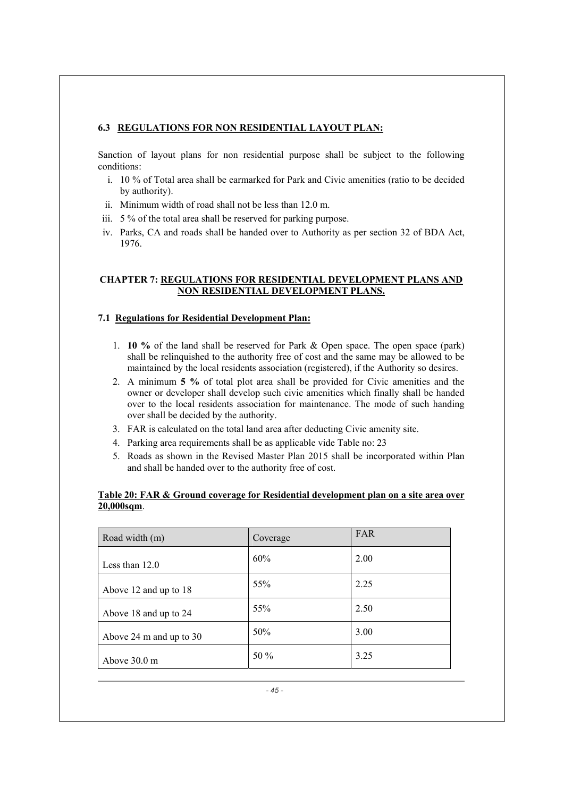# **6.3 REGULATIONS FOR NON RESIDENTIAL LAYOUT PLAN:**

Sanction of layout plans for non residential purpose shall be subject to the following conditions:

- i. 10 % of Total area shall be earmarked for Park and Civic amenities (ratio to be decided by authority).
- ii. Minimum width of road shall not be less than 12.0 m.
- iii. 5 % of the total area shall be reserved for parking purpose.
- iv. Parks, CA and roads shall be handed over to Authority as per section 32 of BDA Act, 1976.

# **CHAPTER 7: REGULATIONS FOR RESIDENTIAL DEVELOPMENT PLANS AND NON RESIDENTIAL DEVELOPMENT PLANS.**

# **7.1 Regulations for Residential Development Plan:**

- 1. **10 %** of the land shall be reserved for Park & Open space. The open space (park) shall be relinquished to the authority free of cost and the same may be allowed to be maintained by the local residents association (registered), if the Authority so desires.
- 2. A minimum **5 %** of total plot area shall be provided for Civic amenities and the owner or developer shall develop such civic amenities which finally shall be handed over to the local residents association for maintenance. The mode of such handing over shall be decided by the authority.
- 3. FAR is calculated on the total land area after deducting Civic amenity site.
- 4. Parking area requirements shall be as applicable vide Table no: 23
- 5. Roads as shown in the Revised Master Plan 2015 shall be incorporated within Plan and shall be handed over to the authority free of cost.

# **Table 20: FAR & Ground coverage for Residential development plan on a site area over 20,000sqm**.

| Road width (m)          | Coverage | FAR  |
|-------------------------|----------|------|
| Less than $12.0$        | 60%      | 2.00 |
| Above 12 and up to 18   | 55%      | 2.25 |
| Above 18 and up to 24   | 55%      | 2.50 |
| Above 24 m and up to 30 | 50%      | 3.00 |
| Above $30.0 \text{ m}$  | 50 %     | 3.25 |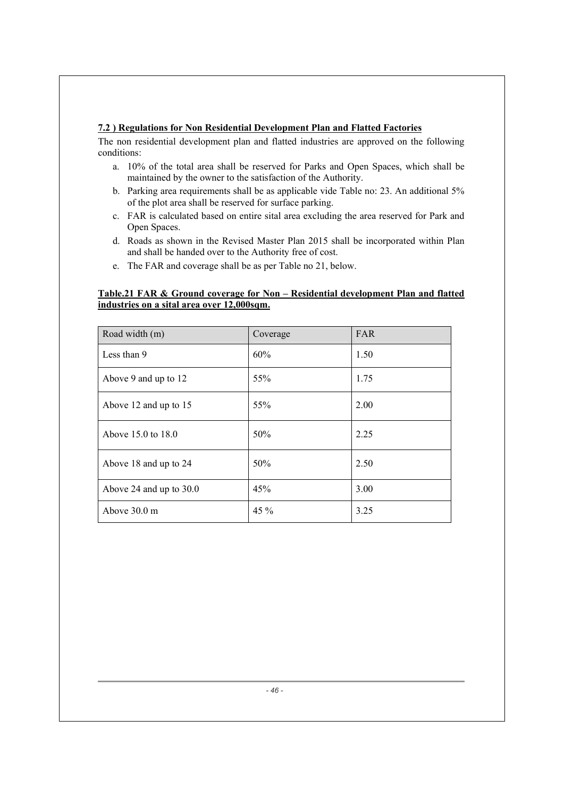# **7.2 ) Regulations for Non Residential Development Plan and Flatted Factories**

The non residential development plan and flatted industries are approved on the following conditions:

- a. 10% of the total area shall be reserved for Parks and Open Spaces, which shall be maintained by the owner to the satisfaction of the Authority.
- b. Parking area requirements shall be as applicable vide Table no: 23. An additional 5% of the plot area shall be reserved for surface parking.
- c. FAR is calculated based on entire sital area excluding the area reserved for Park and Open Spaces.
- d. Roads as shown in the Revised Master Plan 2015 shall be incorporated within Plan and shall be handed over to the Authority free of cost.
- e. The FAR and coverage shall be as per Table no 21, below.

# **Table.21 FAR & Ground coverage for Non – Residential development Plan and flatted industries on a sital area over 12,000sqm.**

| Road width (m)            | Coverage | <b>FAR</b> |
|---------------------------|----------|------------|
| Less than 9               | 60%      | 1.50       |
| Above 9 and up to 12      | 55%      | 1.75       |
| Above 12 and up to 15     | 55%      | 2.00       |
| Above 15.0 to 18.0        | 50%      | 2.25       |
| Above 18 and up to 24     | 50%      | 2.50       |
| Above 24 and up to $30.0$ | 45%      | 3.00       |
| Above 30.0 m              | 45 %     | 3.25       |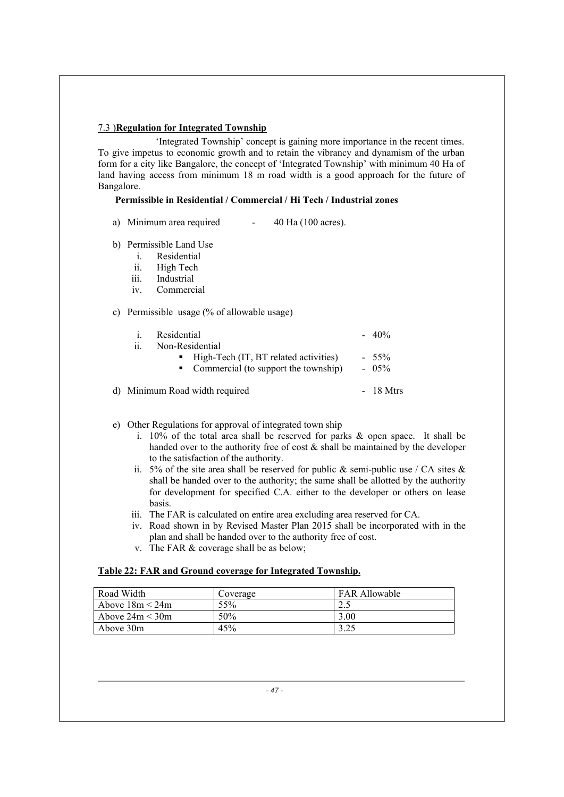# 7.3 )**Regulation for Integrated Township**

 'Integrated Township' concept is gaining more importance in the recent times. To give impetus to economic growth and to retain the vibrancy and dynamism of the urban form for a city like Bangalore, the concept of 'Integrated Township' with minimum 40 Ha of land having access from minimum 18 m road width is a good approach for the future of Bangalore.

#### **Permissible in Residential / Commercial / Hi Tech / Industrial zones**

- a) Minimum area required 40 Ha (100 acres).
- b) Permissible Land Use
	- i. Residential
	- ii. High Tech
	- iii. Industrial
	- iv. Commercial

#### c) Permissible usage (% of allowable usage)

| Residential<br>$\mathbf{1}$<br>Non-Residential<br>11                                           | $-40%$             |
|------------------------------------------------------------------------------------------------|--------------------|
| $\blacksquare$ High-Tech (IT, BT related activities)<br>• Commercial (to support the township) | $-55\%$<br>$-05\%$ |
| d) Minimum Road width required                                                                 | $-18$ Mtrs         |

#### e) Other Regulations for approval of integrated town ship

- i. 10% of the total area shall be reserved for parks & open space. It shall be handed over to the authority free of cost & shall be maintained by the developer to the satisfaction of the authority.
- ii. 5% of the site area shall be reserved for public  $\&$  semi-public use / CA sites  $\&$ shall be handed over to the authority; the same shall be allotted by the authority for development for specified C.A. either to the developer or others on lease basis.
- iii. The FAR is calculated on entire area excluding area reserved for CA.
- iv. Road shown in by Revised Master Plan 2015 shall be incorporated with in the plan and shall be handed over to the authority free of cost.
- v. The FAR & coverage shall be as below;

#### **Table 22: FAR and Ground coverage for Integrated Township.**

| Road Width        | Coverage | <b>FAR Allowable</b> |
|-------------------|----------|----------------------|
| Above $18m < 24m$ | 55%      | 2.5                  |
| Above $24m < 30m$ | 50%      | 3.00                 |
| Above 30m         | 45%      |                      |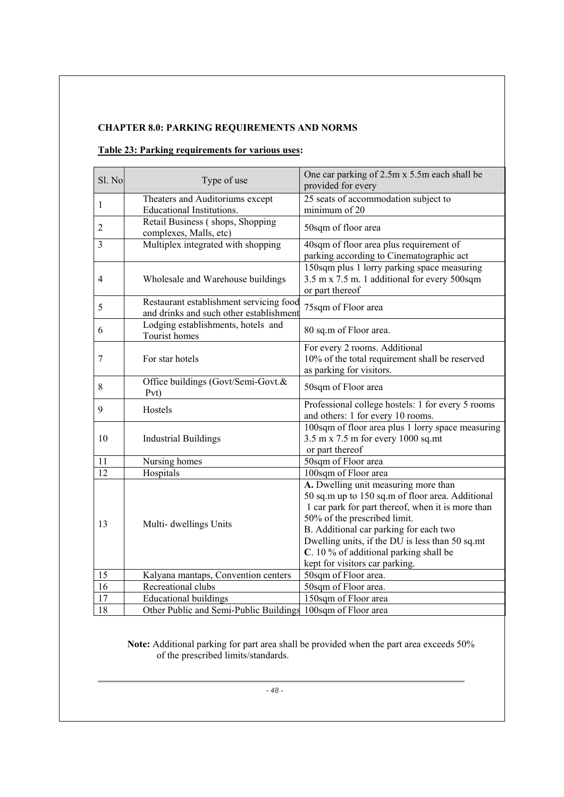# **CHAPTER 8.0: PARKING REQUIREMENTS AND NORMS**

# **Table 23: Parking requirements for various uses:**

| Sl. No          | Type of use                                                                        | One car parking of 2.5m x 5.5m each shall be<br>provided for every                                                                                                                                                                                                                                                                                     |
|-----------------|------------------------------------------------------------------------------------|--------------------------------------------------------------------------------------------------------------------------------------------------------------------------------------------------------------------------------------------------------------------------------------------------------------------------------------------------------|
| 1               | Theaters and Auditoriums except<br>Educational Institutions.                       | $25$ seats of accommodation subject to<br>minimum of 20                                                                                                                                                                                                                                                                                                |
| $\mathbf{2}$    | Retail Business (shops, Shopping<br>complexes, Malls, etc)                         | 50sqm of floor area                                                                                                                                                                                                                                                                                                                                    |
| 3               | Multiplex integrated with shopping                                                 | 40sqm of floor area plus requirement of<br>parking according to Cinematographic act                                                                                                                                                                                                                                                                    |
| 4               | Wholesale and Warehouse buildings                                                  | 150sqm plus 1 lorry parking space measuring<br>3.5 m x 7.5 m. 1 additional for every 500sqm<br>or part thereof                                                                                                                                                                                                                                         |
| 5               | Restaurant establishment servicing food<br>and drinks and such other establishment | 75sqm of Floor area                                                                                                                                                                                                                                                                                                                                    |
| 6               | Lodging establishments, hotels and<br>Tourist homes                                | 80 sq.m of Floor area.                                                                                                                                                                                                                                                                                                                                 |
| 7               | For star hotels                                                                    | For every 2 rooms. Additional<br>10% of the total requirement shall be reserved<br>as parking for visitors.                                                                                                                                                                                                                                            |
| 8               | Office buildings (Govt/Semi-Govt.&<br>Pvt)                                         | 50sqm of Floor area                                                                                                                                                                                                                                                                                                                                    |
| 9               | Hostels                                                                            | Professional college hostels: 1 for every 5 rooms<br>and others: 1 for every 10 rooms.                                                                                                                                                                                                                                                                 |
| 10              | <b>Industrial Buildings</b>                                                        | 100sqm of floor area plus 1 lorry space measuring<br>3.5 m x 7.5 m for every 1000 sq.mt<br>or part thereof                                                                                                                                                                                                                                             |
| 11              | Nursing homes                                                                      | 50sqm of Floor area                                                                                                                                                                                                                                                                                                                                    |
| $\overline{12}$ | Hospitals                                                                          | 100sqm of Floor area                                                                                                                                                                                                                                                                                                                                   |
| 13              | Multi- dwellings Units                                                             | A. Dwelling unit measuring more than<br>50 sq.m up to 150 sq.m of floor area. Additional<br>1 car park for part thereof, when it is more than<br>50% of the prescribed limit.<br>B. Additional car parking for each two<br>Dwelling units, if the DU is less than 50 sq.mt<br>C. 10 % of additional parking shall be<br>kept for visitors car parking. |
| 15              | Kalyana mantaps, Convention centers                                                | 50sqm of Floor area.                                                                                                                                                                                                                                                                                                                                   |
| 16              | Recreational clubs                                                                 | 50sqm of Floor area.                                                                                                                                                                                                                                                                                                                                   |
| 17              | <b>Educational buildings</b>                                                       | 150sqm of Floor area                                                                                                                                                                                                                                                                                                                                   |
| 18              | Other Public and Semi-Public Buildings 100sqm of Floor area                        |                                                                                                                                                                                                                                                                                                                                                        |

**Note:** Additional parking for part area shall be provided when the part area exceeds 50% of the prescribed limits/standards.

*- 48 -*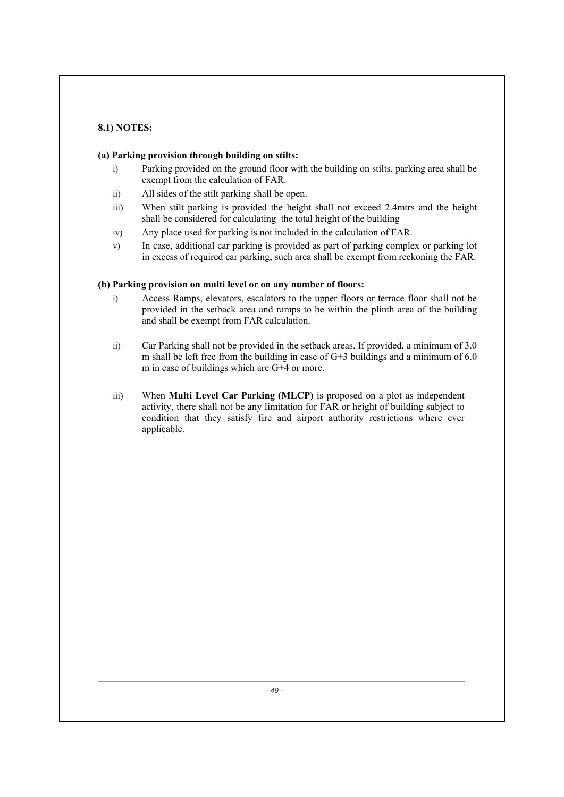# **8.1) NOTES:**

# **(a) Parking provision through building on stilts:**

- i) Parking provided on the ground floor with the building on stilts, parking area shall be exempt from the calculation of FAR.
- ii) All sides of the stilt parking shall be open.
- iii) When stilt parking is provided the height shall not exceed 2.4mtrs and the height shall be considered for calculating the total height of the building
- iv) Any place used for parking is not included in the calculation of FAR.
- v) In case, additional car parking is provided as part of parking complex or parking lot in excess of required car parking, such area shall be exempt from reckoning the FAR.

# **(b) Parking provision on multi level or on any number of floors:**

- i) Access Ramps, elevators, escalators to the upper floors or terrace floor shall not be provided in the setback area and ramps to be within the plinth area of the building and shall be exempt from FAR calculation.
- ii) Car Parking shall not be provided in the setback areas. If provided, a minimum of 3.0 m shall be left free from the building in case of  $G+3$  buildings and a minimum of 6.0 m in case of buildings which are G+4 or more.
- iii) When **Multi Level Car Parking (MLCP)** is proposed on a plot as independent activity, there shall not be any limitation for FAR or height of building subject to condition that they satisfy fire and airport authority restrictions where ever applicable.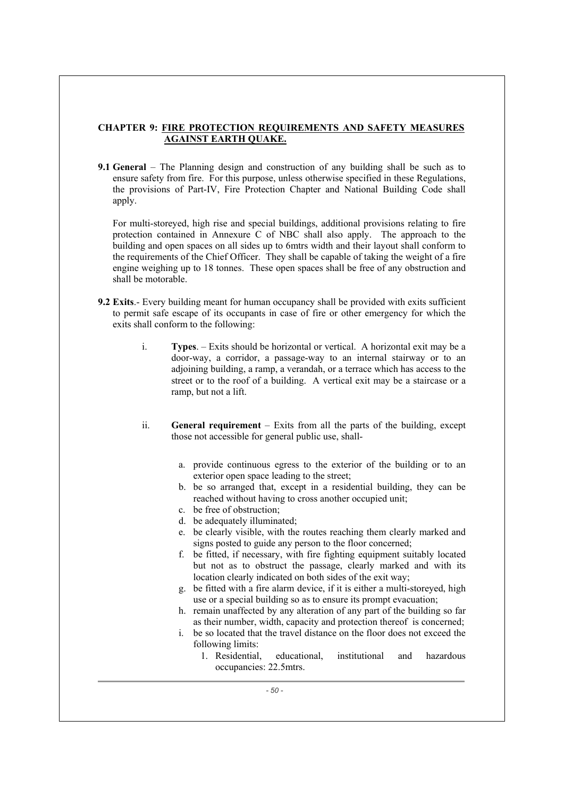# **CHAPTER 9: FIRE PROTECTION REQUIREMENTS AND SAFETY MEASURES AGAINST EARTH QUAKE.**

**9.1 General** – The Planning design and construction of any building shall be such as to ensure safety from fire. For this purpose, unless otherwise specified in these Regulations, the provisions of Part-IV, Fire Protection Chapter and National Building Code shall apply.

For multi-storeyed, high rise and special buildings, additional provisions relating to fire protection contained in Annexure C of NBC shall also apply. The approach to the building and open spaces on all sides up to 6mtrs width and their layout shall conform to the requirements of the Chief Officer. They shall be capable of taking the weight of a fire engine weighing up to 18 tonnes. These open spaces shall be free of any obstruction and shall be motorable.

- **9.2 Exits**.- Every building meant for human occupancy shall be provided with exits sufficient to permit safe escape of its occupants in case of fire or other emergency for which the exits shall conform to the following:
	- i. **Types**. Exits should be horizontal or vertical. A horizontal exit may be a door-way, a corridor, a passage-way to an internal stairway or to an adjoining building, a ramp, a verandah, or a terrace which has access to the street or to the roof of a building. A vertical exit may be a staircase or a ramp, but not a lift.
	- ii. **General requirement** Exits from all the parts of the building, except those not accessible for general public use, shall
		- a. provide continuous egress to the exterior of the building or to an exterior open space leading to the street;
		- b. be so arranged that, except in a residential building, they can be reached without having to cross another occupied unit;
		- c. be free of obstruction;
		- d. be adequately illuminated;
		- e. be clearly visible, with the routes reaching them clearly marked and signs posted to guide any person to the floor concerned;
		- f. be fitted, if necessary, with fire fighting equipment suitably located but not as to obstruct the passage, clearly marked and with its location clearly indicated on both sides of the exit way;
		- g. be fitted with a fire alarm device, if it is either a multi-storeyed, high use or a special building so as to ensure its prompt evacuation;
		- h. remain unaffected by any alteration of any part of the building so far as their number, width, capacity and protection thereof is concerned;
		- i. be so located that the travel distance on the floor does not exceed the following limits:
			- 1. Residential, educational, institutional and hazardous occupancies: 22.5mtrs.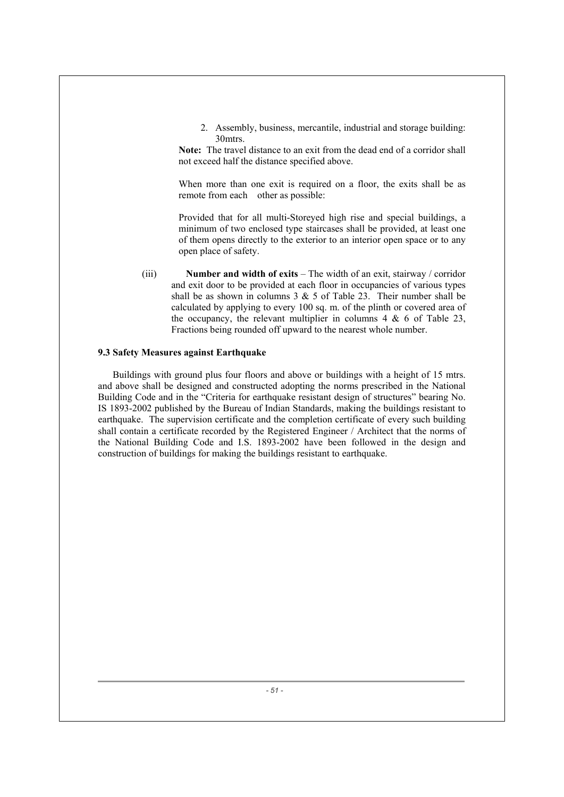2. Assembly, business, mercantile, industrial and storage building: 30mtrs.

**Note:** The travel distance to an exit from the dead end of a corridor shall not exceed half the distance specified above.

When more than one exit is required on a floor, the exits shall be as remote from each other as possible:

Provided that for all multi-Storeyed high rise and special buildings, a minimum of two enclosed type staircases shall be provided, at least one of them opens directly to the exterior to an interior open space or to any open place of safety.

(iii) **Number and width of exits** – The width of an exit, stairway / corridor and exit door to be provided at each floor in occupancies of various types shall be as shown in columns  $3 \& 5$  of Table 23. Their number shall be calculated by applying to every 100 sq. m. of the plinth or covered area of the occupancy, the relevant multiplier in columns  $4 \& 6$  of Table 23, Fractions being rounded off upward to the nearest whole number.

# **9.3 Safety Measures against Earthquake**

Buildings with ground plus four floors and above or buildings with a height of 15 mtrs. and above shall be designed and constructed adopting the norms prescribed in the National Building Code and in the "Criteria for earthquake resistant design of structures" bearing No. IS 1893-2002 published by the Bureau of Indian Standards, making the buildings resistant to earthquake. The supervision certificate and the completion certificate of every such building shall contain a certificate recorded by the Registered Engineer / Architect that the norms of the National Building Code and I.S. 1893-2002 have been followed in the design and construction of buildings for making the buildings resistant to earthquake.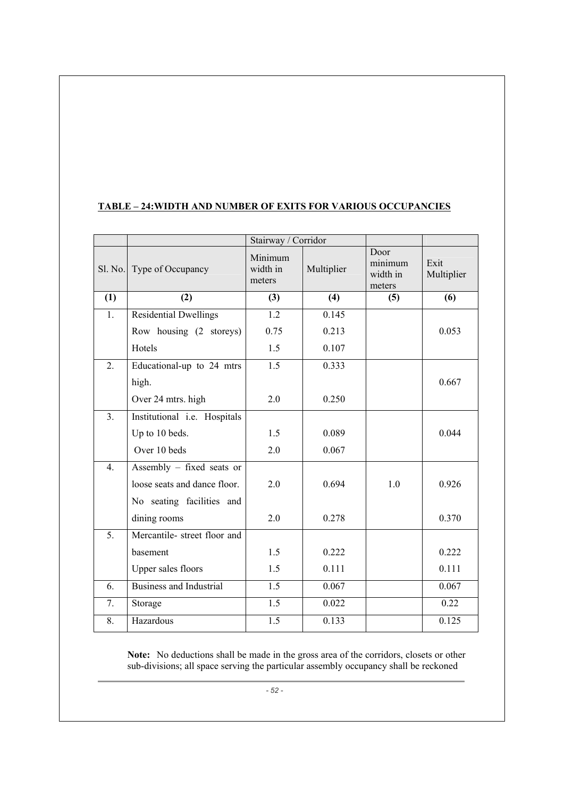# **TABLE – 24:WIDTH AND NUMBER OF EXITS FOR VARIOUS OCCUPANCIES**

|                  | Sl. No. Type of Occupancy      | Minimum<br>width in<br>meters | Multiplier | Door<br>minimum<br>width in<br>meters | Exit<br>Multiplier |
|------------------|--------------------------------|-------------------------------|------------|---------------------------------------|--------------------|
| (1)              | (2)                            | (3)                           | (4)        | (5)                                   | (6)                |
| 1.               | <b>Residential Dwellings</b>   | 1.2                           | 0.145      |                                       |                    |
|                  | Row housing (2 storeys)        | 0.75                          | 0.213      |                                       | 0.053              |
|                  | Hotels                         | 1.5                           | 0.107      |                                       |                    |
| 2.               | Educational-up to 24 mtrs      | 1.5                           | 0.333      |                                       |                    |
|                  | high.                          |                               |            |                                       | 0.667              |
|                  | Over 24 mtrs. high             | 2.0                           | 0.250      |                                       |                    |
| 3 <sub>1</sub>   | Institutional i.e. Hospitals   |                               |            |                                       |                    |
|                  | Up to 10 beds.                 | 1.5                           | 0.089      |                                       | 0.044              |
|                  | Over 10 beds                   | 2.0                           | 0.067      |                                       |                    |
| $\overline{4}$ . | Assembly - fixed seats or      |                               |            |                                       |                    |
|                  | loose seats and dance floor.   | 2.0                           | 0.694      | 1.0                                   | 0.926              |
|                  | No seating facilities and      |                               |            |                                       |                    |
|                  | dining rooms                   | 2.0                           | 0.278      |                                       | 0.370              |
| 5.               | Mercantile- street floor and   |                               |            |                                       |                    |
|                  | basement                       | 1.5                           | 0.222      |                                       | 0.222              |
|                  | Upper sales floors             | 1.5                           | 0.111      |                                       | 0.111              |
| 6.               | <b>Business and Industrial</b> | 1.5                           | 0.067      |                                       | 0.067              |
| 7.               | Storage                        | 1.5                           | 0.022      |                                       | 0.22               |
| 8.               | Hazardous                      | 1.5                           | 0.133      |                                       | 0.125              |

**Note:** No deductions shall be made in the gross area of the corridors, closets or other sub-divisions; all space serving the particular assembly occupancy shall be reckoned

*- 52 -*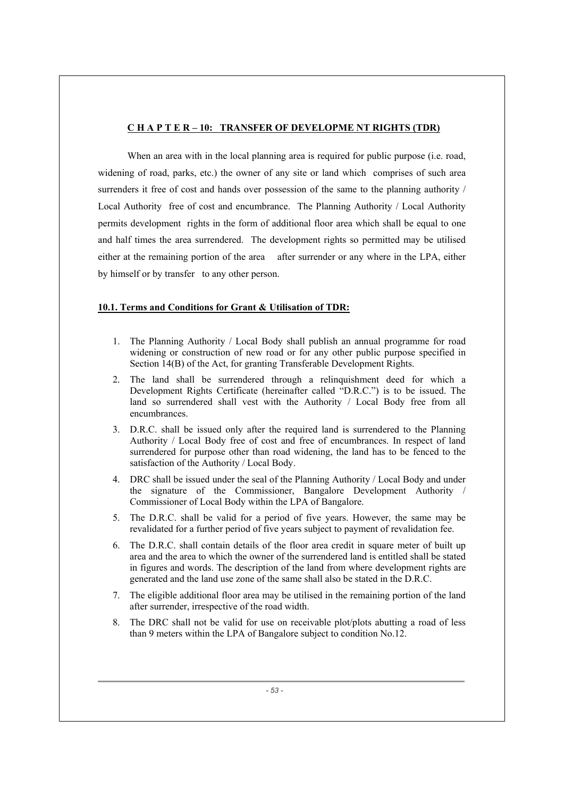# **C H A P T E R – 10: TRANSFER OF DEVELOPME NT RIGHTS (TDR)**

When an area with in the local planning area is required for public purpose (i.e. road, widening of road, parks, etc.) the owner of any site or land which comprises of such area surrenders it free of cost and hands over possession of the same to the planning authority / Local Authority free of cost and encumbrance. The Planning Authority / Local Authority permits development rights in the form of additional floor area which shall be equal to one and half times the area surrendered. The development rights so permitted may be utilised either at the remaining portion of the area after surrender or any where in the LPA, either by himself or by transfer to any other person.

# **10.1. Terms and Conditions for Grant & Utilisation of TDR:**

- 1. The Planning Authority / Local Body shall publish an annual programme for road widening or construction of new road or for any other public purpose specified in Section 14(B) of the Act, for granting Transferable Development Rights.
- 2. The land shall be surrendered through a relinquishment deed for which a Development Rights Certificate (hereinafter called "D.R.C.") is to be issued. The land so surrendered shall vest with the Authority / Local Body free from all encumbrances.
- 3. D.R.C. shall be issued only after the required land is surrendered to the Planning Authority / Local Body free of cost and free of encumbrances. In respect of land surrendered for purpose other than road widening, the land has to be fenced to the satisfaction of the Authority / Local Body.
- 4. DRC shall be issued under the seal of the Planning Authority / Local Body and under the signature of the Commissioner, Bangalore Development Authority / Commissioner of Local Body within the LPA of Bangalore.
- 5. The D.R.C. shall be valid for a period of five years. However, the same may be revalidated for a further period of five years subject to payment of revalidation fee.
- 6. The D.R.C. shall contain details of the floor area credit in square meter of built up area and the area to which the owner of the surrendered land is entitled shall be stated in figures and words. The description of the land from where development rights are generated and the land use zone of the same shall also be stated in the D.R.C.
- 7. The eligible additional floor area may be utilised in the remaining portion of the land after surrender, irrespective of the road width.
- 8. The DRC shall not be valid for use on receivable plot/plots abutting a road of less than 9 meters within the LPA of Bangalore subject to condition No.12.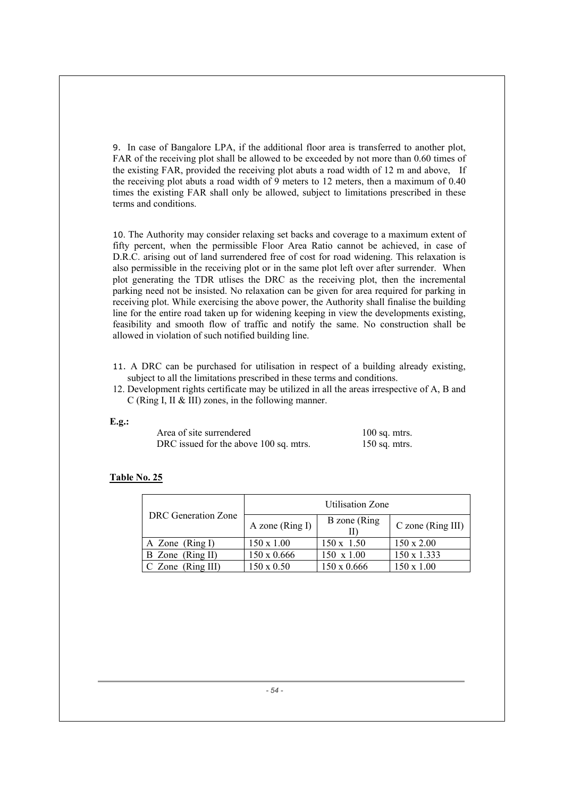9. In case of Bangalore LPA, if the additional floor area is transferred to another plot, FAR of the receiving plot shall be allowed to be exceeded by not more than 0.60 times of the existing FAR, provided the receiving plot abuts a road width of 12 m and above, If the receiving plot abuts a road width of 9 meters to 12 meters, then a maximum of 0.40 times the existing FAR shall only be allowed, subject to limitations prescribed in these terms and conditions.

10. The Authority may consider relaxing set backs and coverage to a maximum extent of fifty percent, when the permissible Floor Area Ratio cannot be achieved, in case of D.R.C. arising out of land surrendered free of cost for road widening. This relaxation is also permissible in the receiving plot or in the same plot left over after surrender. When plot generating the TDR utlises the DRC as the receiving plot, then the incremental parking need not be insisted. No relaxation can be given for area required for parking in receiving plot. While exercising the above power, the Authority shall finalise the building line for the entire road taken up for widening keeping in view the developments existing, feasibility and smooth flow of traffic and notify the same. No construction shall be allowed in violation of such notified building line.

- 11. A DRC can be purchased for utilisation in respect of a building already existing, subject to all the limitations prescribed in these terms and conditions.
- 12. Development rights certificate may be utilized in all the areas irrespective of A, B and C (Ring I, II & III) zones, in the following manner.

#### **E.g.:**

| Area of site surrendered               | $100$ sq. mtrs. |
|----------------------------------------|-----------------|
| DRC issued for the above 100 sq. mtrs. | $150$ sq. mtrs. |

#### **Table No. 25**

|                     |                     | <b>Utilisation Zone</b> |                     |
|---------------------|---------------------|-------------------------|---------------------|
| DRC Generation Zone | A zone ( $Ring I$ ) | B zone (Ring)           | $C$ zone (Ring III) |
| A Zone $(Ring I)$   | $150 \times 1.00$   | $150 \times 1.50$       | $150 \times 2.00$   |
| B Zone (Ring II)    | $150 \times 0.666$  | $150 \times 1.00$       | 150 x 1.333         |
| $C$ Zone (Ring III) | $150 \times 0.50$   | 150 x 0.666             | $150 \times 1.00$   |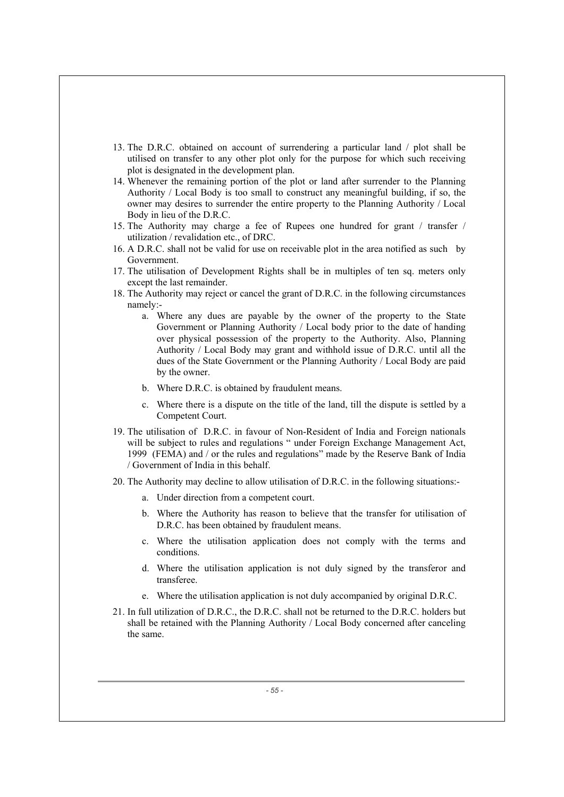- 13. The D.R.C. obtained on account of surrendering a particular land / plot shall be utilised on transfer to any other plot only for the purpose for which such receiving plot is designated in the development plan.
- 14. Whenever the remaining portion of the plot or land after surrender to the Planning Authority / Local Body is too small to construct any meaningful building, if so, the owner may desires to surrender the entire property to the Planning Authority / Local Body in lieu of the D.R.C.
- 15. The Authority may charge a fee of Rupees one hundred for grant / transfer / utilization / revalidation etc., of DRC.
- 16. A D.R.C. shall not be valid for use on receivable plot in the area notified as such by Government.
- 17. The utilisation of Development Rights shall be in multiples of ten sq. meters only except the last remainder.
- 18. The Authority may reject or cancel the grant of D.R.C. in the following circumstances namely:
	- a. Where any dues are payable by the owner of the property to the State Government or Planning Authority / Local body prior to the date of handing over physical possession of the property to the Authority. Also, Planning Authority / Local Body may grant and withhold issue of D.R.C. until all the dues of the State Government or the Planning Authority / Local Body are paid by the owner.
	- b. Where D.R.C. is obtained by fraudulent means.
	- c. Where there is a dispute on the title of the land, till the dispute is settled by a Competent Court.
- 19. The utilisation of D.R.C. in favour of Non-Resident of India and Foreign nationals will be subject to rules and regulations " under Foreign Exchange Management Act, 1999 (FEMA) and / or the rules and regulations" made by the Reserve Bank of India / Government of India in this behalf.
- 20. The Authority may decline to allow utilisation of D.R.C. in the following situations:
	- a. Under direction from a competent court.
	- b. Where the Authority has reason to believe that the transfer for utilisation of D.R.C. has been obtained by fraudulent means.
	- c. Where the utilisation application does not comply with the terms and conditions.
	- d. Where the utilisation application is not duly signed by the transferor and transferee.
	- e. Where the utilisation application is not duly accompanied by original D.R.C.
- 21. In full utilization of D.R.C., the D.R.C. shall not be returned to the D.R.C. holders but shall be retained with the Planning Authority / Local Body concerned after canceling the same.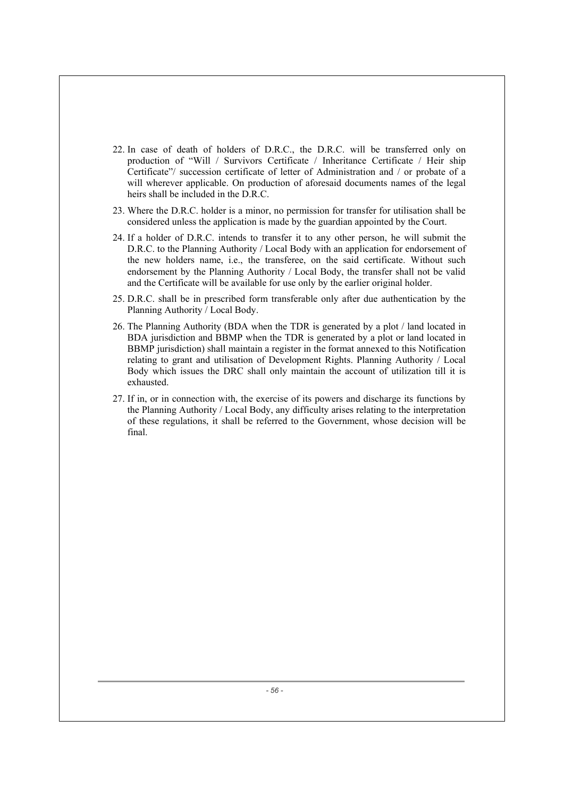- 22. In case of death of holders of D.R.C., the D.R.C. will be transferred only on production of "Will / Survivors Certificate / Inheritance Certificate / Heir ship Certificate"/ succession certificate of letter of Administration and / or probate of a will wherever applicable. On production of aforesaid documents names of the legal heirs shall be included in the D.R.C.
- 23. Where the D.R.C. holder is a minor, no permission for transfer for utilisation shall be considered unless the application is made by the guardian appointed by the Court.
- 24. If a holder of D.R.C. intends to transfer it to any other person, he will submit the D.R.C. to the Planning Authority / Local Body with an application for endorsement of the new holders name, i.e., the transferee, on the said certificate. Without such endorsement by the Planning Authority / Local Body, the transfer shall not be valid and the Certificate will be available for use only by the earlier original holder.
- 25. D.R.C. shall be in prescribed form transferable only after due authentication by the Planning Authority / Local Body.
- 26. The Planning Authority (BDA when the TDR is generated by a plot / land located in BDA jurisdiction and BBMP when the TDR is generated by a plot or land located in BBMP jurisdiction) shall maintain a register in the format annexed to this Notification relating to grant and utilisation of Development Rights. Planning Authority / Local Body which issues the DRC shall only maintain the account of utilization till it is exhausted.
- 27. If in, or in connection with, the exercise of its powers and discharge its functions by the Planning Authority / Local Body, any difficulty arises relating to the interpretation of these regulations, it shall be referred to the Government, whose decision will be final.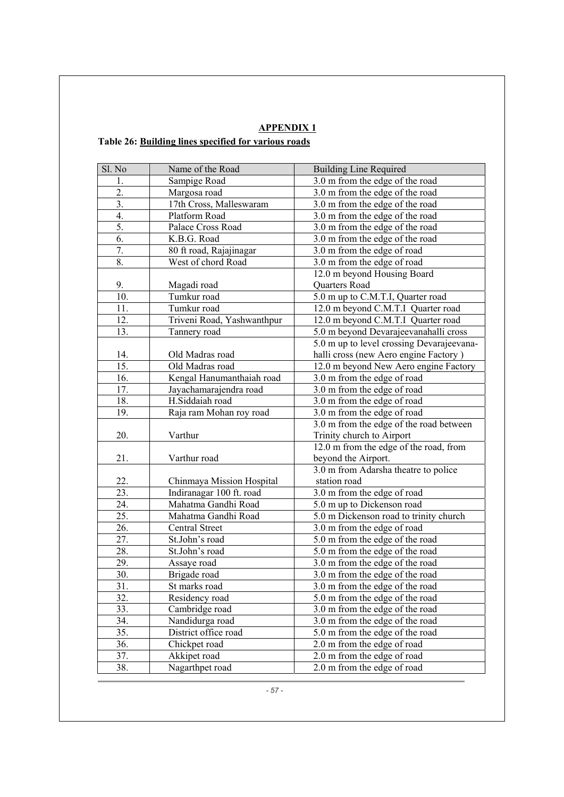|                                                      |  |  | <b>APPENDIX 1</b> |  |
|------------------------------------------------------|--|--|-------------------|--|
| Table 26: Building lines specified for various roads |  |  |                   |  |

| Sl. No           | Name of the Road           | <b>Building Line Required</b>             |
|------------------|----------------------------|-------------------------------------------|
| 1.               | Sampige Road               | 3.0 m from the edge of the road           |
| 2.               | Margosa road               | 3.0 m from the edge of the road           |
| $\overline{3}$ . | 17th Cross, Malleswaram    | 3.0 m from the edge of the road           |
| 4.               | Platform Road              | 3.0 m from the edge of the road           |
| 5.               | Palace Cross Road          | 3.0 m from the edge of the road           |
| 6.               | K.B.G. Road                | 3.0 m from the edge of the road           |
| 7.               | 80 ft road, Rajajinagar    | 3.0 m from the edge of road               |
| 8.               | West of chord Road         | 3.0 m from the edge of road               |
|                  |                            | 12.0 m beyond Housing Board               |
| 9.               | Magadi road                | Quarters Road                             |
| 10.              | Tumkur road                | 5.0 m up to C.M.T.I, Quarter road         |
| 11.              | Tumkur road                | 12.0 m beyond C.M.T.I Quarter road        |
| 12.              | Triveni Road, Yashwanthpur | 12.0 m beyond C.M.T.I Quarter road        |
| 13.              | Tannery road               | 5.0 m beyond Devarajeevanahalli cross     |
|                  |                            | 5.0 m up to level crossing Devarajeevana- |
| 14.              | Old Madras road            | halli cross (new Aero engine Factory)     |
| 15.              | Old Madras road            | 12.0 m beyond New Aero engine Factory     |
| 16.              | Kengal Hanumanthaiah road  | 3.0 m from the edge of road               |
| 17.              | Jayachamarajendra road     | 3.0 m from the edge of road               |
| 18.              | H.Siddaiah road            | 3.0 m from the edge of road               |
| 19.              | Raja ram Mohan roy road    | 3.0 m from the edge of road               |
|                  |                            | 3.0 m from the edge of the road between   |
| 20.              | Varthur                    | Trinity church to Airport                 |
|                  |                            | 12.0 m from the edge of the road, from    |
| 21.              | Varthur road               | beyond the Airport.                       |
|                  |                            | 3.0 m from Adarsha theatre to police      |
| 22.              | Chinmaya Mission Hospital  | station road                              |
| 23.              | Indiranagar 100 ft. road   | 3.0 m from the edge of road               |
| 24.              | Mahatma Gandhi Road        | 5.0 m up to Dickenson road                |
| 25.              | Mahatma Gandhi Road        | 5.0 m Dickenson road to trinity church    |
| 26.              | Central Street             | 3.0 m from the edge of road               |
| 27.              | St.John's road             | 5.0 m from the edge of the road           |
| 28.              | St.John's road             | 5.0 m from the edge of the road           |
| 29.              | Assaye road                | 3.0 m from the edge of the road           |
| 30.              | Brigade road               | 3.0 m from the edge of the road           |
| 31.              | St marks road              | 3.0 m from the edge of the road           |
| 32.              | Residency road             | 5.0 m from the edge of the road           |
| 33.              | Cambridge road             | 3.0 m from the edge of the road           |
| 34.              | Nandidurga road            | 3.0 m from the edge of the road           |
| 35.              | District office road       | 5.0 m from the edge of the road           |
| 36.              | Chickpet road              | 2.0 m from the edge of road               |
| 37.              | Akkipet road               | 2.0 m from the edge of road               |
| 38.              | Nagarthpet road            | 2.0 m from the edge of road               |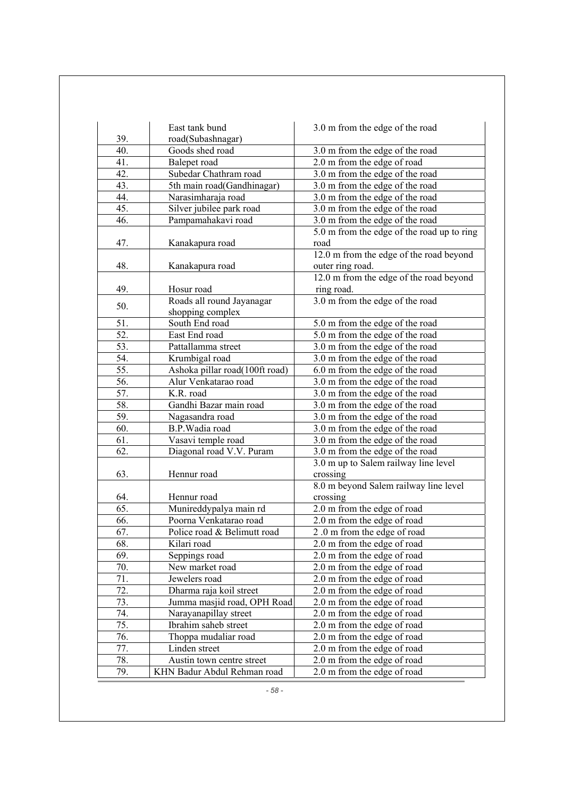|            | East tank bund                             | 3.0 m from the edge of the road                            |
|------------|--------------------------------------------|------------------------------------------------------------|
| 39.        | road(Subashnagar)                          |                                                            |
| 40.        | Goods shed road                            | 3.0 m from the edge of the road                            |
| 41.        | Balepet road                               | 2.0 m from the edge of road                                |
| 42.        | Subedar Chathram road                      | 3.0 m from the edge of the road                            |
| 43.        | 5th main road(Gandhinagar)                 | 3.0 m from the edge of the road                            |
| 44.        | Narasimharaja road                         | 3.0 m from the edge of the road                            |
| 45.        | Silver jubilee park road                   | 3.0 m from the edge of the road                            |
| 46.        | Pampamahakavi road                         | 3.0 m from the edge of the road                            |
|            |                                            | 5.0 m from the edge of the road up to ring                 |
| 47.        | Kanakapura road                            | road                                                       |
|            |                                            | 12.0 m from the edge of the road beyond                    |
| 48.        | Kanakapura road                            | outer ring road.                                           |
|            |                                            | 12.0 m from the edge of the road beyond                    |
| 49.        | Hosur road                                 | ring road.                                                 |
|            | Roads all round Jayanagar                  | 3.0 m from the edge of the road                            |
| 50.        | shopping complex                           |                                                            |
| 51.        | South End road                             | 5.0 m from the edge of the road                            |
| 52.        | East End road                              | 5.0 m from the edge of the road                            |
| 53.        | Pattallamma street                         | 3.0 m from the edge of the road                            |
| 54.        | Krumbigal road                             | 3.0 m from the edge of the road                            |
| 55.        | Ashoka pillar road(100ft road)             | 6.0 m from the edge of the road                            |
| 56.        | Alur Venkatarao road                       | 3.0 m from the edge of the road                            |
| 57.        | K.R. road                                  | 3.0 m from the edge of the road                            |
| 58.        | Gandhi Bazar main road                     | 3.0 m from the edge of the road                            |
| 59.        | Nagasandra road                            | 3.0 m from the edge of the road                            |
| 60.        | B.P. Wadia road                            | 3.0 m from the edge of the road                            |
| 61.        | Vasavi temple road                         | 3.0 m from the edge of the road                            |
| 62.        | Diagonal road V.V. Puram                   | 3.0 m from the edge of the road                            |
|            |                                            | 3.0 m up to Salem railway line level                       |
| 63.        | Hennur road                                | crossing                                                   |
|            |                                            | 8.0 m beyond Salem railway line level                      |
| 64.        | Hennur road                                | crossing                                                   |
| 65.        | Munireddypalya main rd                     | 2.0 m from the edge of road                                |
| 66.        | Poorna Venkatarao road                     | 2.0 m from the edge of road                                |
| 67.        | Police road & Belimutt road                | 2.0 m from the edge of road                                |
| 68.        | Kilari road                                | 2.0 m from the edge of road                                |
| 69.        | Seppings road                              | 2.0 m from the edge of road                                |
| 70.        | New market road                            | 2.0 m from the edge of road                                |
| 71.        | Jewelers road                              | 2.0 m from the edge of road                                |
| 72.        | Dharma raja koil street                    | 2.0 m from the edge of road                                |
| 73.        | Jumma masjid road, OPH Road                | 2.0 m from the edge of road                                |
| 74.        | Narayanapillay street                      | 2.0 m from the edge of road                                |
| 75.        | Ibrahim saheb street                       | 2.0 m from the edge of road                                |
| 76.        | Thoppa mudaliar road                       | 2.0 m from the edge of road                                |
|            |                                            |                                                            |
|            |                                            |                                                            |
| 77.<br>78. | Linden street<br>Austin town centre street | 2.0 m from the edge of road<br>2.0 m from the edge of road |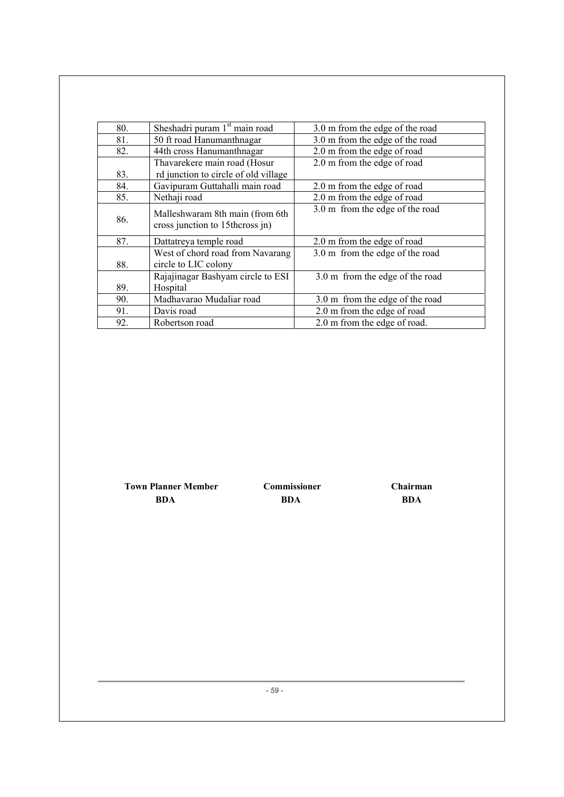| 80. | Sheshadri puram 1 <sup>st</sup> main road                            | 3.0 m from the edge of the road |
|-----|----------------------------------------------------------------------|---------------------------------|
| 81. | 50 ft road Hanumanthnagar                                            | 3.0 m from the edge of the road |
| 82. | 44th cross Hanumanthnagar                                            | 2.0 m from the edge of road     |
| 83. | Thavarekere main road (Hosur<br>rd junction to circle of old village | 2.0 m from the edge of road     |
| 84. | Gavipuram Guttahalli main road                                       | 2.0 m from the edge of road     |
| 85. | Nethaji road                                                         | 2.0 m from the edge of road     |
| 86. | Malleshwaram 8th main (from 6th<br>cross junction to 15th cross jn)  | 3.0 m from the edge of the road |
| 87. | Dattatreya temple road                                               | 2.0 m from the edge of road     |
| 88. | West of chord road from Navarang<br>circle to LIC colony             | 3.0 m from the edge of the road |
| 89. | Rajajinagar Bashyam circle to ESI<br>Hospital                        | 3.0 m from the edge of the road |
| 90. | Madhavarao Mudaliar road                                             | 3.0 m from the edge of the road |
| 91. | Davis road                                                           | 2.0 m from the edge of road     |
| 92. | Robertson road                                                       | 2.0 m from the edge of road.    |

 **Town Planner Member Commissioner Chairman BDA BDA BDA**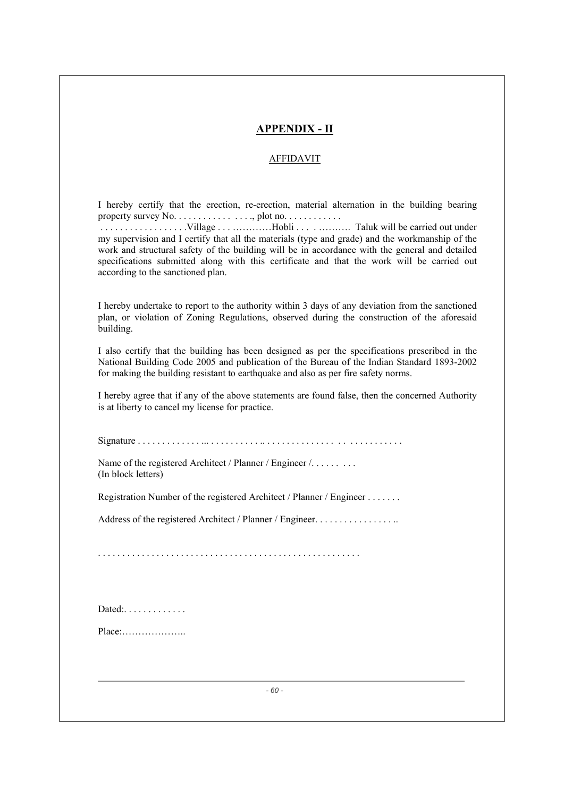# **APPENDIX - II**

# AFFIDAVIT

I hereby certify that the erection, re-erection, material alternation in the building bearing property survey No. . . . . . . . . . . . . . . . . plot no. . . . . . . . . . . .

 . . . . . . . . . . . . . . . . . .Village . . . …………Hobli . . . . ………. Taluk will be carried out under my supervision and I certify that all the materials (type and grade) and the workmanship of the work and structural safety of the building will be in accordance with the general and detailed specifications submitted along with this certificate and that the work will be carried out according to the sanctioned plan.

I hereby undertake to report to the authority within 3 days of any deviation from the sanctioned plan, or violation of Zoning Regulations, observed during the construction of the aforesaid building.

I also certify that the building has been designed as per the specifications prescribed in the National Building Code 2005 and publication of the Bureau of the Indian Standard 1893-2002 for making the building resistant to earthquake and also as per fire safety norms.

I hereby agree that if any of the above statements are found false, then the concerned Authority is at liberty to cancel my license for practice.

Signature . . . . . . . . . . . . . ... . . . . . . . . . . .. . . . . . . . . . . . . . . . . . . . . . . . . . . .

Name of the registered Architect / Planner / Engineer /. . . . . . . . . . (In block letters)

Registration Number of the registered Architect / Planner / Engineer . . . . . . .

Address of the registered Architect / Planner / Engineer. . . . . . . . . . . . . . . . . .

. . . . . . . . . . . . . . . . . . . . . . . . . . . . . . . . . . . . . . . . . . . . . . . . . . . . . .

| Dated: $\ldots$ |  |  |
|-----------------|--|--|
|-----------------|--|--|

Place:………………..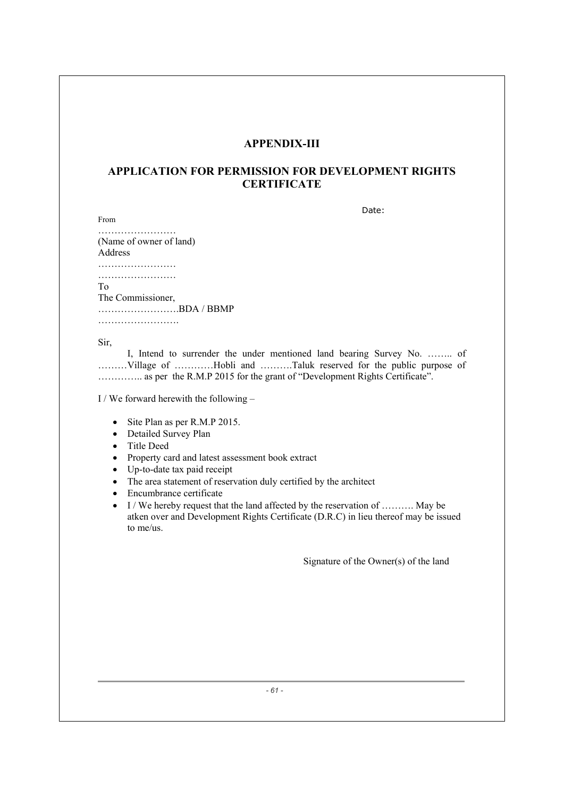# **APPENDIX-III**

# **APPLICATION FOR PERMISSION FOR DEVELOPMENT RIGHTS CERTIFICATE**

discussion of the contract of the contract of the contract of the Date:

…………………… (Name of owner of land) Address …………………………… ………………………

To

From

The Commissioner,

…………………….BDA / BBMP …………………….

Sir,

 I, Intend to surrender the under mentioned land bearing Survey No. …….. of ………Village of …………Hobli and ……….Taluk reserved for the public purpose of ………….. as per the R.M.P 2015 for the grant of "Development Rights Certificate".

I / We forward herewith the following –

- $\bullet$  Site Plan as per R.M.P 2015.
- Detailed Survey Plan
- Title Deed
- Property card and latest assessment book extract
- $\bullet$  Up-to-date tax paid receipt
- The area statement of reservation duly certified by the architect
- Encumbrance certificate
- $\bullet$  I / We hereby request that the land affected by the reservation of .......... May be atken over and Development Rights Certificate (D.R.C) in lieu thereof may be issued to me/us.

Signature of the Owner(s) of the land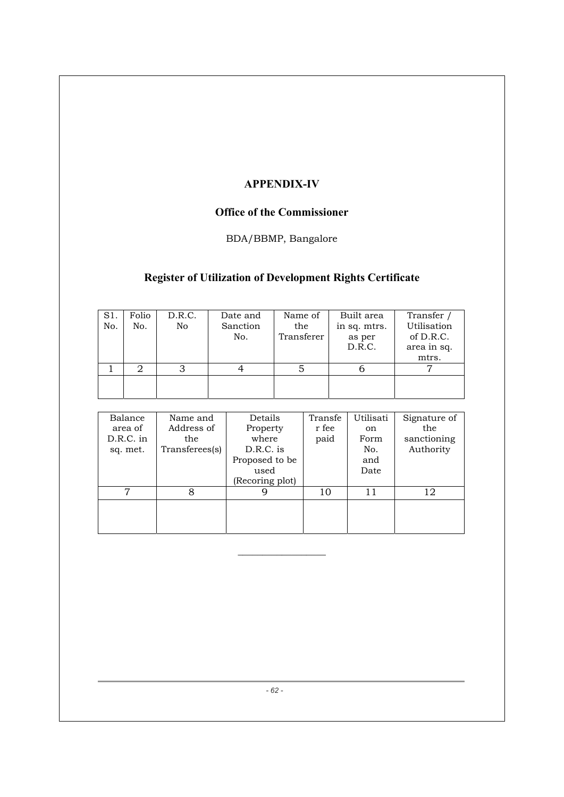# **APPENDIX-IV**

# **Office of the Commissioner**

# BDA/BBMP, Bangalore

# **Register of Utilization of Development Rights Certificate**

| S1.<br>No. | Folio<br>No. | D.R.C.<br>No | Date and<br>Sanction<br>No. | Name of<br>the<br>Transferer | Built area<br>in sq. mtrs.<br>as per<br>D.R.C. | Transfer,<br>Utilisation<br>of D.R.C.<br>area in sq.<br>mtrs. |
|------------|--------------|--------------|-----------------------------|------------------------------|------------------------------------------------|---------------------------------------------------------------|
|            |              |              |                             |                              |                                                |                                                               |
|            |              |              |                             |                              |                                                |                                                               |

| Balance     | Name and       | Details         | Transfe | Utilisati | Signature of |
|-------------|----------------|-----------------|---------|-----------|--------------|
| area of     | Address of     | Property        | r fee   | on.       | the          |
| $D.R.C.$ in | the            | where           | paid    | Form      | sanctioning  |
| sq. met.    | Transferees(s) | D.R.C. is       |         | No.       | Authority    |
|             |                | Proposed to be  |         | and       |              |
|             |                | used            |         | Date      |              |
|             |                | (Recoring plot) |         |           |              |
|             |                |                 | 10      | 11        | 12           |
|             |                |                 |         |           |              |
|             |                |                 |         |           |              |
|             |                |                 |         |           |              |

 $\_$ 

*- 62 -*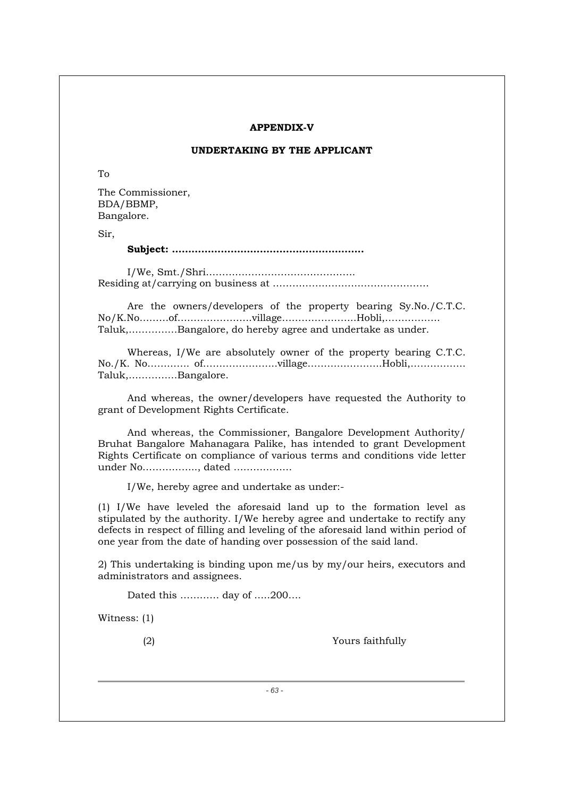#### **APPENDIX-V**

# **UNDERTAKING BY THE APPLICANT**

To

The Commissioner, BDA/BBMP, Bangalore.

Sir,

#### **Subject: …………………………………………………..**

I/We, Smt./Shri………………………………………. Residing at/carrying on business at …………………………………………

Are the owners/developers of the property bearing Sy.No./C.T.C. No/K.No………of…………………..village…………………..Hobli,…………….. Taluk,……………Bangalore, do hereby agree and undertake as under.

 Whereas, I/We are absolutely owner of the property bearing C.T.C. No./K. No…………. of…………………..village…………………..Hobli,…………….. Taluk,……………Bangalore.

 And whereas, the owner/developers have requested the Authority to grant of Development Rights Certificate.

 And whereas, the Commissioner, Bangalore Development Authority/ Bruhat Bangalore Mahanagara Palike, has intended to grant Development Rights Certificate on compliance of various terms and conditions vide letter under No…………….., dated ………………

I/We, hereby agree and undertake as under:-

(1) I/We have leveled the aforesaid land up to the formation level as stipulated by the authority. I/We hereby agree and undertake to rectify any defects in respect of filling and leveling of the aforesaid land within period of one year from the date of handing over possession of the said land.

2) This undertaking is binding upon me/us by my/our heirs, executors and administrators and assignees.

Dated this ………… day of …..200….

Witness: (1)

(2) Yours faithfully

*- 63 -*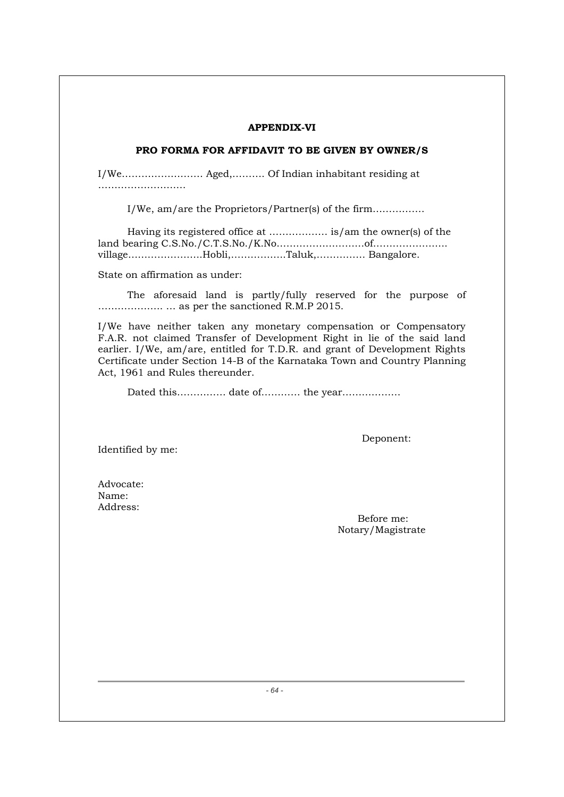#### **APPENDIX-VI**

# **PRO FORMA FOR AFFIDAVIT TO BE GIVEN BY OWNER/S**

I/We……………………. Aged,………. Of Indian inhabitant residing at …………………………

I/We, am/are the Proprietors/Partner(s) of the firm…………….

Having its registered office at ……………… is/am the owner(s) of the land bearing C.S.No./C.T.S.No./K.No………………………of………………….. village…………………..Hobli,……………..Taluk,…………… Bangalore.

State on affirmation as under:

 The aforesaid land is partly/fully reserved for the purpose of ……………….. … as per the sanctioned R.M.P 2015.

I/We have neither taken any monetary compensation or Compensatory F.A.R. not claimed Transfer of Development Right in lie of the said land earlier. I/We, am/are, entitled for T.D.R. and grant of Development Rights Certificate under Section 14-B of the Karnataka Town and Country Planning Act, 1961 and Rules thereunder.

Dated this…………… date of………… the year………………

Identified by me:

Deponent:

Advocate: Name: Address:

 Before me: Notary/Magistrate

*- 64 -*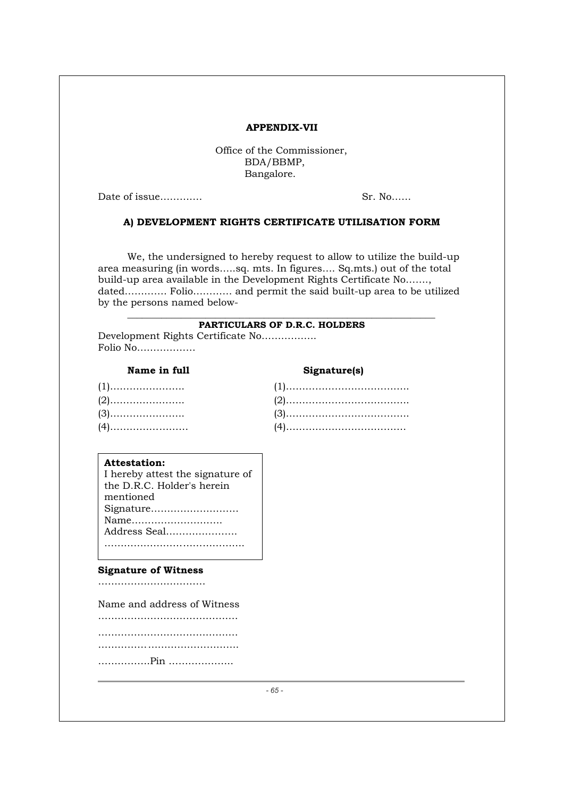#### **APPENDIX-VII**

Office of the Commissioner, BDA/BBMP, Bangalore.

Date of issue…………. Sr. No……

#### **A) DEVELOPMENT RIGHTS CERTIFICATE UTILISATION FORM**

We, the undersigned to hereby request to allow to utilize the build-up area measuring (in words…..sq. mts. In figures…. Sq.mts.) out of the total build-up area available in the Development Rights Certificate No……., dated…………. Folio………… and permit the said built-up area to be utilized by the persons named below-

#### \_\_\_\_\_\_\_\_\_\_\_\_\_\_\_\_\_\_\_\_\_\_\_\_\_\_\_\_\_\_\_\_\_\_\_\_\_\_\_\_\_\_\_\_\_\_\_\_\_\_\_\_\_\_\_\_\_\_\_\_\_\_\_ **PARTICULARS OF D.R.C. HOLDERS**

Development Rights Certificate No…………….. Folio No………………

# **Name in full Signature(s)**

#### **Attestation:**

 $\overline{a}$ 

I hereby attest the signature of the D.R.C. Holder's herein mentioned Signature……………………… Name………………………. Address Seal…………………. …………………………………………

#### **Signature of Witness**

……………………………

Name and address of Witness

…………………………………….

…………………………………….

……………<<……………………….

…………….Pin ………………..

*- 65 -*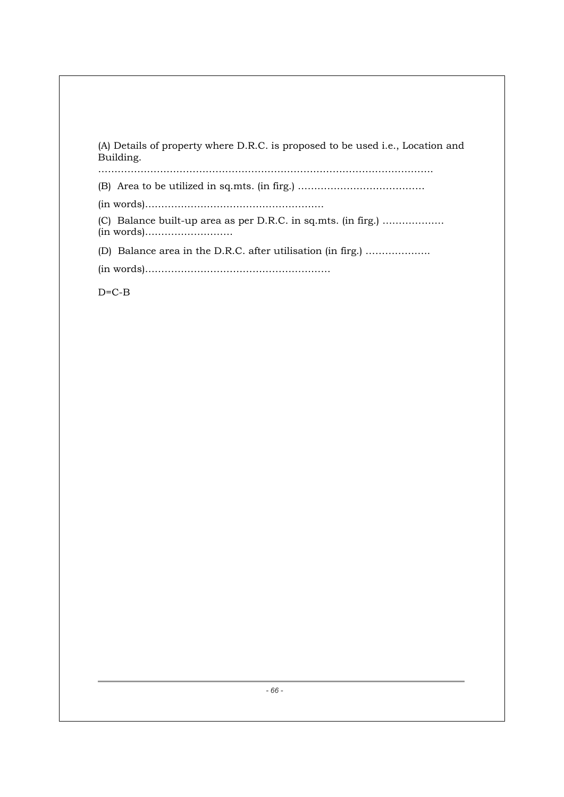| (A) Details of property where D.R.C. is proposed to be used i.e., Location and<br>Building. |
|---------------------------------------------------------------------------------------------|
|                                                                                             |
|                                                                                             |
| (C) Balance built-up area as per D.R.C. in sq.mts. (in firg.)                               |
| (D) Balance area in the D.R.C. after utilisation (in firg.)                                 |
|                                                                                             |
| $D=C-B$                                                                                     |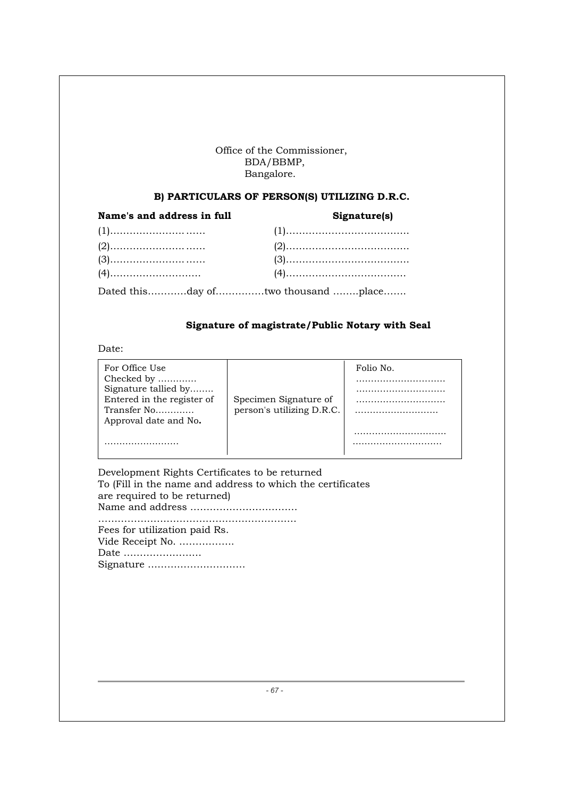# Office of the Commissioner, BDA/BBMP, Bangalore.

# **B) PARTICULARS OF PERSON(S) UTILIZING D.R.C.**

| Name's and address in full | Signature(s)                       |  |  |
|----------------------------|------------------------------------|--|--|
|                            |                                    |  |  |
|                            |                                    |  |  |
|                            |                                    |  |  |
|                            |                                    |  |  |
|                            | Dated thisday oftwo thousand place |  |  |

# **Signature of magistrate/Public Notary with Seal**

Date:

| For Office Use             |                           | Folio No. |
|----------------------------|---------------------------|-----------|
| Checked by                 |                           |           |
| Signature tallied by       |                           |           |
| Entered in the register of | Specimen Signature of     |           |
| Transfer No                | person's utilizing D.R.C. |           |
| Approval date and No.      |                           |           |
|                            |                           |           |
|                            |                           |           |
|                            |                           |           |

| Development Rights Certificates to be returned              |
|-------------------------------------------------------------|
| To (Fill in the name and address to which the certificates) |
| are required to be returned)                                |
|                                                             |
|                                                             |

Fees for utilization paid Rs. Vide Receipt No. …………….. Date …………………… Signature …………………………